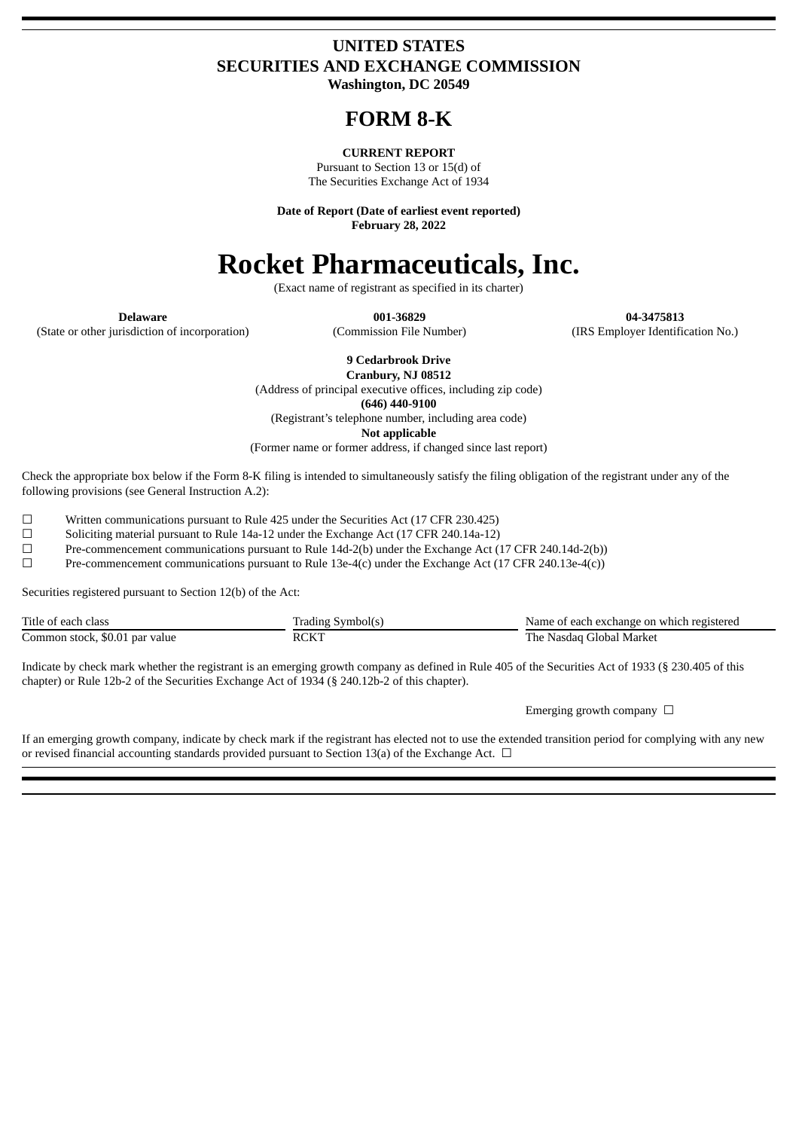# **UNITED STATES SECURITIES AND EXCHANGE COMMISSION**

**Washington, DC 20549**

# **FORM 8-K**

# **CURRENT REPORT**

Pursuant to Section 13 or 15(d) of The Securities Exchange Act of 1934

**Date of Report (Date of earliest event reported) February 28, 2022**

# **Rocket Pharmaceuticals, Inc.**

(Exact name of registrant as specified in its charter)

(State or other jurisdiction of incorporation) (Commission File Number) (IRS Employer Identification No.)

**Delaware 001-36829 04-3475813**

**9 Cedarbrook Drive**

**Cranbury, NJ 08512** (Address of principal executive offices, including zip code) **(646) 440-9100** (Registrant's telephone number, including area code) **Not applicable**

(Former name or former address, if changed since last report)

Check the appropriate box below if the Form 8-K filing is intended to simultaneously satisfy the filing obligation of the registrant under any of the following provisions (see General Instruction A.2):

☐ Written communications pursuant to Rule 425 under the Securities Act (17 CFR 230.425)

☐ Soliciting material pursuant to Rule 14a-12 under the Exchange Act (17 CFR 240.14a-12)

☐ Pre-commencement communications pursuant to Rule 14d-2(b) under the Exchange Act (17 CFR 240.14d-2(b))

 $\Box$  Pre-commencement communications pursuant to Rule 13e-4(c) under the Exchange Act (17 CFR 240.13e-4(c))

Securities registered pursuant to Section 12(b) of the Act:

| Title of each class            | Trading Symbol(s) | Name of each exchange on which registered |
|--------------------------------|-------------------|-------------------------------------------|
| Common stock, \$0.01 par value | <b>RCKT</b>       | The Nasdag Global Market                  |

Indicate by check mark whether the registrant is an emerging growth company as defined in Rule 405 of the Securities Act of 1933 (§ 230.405 of this chapter) or Rule 12b-2 of the Securities Exchange Act of 1934 (§ 240.12b-2 of this chapter).

Emerging growth company  $\Box$ 

If an emerging growth company, indicate by check mark if the registrant has elected not to use the extended transition period for complying with any new or revised financial accounting standards provided pursuant to Section 13(a) of the Exchange Act.  $\Box$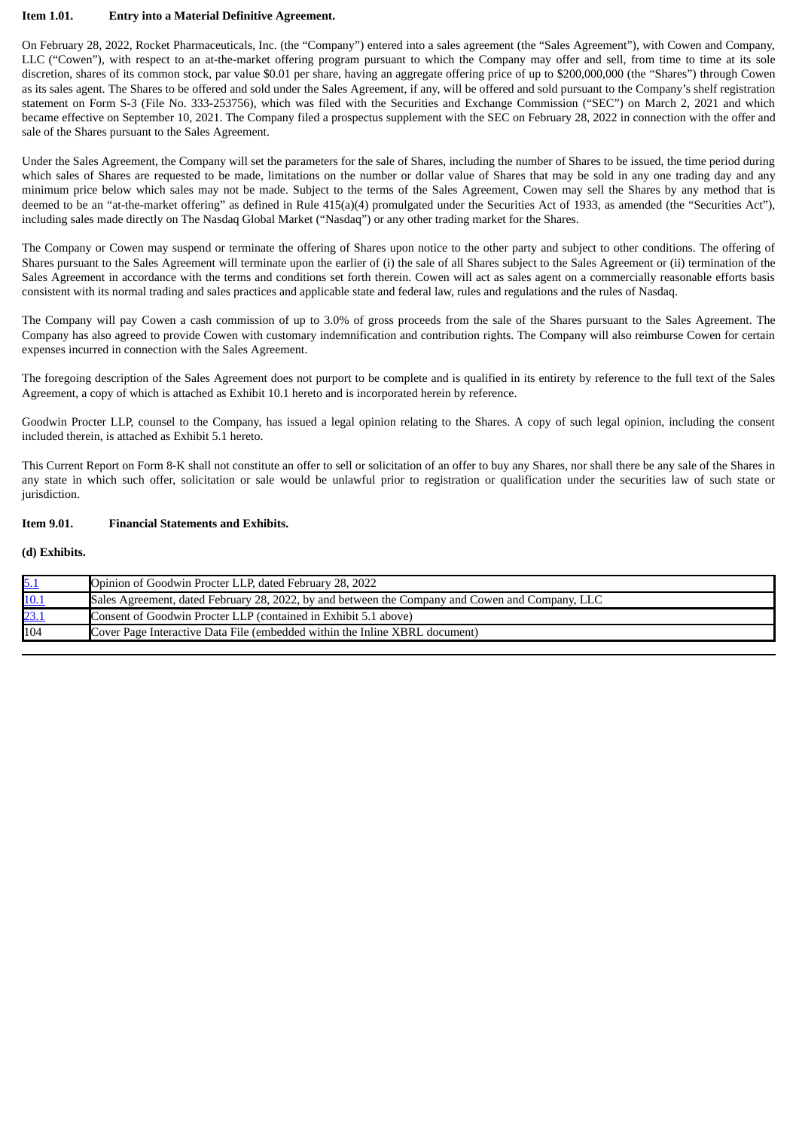#### **Item 1.01. Entry into a Material Definitive Agreement.**

On February 28, 2022, Rocket Pharmaceuticals, Inc. (the "Company") entered into a sales agreement (the "Sales Agreement"), with Cowen and Company, LLC ("Cowen"), with respect to an at-the-market offering program pursuant to which the Company may offer and sell, from time to time at its sole discretion, shares of its common stock, par value \$0.01 per share, having an aggregate offering price of up to \$200,000,000 (the "Shares") through Cowen as its sales agent. The Shares to be offered and sold under the Sales Agreement, if any, will be offered and sold pursuant to the Company's shelf registration statement on Form S-3 (File No. 333-253756), which was filed with the Securities and Exchange Commission ("SEC") on March 2, 2021 and which became effective on September 10, 2021. The Company filed a prospectus supplement with the SEC on February 28, 2022 in connection with the offer and sale of the Shares pursuant to the Sales Agreement.

Under the Sales Agreement, the Company will set the parameters for the sale of Shares, including the number of Shares to be issued, the time period during which sales of Shares are requested to be made, limitations on the number or dollar value of Shares that may be sold in any one trading day and any minimum price below which sales may not be made. Subject to the terms of the Sales Agreement, Cowen may sell the Shares by any method that is deemed to be an "at-the-market offering" as defined in Rule 415(a)(4) promulgated under the Securities Act of 1933, as amended (the "Securities Act"), including sales made directly on The Nasdaq Global Market ("Nasdaq") or any other trading market for the Shares.

The Company or Cowen may suspend or terminate the offering of Shares upon notice to the other party and subject to other conditions. The offering of Shares pursuant to the Sales Agreement will terminate upon the earlier of (i) the sale of all Shares subject to the Sales Agreement or (ii) termination of the Sales Agreement in accordance with the terms and conditions set forth therein. Cowen will act as sales agent on a commercially reasonable efforts basis consistent with its normal trading and sales practices and applicable state and federal law, rules and regulations and the rules of Nasdaq.

The Company will pay Cowen a cash commission of up to 3.0% of gross proceeds from the sale of the Shares pursuant to the Sales Agreement. The Company has also agreed to provide Cowen with customary indemnification and contribution rights. The Company will also reimburse Cowen for certain expenses incurred in connection with the Sales Agreement.

The foregoing description of the Sales Agreement does not purport to be complete and is qualified in its entirety by reference to the full text of the Sales Agreement, a copy of which is attached as Exhibit 10.1 hereto and is incorporated herein by reference.

Goodwin Procter LLP, counsel to the Company, has issued a legal opinion relating to the Shares. A copy of such legal opinion, including the consent included therein, is attached as Exhibit 5.1 hereto.

This Current Report on Form 8-K shall not constitute an offer to sell or solicitation of an offer to buy any Shares, nor shall there be any sale of the Shares in any state in which such offer, solicitation or sale would be unlawful prior to registration or qualification under the securities law of such state or jurisdiction.

#### **Item 9.01. Financial Statements and Exhibits.**

#### **(d) Exhibits.**

| $\frac{5.1}{10.1}$<br>$\frac{23.1}{10.1}$ | Opinion of Goodwin Procter LLP, dated February 28, 2022                                         |
|-------------------------------------------|-------------------------------------------------------------------------------------------------|
|                                           | Sales Agreement, dated February 28, 2022, by and between the Company and Cowen and Company, LLC |
|                                           | Consent of Goodwin Procter LLP (contained in Exhibit 5.1 above)                                 |
| 104                                       | Cover Page Interactive Data File (embedded within the Inline XBRL document)                     |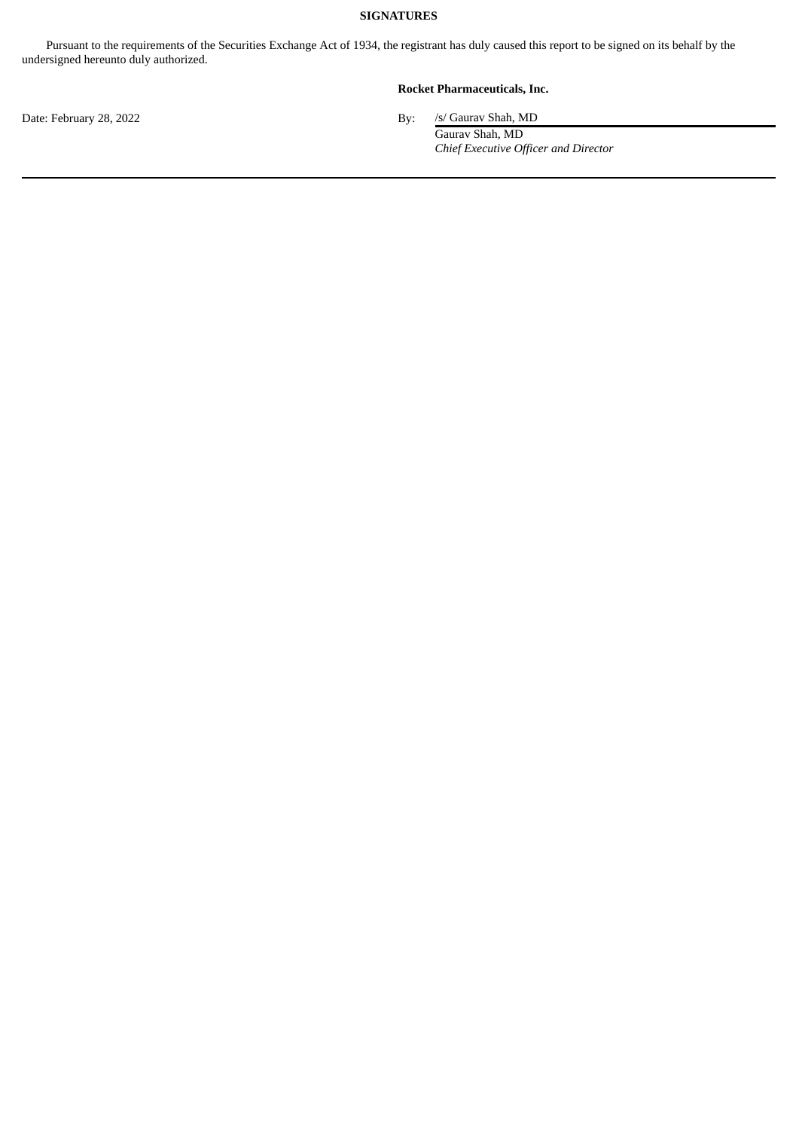# **SIGNATURES**

Pursuant to the requirements of the Securities Exchange Act of 1934, the registrant has duly caused this report to be signed on its behalf by the undersigned hereunto duly authorized.

# **Rocket Pharmaceuticals, Inc.**

Date: February 28, 2022 By: /s/ Gaurav Shah, MD

Gaurav Shah, MD *Chief Executive Officer and Director*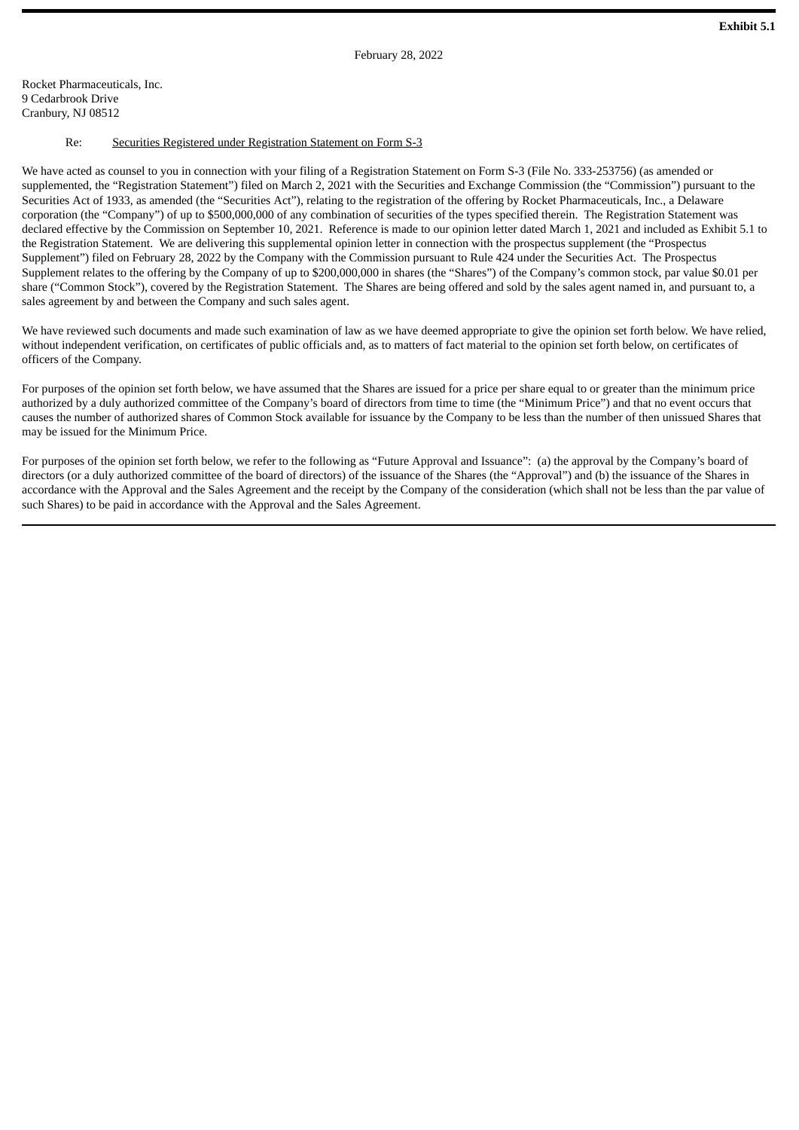### <span id="page-3-0"></span>Re: Securities Registered under Registration Statement on Form S-3

We have acted as counsel to you in connection with your filing of a Registration Statement on Form S-3 (File No. 333-253756) (as amended or supplemented, the "Registration Statement") filed on March 2, 2021 with the Securities and Exchange Commission (the "Commission") pursuant to the Securities Act of 1933, as amended (the "Securities Act"), relating to the registration of the offering by Rocket Pharmaceuticals, Inc., a Delaware corporation (the "Company") of up to \$500,000,000 of any combination of securities of the types specified therein. The Registration Statement was declared effective by the Commission on September 10, 2021. Reference is made to our opinion letter dated March 1, 2021 and included as Exhibit 5.1 to the Registration Statement. We are delivering this supplemental opinion letter in connection with the prospectus supplement (the "Prospectus Supplement") filed on February 28, 2022 by the Company with the Commission pursuant to Rule 424 under the Securities Act. The Prospectus Supplement relates to the offering by the Company of up to \$200,000,000 in shares (the "Shares") of the Company's common stock, par value \$0.01 per share ("Common Stock"), covered by the Registration Statement. The Shares are being offered and sold by the sales agent named in, and pursuant to, a sales agreement by and between the Company and such sales agent.

We have reviewed such documents and made such examination of law as we have deemed appropriate to give the opinion set forth below. We have relied, without independent verification, on certificates of public officials and, as to matters of fact material to the opinion set forth below, on certificates of officers of the Company.

For purposes of the opinion set forth below, we have assumed that the Shares are issued for a price per share equal to or greater than the minimum price authorized by a duly authorized committee of the Company's board of directors from time to time (the "Minimum Price") and that no event occurs that causes the number of authorized shares of Common Stock available for issuance by the Company to be less than the number of then unissued Shares that may be issued for the Minimum Price.

For purposes of the opinion set forth below, we refer to the following as "Future Approval and Issuance": (a) the approval by the Company's board of directors (or a duly authorized committee of the board of directors) of the issuance of the Shares (the "Approval") and (b) the issuance of the Shares in accordance with the Approval and the Sales Agreement and the receipt by the Company of the consideration (which shall not be less than the par value of such Shares) to be paid in accordance with the Approval and the Sales Agreement.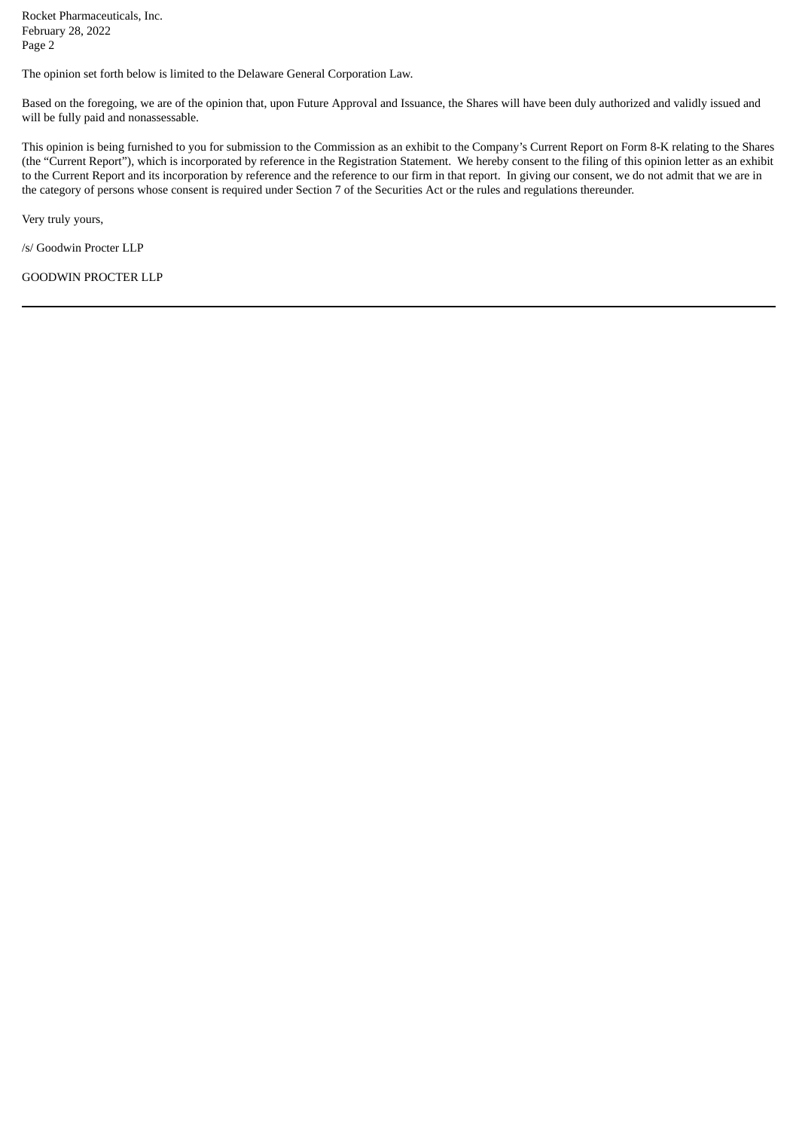Rocket Pharmaceuticals, Inc. February 28, 2022 Page 2

The opinion set forth below is limited to the Delaware General Corporation Law.

Based on the foregoing, we are of the opinion that, upon Future Approval and Issuance, the Shares will have been duly authorized and validly issued and will be fully paid and nonassessable.

This opinion is being furnished to you for submission to the Commission as an exhibit to the Company's Current Report on Form 8-K relating to the Shares (the "Current Report"), which is incorporated by reference in the Registration Statement. We hereby consent to the filing of this opinion letter as an exhibit to the Current Report and its incorporation by reference and the reference to our firm in that report. In giving our consent, we do not admit that we are in the category of persons whose consent is required under Section 7 of the Securities Act or the rules and regulations thereunder.

Very truly yours,

/s/ Goodwin Procter LLP

GOODWIN PROCTER LLP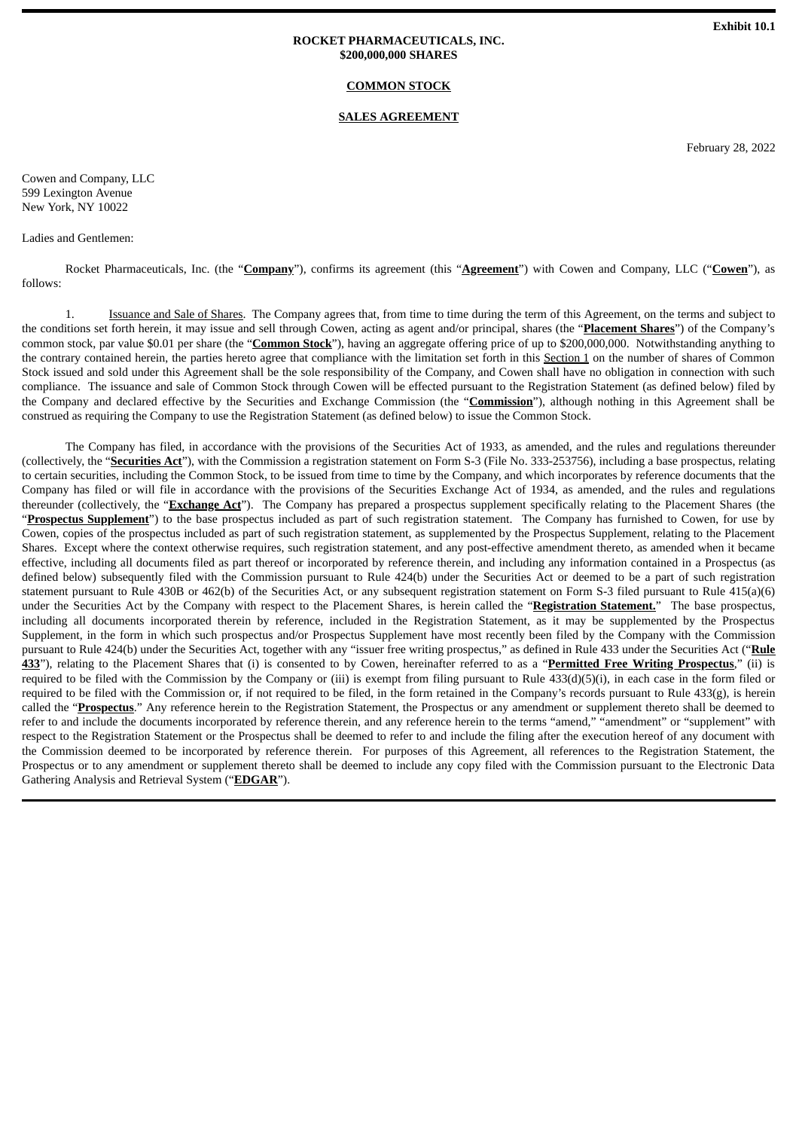#### **SALES AGREEMENT**

February 28, 2022

<span id="page-5-0"></span>Cowen and Company, LLC 599 Lexington Avenue New York, NY 10022

#### Ladies and Gentlemen:

Rocket Pharmaceuticals, Inc. (the "**Company**"), confirms its agreement (this "**Agreement**") with Cowen and Company, LLC ("**Cowen**"), as follows:

1. Issuance and Sale of Shares. The Company agrees that, from time to time during the term of this Agreement, on the terms and subject to the conditions set forth herein, it may issue and sell through Cowen, acting as agent and/or principal, shares (the "**Placement Shares**") of the Company's common stock, par value \$0.01 per share (the "**Common Stock**"), having an aggregate offering price of up to \$200,000,000. Notwithstanding anything to the contrary contained herein, the parties hereto agree that compliance with the limitation set forth in this Section 1 on the number of shares of Common Stock issued and sold under this Agreement shall be the sole responsibility of the Company, and Cowen shall have no obligation in connection with such compliance. The issuance and sale of Common Stock through Cowen will be effected pursuant to the Registration Statement (as defined below) filed by the Company and declared effective by the Securities and Exchange Commission (the "**Commission**"), although nothing in this Agreement shall be construed as requiring the Company to use the Registration Statement (as defined below) to issue the Common Stock.

The Company has filed, in accordance with the provisions of the Securities Act of 1933, as amended, and the rules and regulations thereunder (collectively, the "**Securities Act**"), with the Commission a registration statement on Form S-3 (File No. 333-253756), including a base prospectus, relating to certain securities, including the Common Stock, to be issued from time to time by the Company, and which incorporates by reference documents that the Company has filed or will file in accordance with the provisions of the Securities Exchange Act of 1934, as amended, and the rules and regulations thereunder (collectively, the "**Exchange Act**"). The Company has prepared a prospectus supplement specifically relating to the Placement Shares (the "**Prospectus Supplement**") to the base prospectus included as part of such registration statement. The Company has furnished to Cowen, for use by Cowen, copies of the prospectus included as part of such registration statement, as supplemented by the Prospectus Supplement, relating to the Placement Shares. Except where the context otherwise requires, such registration statement, and any post-effective amendment thereto, as amended when it became effective, including all documents filed as part thereof or incorporated by reference therein, and including any information contained in a Prospectus (as defined below) subsequently filed with the Commission pursuant to Rule 424(b) under the Securities Act or deemed to be a part of such registration statement pursuant to Rule 430B or 462(b) of the Securities Act, or any subsequent registration statement on Form S-3 filed pursuant to Rule 415(a)(6) under the Securities Act by the Company with respect to the Placement Shares, is herein called the "**Registration Statement.**" The base prospectus, including all documents incorporated therein by reference, included in the Registration Statement, as it may be supplemented by the Prospectus Supplement, in the form in which such prospectus and/or Prospectus Supplement have most recently been filed by the Company with the Commission pursuant to Rule 424(b) under the Securities Act, together with any "issuer free writing prospectus," as defined in Rule 433 under the Securities Act ("**Rule 433**"), relating to the Placement Shares that (i) is consented to by Cowen, hereinafter referred to as a "**Permitted Free Writing Prospectus**," (ii) is required to be filed with the Commission by the Company or (iii) is exempt from filing pursuant to Rule 433(d)(5)(i), in each case in the form filed or required to be filed with the Commission or, if not required to be filed, in the form retained in the Company's records pursuant to Rule 433(g), is herein called the "**Prospectus**." Any reference herein to the Registration Statement, the Prospectus or any amendment or supplement thereto shall be deemed to refer to and include the documents incorporated by reference therein, and any reference herein to the terms "amend," "amendment" or "supplement" with respect to the Registration Statement or the Prospectus shall be deemed to refer to and include the filing after the execution hereof of any document with the Commission deemed to be incorporated by reference therein. For purposes of this Agreement, all references to the Registration Statement, the Prospectus or to any amendment or supplement thereto shall be deemed to include any copy filed with the Commission pursuant to the Electronic Data Gathering Analysis and Retrieval System ("**EDGAR**").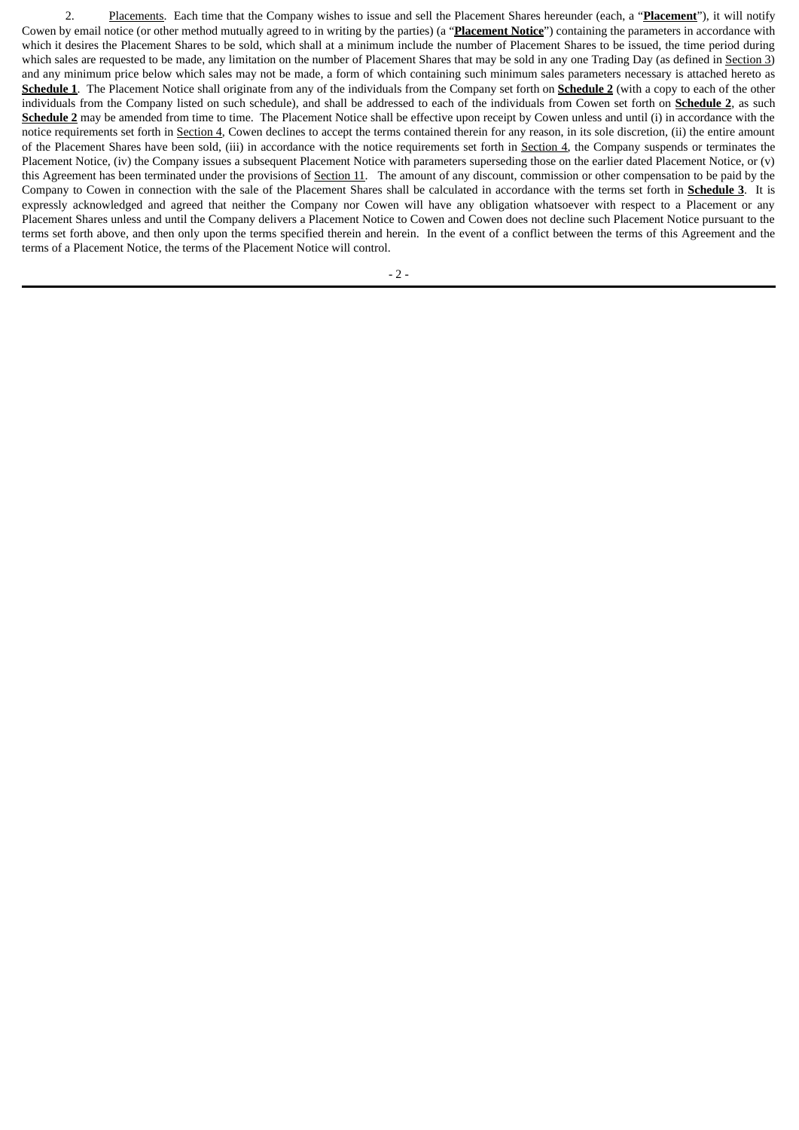2. Placements. Each time that the Company wishes to issue and sell the Placement Shares hereunder (each, a "**Placement**"), it will notify Cowen by email notice (or other method mutually agreed to in writing by the parties) (a "**Placement Notice**") containing the parameters in accordance with which it desires the Placement Shares to be sold, which shall at a minimum include the number of Placement Shares to be issued, the time period during which sales are requested to be made, any limitation on the number of Placement Shares that may be sold in any one Trading Day (as defined in Section 3) and any minimum price below which sales may not be made, a form of which containing such minimum sales parameters necessary is attached hereto as **Schedule 1**. The Placement Notice shall originate from any of the individuals from the Company set forth on **Schedule 2** (with a copy to each of the other individuals from the Company listed on such schedule), and shall be addressed to each of the individuals from Cowen set forth on **Schedule 2**, as such **Schedule 2** may be amended from time to time. The Placement Notice shall be effective upon receipt by Cowen unless and until (i) in accordance with the notice requirements set forth in Section 4, Cowen declines to accept the terms contained therein for any reason, in its sole discretion, (ii) the entire amount of the Placement Shares have been sold, (iii) in accordance with the notice requirements set forth in Section 4, the Company suspends or terminates the Placement Notice, (iv) the Company issues a subsequent Placement Notice with parameters superseding those on the earlier dated Placement Notice, or (v) this Agreement has been terminated under the provisions of Section 11. The amount of any discount, commission or other compensation to be paid by the Company to Cowen in connection with the sale of the Placement Shares shall be calculated in accordance with the terms set forth in **Schedule 3**. It is expressly acknowledged and agreed that neither the Company nor Cowen will have any obligation whatsoever with respect to a Placement or any Placement Shares unless and until the Company delivers a Placement Notice to Cowen and Cowen does not decline such Placement Notice pursuant to the terms set forth above, and then only upon the terms specified therein and herein. In the event of a conflict between the terms of this Agreement and the terms of a Placement Notice, the terms of the Placement Notice will control.

 $-2-$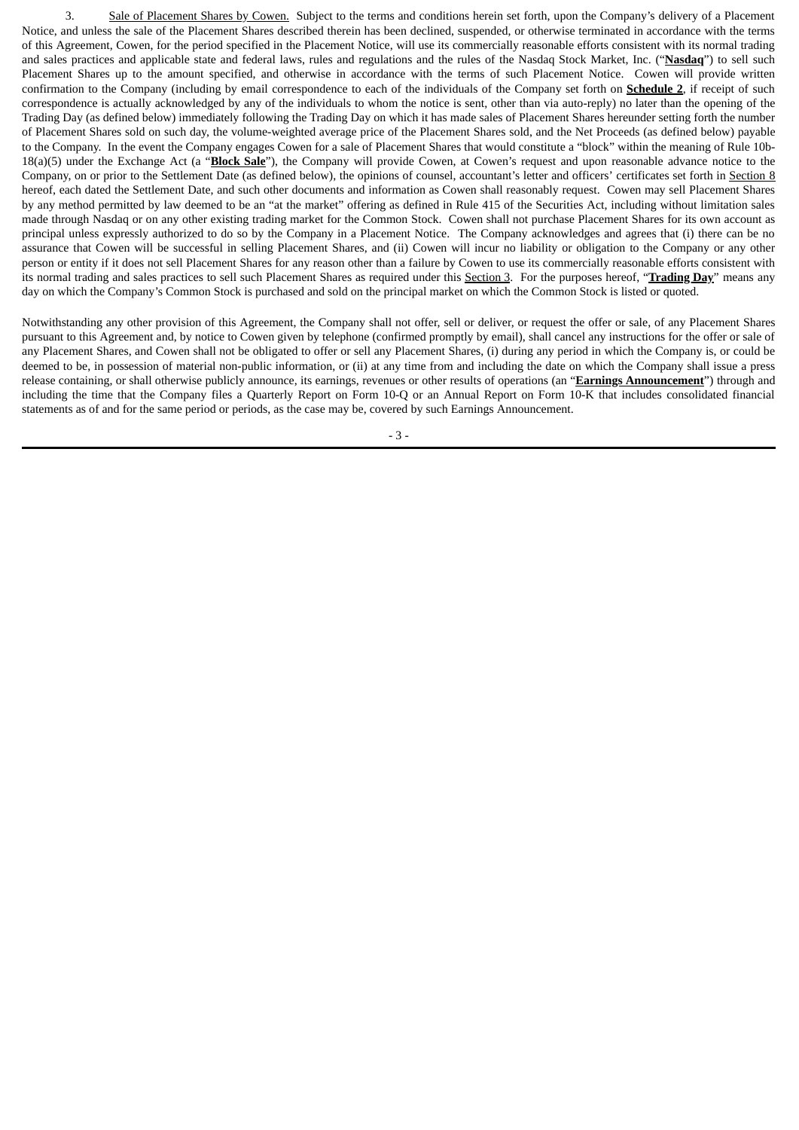3. Sale of Placement Shares by Cowen. Subject to the terms and conditions herein set forth, upon the Company's delivery of a Placement Notice, and unless the sale of the Placement Shares described therein has been declined, suspended, or otherwise terminated in accordance with the terms of this Agreement, Cowen, for the period specified in the Placement Notice, will use its commercially reasonable efforts consistent with its normal trading and sales practices and applicable state and federal laws, rules and regulations and the rules of the Nasdaq Stock Market, Inc. ("**Nasdaq**") to sell such Placement Shares up to the amount specified, and otherwise in accordance with the terms of such Placement Notice. Cowen will provide written confirmation to the Company (including by email correspondence to each of the individuals of the Company set forth on **Schedule 2**, if receipt of such correspondence is actually acknowledged by any of the individuals to whom the notice is sent, other than via auto-reply) no later than the opening of the Trading Day (as defined below) immediately following the Trading Day on which it has made sales of Placement Shares hereunder setting forth the number of Placement Shares sold on such day, the volume-weighted average price of the Placement Shares sold, and the Net Proceeds (as defined below) payable to the Company. In the event the Company engages Cowen for a sale of Placement Shares that would constitute a "block" within the meaning of Rule 10b-18(a)(5) under the Exchange Act (a "**Block Sale**"), the Company will provide Cowen, at Cowen's request and upon reasonable advance notice to the Company, on or prior to the Settlement Date (as defined below), the opinions of counsel, accountant's letter and officers' certificates set forth in Section 8 hereof, each dated the Settlement Date, and such other documents and information as Cowen shall reasonably request. Cowen may sell Placement Shares by any method permitted by law deemed to be an "at the market" offering as defined in Rule 415 of the Securities Act, including without limitation sales made through Nasdaq or on any other existing trading market for the Common Stock. Cowen shall not purchase Placement Shares for its own account as principal unless expressly authorized to do so by the Company in a Placement Notice. The Company acknowledges and agrees that (i) there can be no assurance that Cowen will be successful in selling Placement Shares, and (ii) Cowen will incur no liability or obligation to the Company or any other person or entity if it does not sell Placement Shares for any reason other than a failure by Cowen to use its commercially reasonable efforts consistent with its normal trading and sales practices to sell such Placement Shares as required under this Section 3. For the purposes hereof, "**Trading Day**" means any day on which the Company's Common Stock is purchased and sold on the principal market on which the Common Stock is listed or quoted.

Notwithstanding any other provision of this Agreement, the Company shall not offer, sell or deliver, or request the offer or sale, of any Placement Shares pursuant to this Agreement and, by notice to Cowen given by telephone (confirmed promptly by email), shall cancel any instructions for the offer or sale of any Placement Shares, and Cowen shall not be obligated to offer or sell any Placement Shares, (i) during any period in which the Company is, or could be deemed to be, in possession of material non-public information, or (ii) at any time from and including the date on which the Company shall issue a press release containing, or shall otherwise publicly announce, its earnings, revenues or other results of operations (an "**Earnings Announcement**") through and including the time that the Company files a Quarterly Report on Form 10-Q or an Annual Report on Form 10-K that includes consolidated financial statements as of and for the same period or periods, as the case may be, covered by such Earnings Announcement.

- 3 -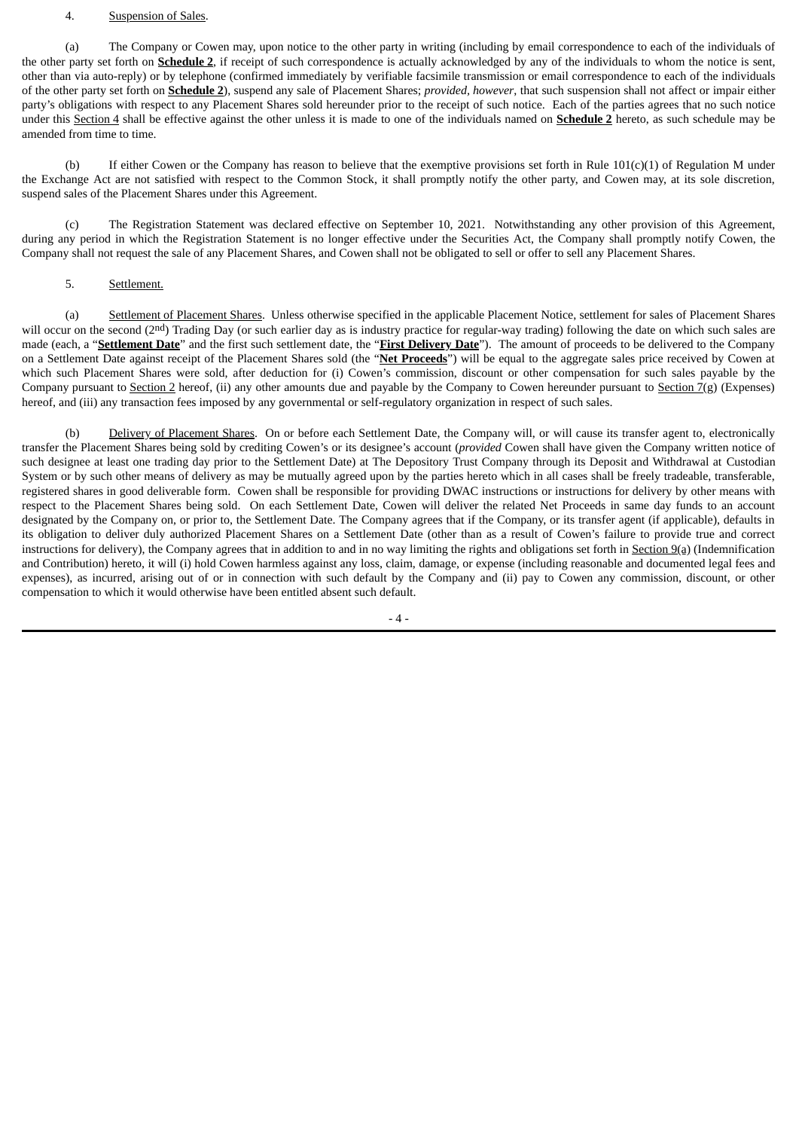#### 4. Suspension of Sales.

(a) The Company or Cowen may, upon notice to the other party in writing (including by email correspondence to each of the individuals of the other party set forth on **Schedule 2**, if receipt of such correspondence is actually acknowledged by any of the individuals to whom the notice is sent, other than via auto-reply) or by telephone (confirmed immediately by verifiable facsimile transmission or email correspondence to each of the individuals of the other party set forth on **Schedule 2**), suspend any sale of Placement Shares; *provided, however*, that such suspension shall not affect or impair either party's obligations with respect to any Placement Shares sold hereunder prior to the receipt of such notice. Each of the parties agrees that no such notice under this Section 4 shall be effective against the other unless it is made to one of the individuals named on **Schedule 2** hereto, as such schedule may be amended from time to time.

(b) If either Cowen or the Company has reason to believe that the exemptive provisions set forth in Rule 101(c)(1) of Regulation M under the Exchange Act are not satisfied with respect to the Common Stock, it shall promptly notify the other party, and Cowen may, at its sole discretion, suspend sales of the Placement Shares under this Agreement.

(c) The Registration Statement was declared effective on September 10, 2021. Notwithstanding any other provision of this Agreement, during any period in which the Registration Statement is no longer effective under the Securities Act, the Company shall promptly notify Cowen, the Company shall not request the sale of any Placement Shares, and Cowen shall not be obligated to sell or offer to sell any Placement Shares.

#### 5. Settlement.

(a) Settlement of Placement Shares. Unless otherwise specified in the applicable Placement Notice, settlement for sales of Placement Shares will occur on the second (2nd) Trading Day (or such earlier day as is industry practice for regular-way trading) following the date on which such sales are made (each, a "**Settlement Date**" and the first such settlement date, the "**First Delivery Date**"). The amount of proceeds to be delivered to the Company on a Settlement Date against receipt of the Placement Shares sold (the "**Net Proceeds**") will be equal to the aggregate sales price received by Cowen at which such Placement Shares were sold, after deduction for (i) Cowen's commission, discount or other compensation for such sales payable by the Company pursuant to Section 2 hereof, (ii) any other amounts due and payable by the Company to Cowen hereunder pursuant to Section 7(g) (Expenses) hereof, and (iii) any transaction fees imposed by any governmental or self-regulatory organization in respect of such sales.

(b) Delivery of Placement Shares. On or before each Settlement Date, the Company will, or will cause its transfer agent to, electronically transfer the Placement Shares being sold by crediting Cowen's or its designee's account (*provided* Cowen shall have given the Company written notice of such designee at least one trading day prior to the Settlement Date) at The Depository Trust Company through its Deposit and Withdrawal at Custodian System or by such other means of delivery as may be mutually agreed upon by the parties hereto which in all cases shall be freely tradeable, transferable, registered shares in good deliverable form. Cowen shall be responsible for providing DWAC instructions or instructions for delivery by other means with respect to the Placement Shares being sold. On each Settlement Date, Cowen will deliver the related Net Proceeds in same day funds to an account designated by the Company on, or prior to, the Settlement Date. The Company agrees that if the Company, or its transfer agent (if applicable), defaults in its obligation to deliver duly authorized Placement Shares on a Settlement Date (other than as a result of Cowen's failure to provide true and correct instructions for delivery), the Company agrees that in addition to and in no way limiting the rights and obligations set forth in  $Section 9(a)$  (Indemnification and Contribution) hereto, it will (i) hold Cowen harmless against any loss, claim, damage, or expense (including reasonable and documented legal fees and expenses), as incurred, arising out of or in connection with such default by the Company and (ii) pay to Cowen any commission, discount, or other compensation to which it would otherwise have been entitled absent such default.

 $-4-$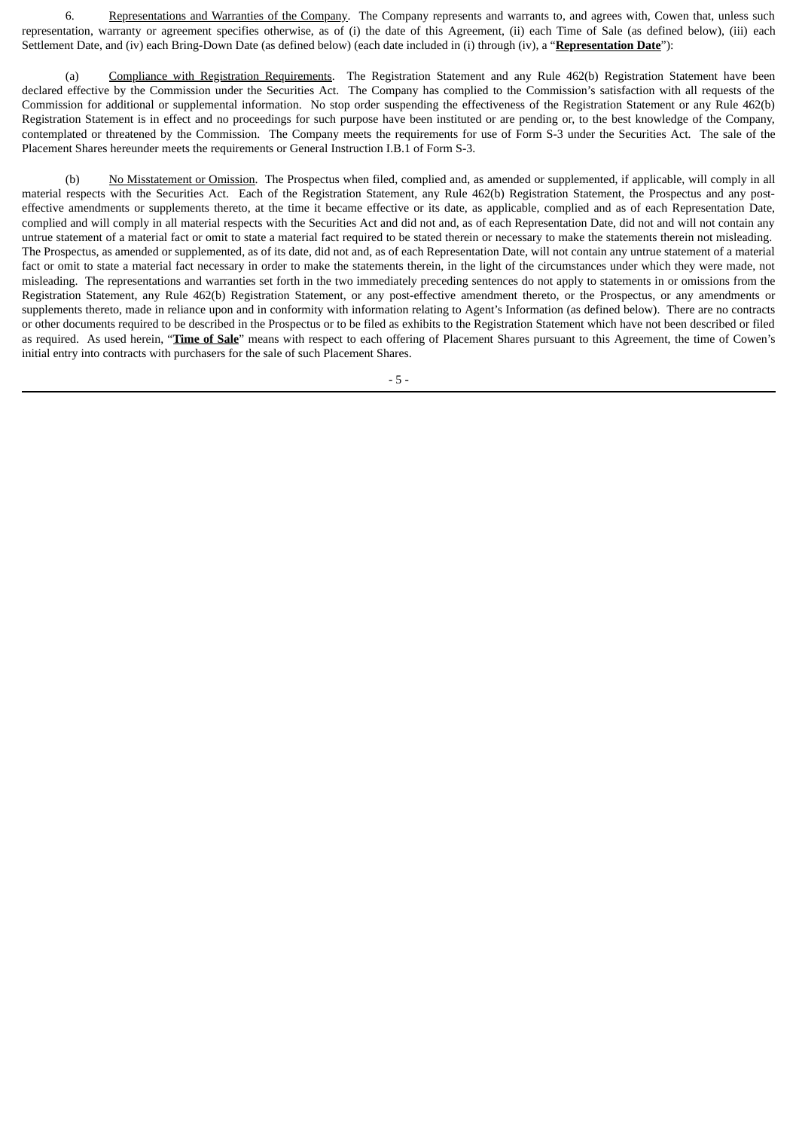6. Representations and Warranties of the Company. The Company represents and warrants to, and agrees with, Cowen that, unless such representation, warranty or agreement specifies otherwise, as of (i) the date of this Agreement, (ii) each Time of Sale (as defined below), (iii) each Settlement Date, and (iv) each Bring-Down Date (as defined below) (each date included in (i) through (iv), a "**Representation Date**"):

(a) Compliance with Registration Requirements. The Registration Statement and any Rule 462(b) Registration Statement have been declared effective by the Commission under the Securities Act. The Company has complied to the Commission's satisfaction with all requests of the Commission for additional or supplemental information. No stop order suspending the effectiveness of the Registration Statement or any Rule 462(b) Registration Statement is in effect and no proceedings for such purpose have been instituted or are pending or, to the best knowledge of the Company, contemplated or threatened by the Commission. The Company meets the requirements for use of Form S‑3 under the Securities Act. The sale of the Placement Shares hereunder meets the requirements or General Instruction I.B.1 of Form S-3.

(b) No Misstatement or Omission. The Prospectus when filed, complied and, as amended or supplemented, if applicable, will comply in all material respects with the Securities Act. Each of the Registration Statement, any Rule 462(b) Registration Statement, the Prospectus and any posteffective amendments or supplements thereto, at the time it became effective or its date, as applicable, complied and as of each Representation Date, complied and will comply in all material respects with the Securities Act and did not and, as of each Representation Date, did not and will not contain any untrue statement of a material fact or omit to state a material fact required to be stated therein or necessary to make the statements therein not misleading. The Prospectus, as amended or supplemented, as of its date, did not and, as of each Representation Date, will not contain any untrue statement of a material fact or omit to state a material fact necessary in order to make the statements therein, in the light of the circumstances under which they were made, not misleading. The representations and warranties set forth in the two immediately preceding sentences do not apply to statements in or omissions from the Registration Statement, any Rule 462(b) Registration Statement, or any post-effective amendment thereto, or the Prospectus, or any amendments or supplements thereto, made in reliance upon and in conformity with information relating to Agent's Information (as defined below). There are no contracts or other documents required to be described in the Prospectus or to be filed as exhibits to the Registration Statement which have not been described or filed as required. As used herein, "**Time of Sale**" means with respect to each offering of Placement Shares pursuant to this Agreement, the time of Cowen's initial entry into contracts with purchasers for the sale of such Placement Shares.

- 5 -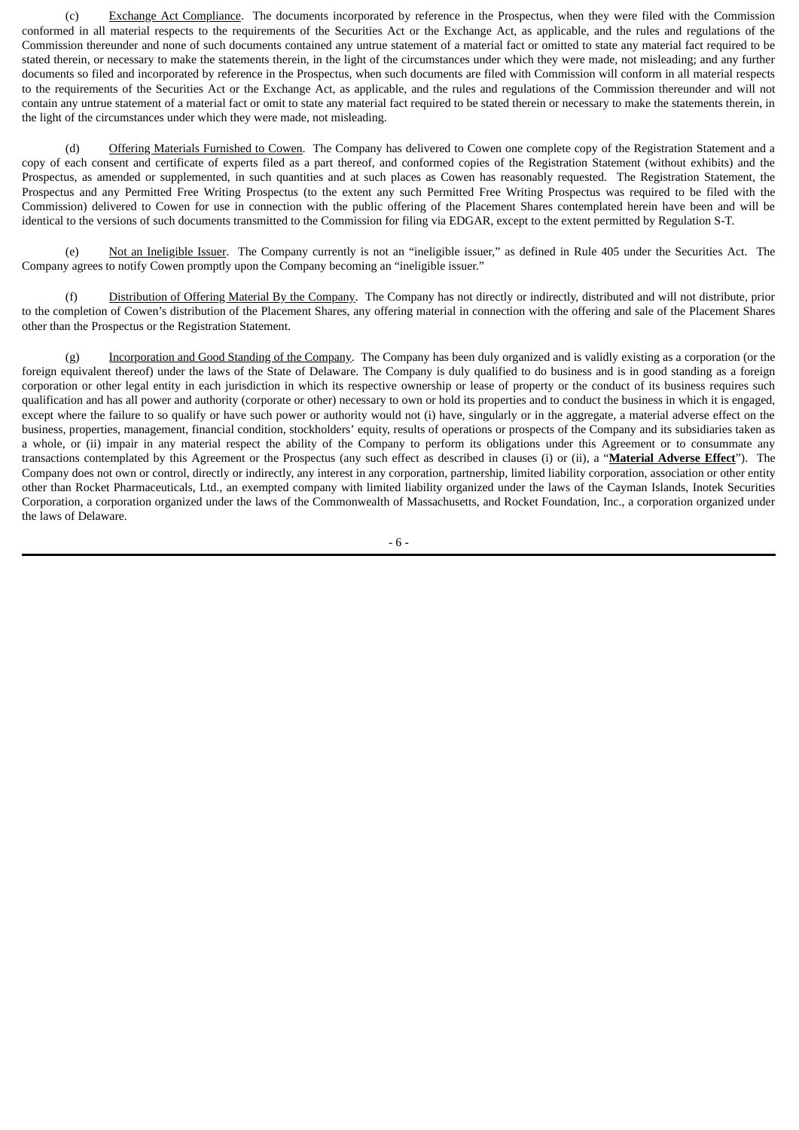(c) Exchange Act Compliance. The documents incorporated by reference in the Prospectus, when they were filed with the Commission conformed in all material respects to the requirements of the Securities Act or the Exchange Act, as applicable, and the rules and regulations of the Commission thereunder and none of such documents contained any untrue statement of a material fact or omitted to state any material fact required to be stated therein, or necessary to make the statements therein, in the light of the circumstances under which they were made, not misleading; and any further documents so filed and incorporated by reference in the Prospectus, when such documents are filed with Commission will conform in all material respects to the requirements of the Securities Act or the Exchange Act, as applicable, and the rules and regulations of the Commission thereunder and will not contain any untrue statement of a material fact or omit to state any material fact required to be stated therein or necessary to make the statements therein, in the light of the circumstances under which they were made, not misleading.

(d) Offering Materials Furnished to Cowen. The Company has delivered to Cowen one complete copy of the Registration Statement and a copy of each consent and certificate of experts filed as a part thereof, and conformed copies of the Registration Statement (without exhibits) and the Prospectus, as amended or supplemented, in such quantities and at such places as Cowen has reasonably requested. The Registration Statement, the Prospectus and any Permitted Free Writing Prospectus (to the extent any such Permitted Free Writing Prospectus was required to be filed with the Commission) delivered to Cowen for use in connection with the public offering of the Placement Shares contemplated herein have been and will be identical to the versions of such documents transmitted to the Commission for filing via EDGAR, except to the extent permitted by Regulation S-T.

(e) Not an Ineligible Issuer. The Company currently is not an "ineligible issuer," as defined in Rule 405 under the Securities Act. The Company agrees to notify Cowen promptly upon the Company becoming an "ineligible issuer."

(f) Distribution of Offering Material By the Company. The Company has not directly or indirectly, distributed and will not distribute, prior to the completion of Cowen's distribution of the Placement Shares, any offering material in connection with the offering and sale of the Placement Shares other than the Prospectus or the Registration Statement.

(g) Incorporation and Good Standing of the Company. The Company has been duly organized and is validly existing as a corporation (or the foreign equivalent thereof) under the laws of the State of Delaware. The Company is duly qualified to do business and is in good standing as a foreign corporation or other legal entity in each jurisdiction in which its respective ownership or lease of property or the conduct of its business requires such qualification and has all power and authority (corporate or other) necessary to own or hold its properties and to conduct the business in which it is engaged, except where the failure to so qualify or have such power or authority would not (i) have, singularly or in the aggregate, a material adverse effect on the business, properties, management, financial condition, stockholders' equity, results of operations or prospects of the Company and its subsidiaries taken as a whole, or (ii) impair in any material respect the ability of the Company to perform its obligations under this Agreement or to consummate any transactions contemplated by this Agreement or the Prospectus (any such effect as described in clauses (i) or (ii), a "**Material Adverse Effect**"). The Company does not own or control, directly or indirectly, any interest in any corporation, partnership, limited liability corporation, association or other entity other than Rocket Pharmaceuticals, Ltd., an exempted company with limited liability organized under the laws of the Cayman Islands, Inotek Securities Corporation, a corporation organized under the laws of the Commonwealth of Massachusetts, and Rocket Foundation, Inc., a corporation organized under the laws of Delaware.

- 6 -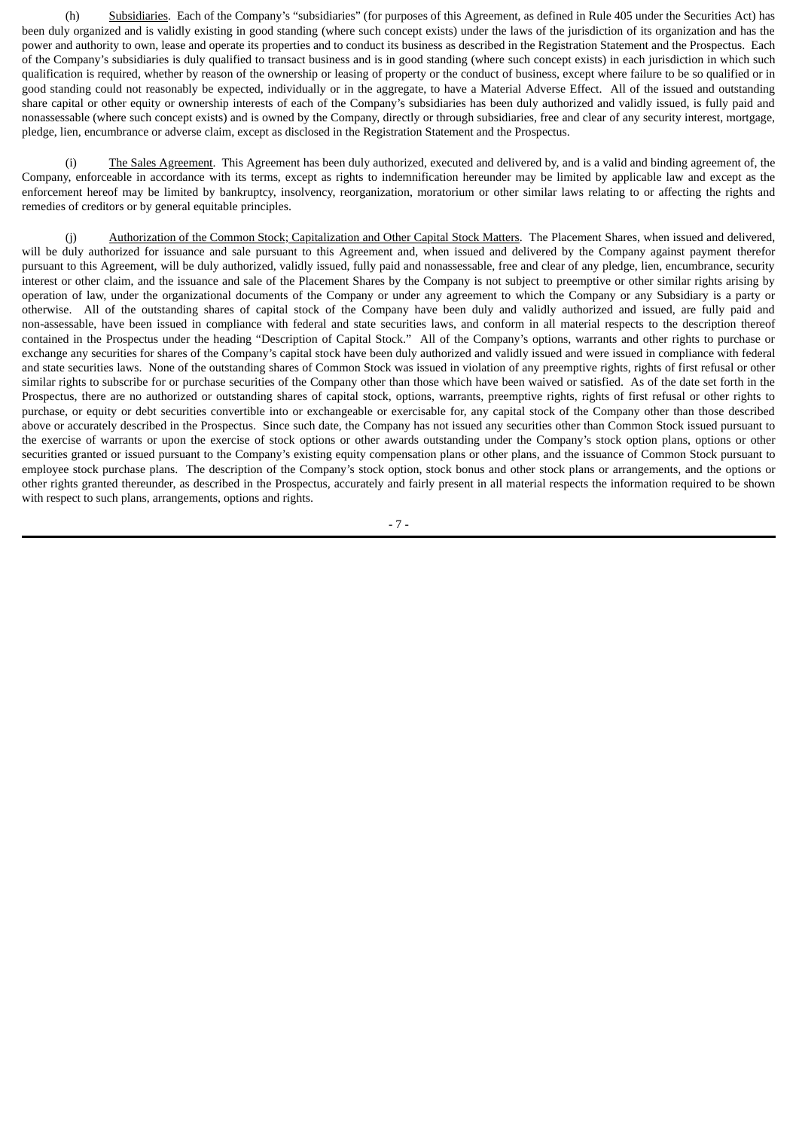(h) Subsidiaries. Each of the Company's "subsidiaries" (for purposes of this Agreement, as defined in Rule 405 under the Securities Act) has been duly organized and is validly existing in good standing (where such concept exists) under the laws of the jurisdiction of its organization and has the power and authority to own, lease and operate its properties and to conduct its business as described in the Registration Statement and the Prospectus. Each of the Company's subsidiaries is duly qualified to transact business and is in good standing (where such concept exists) in each jurisdiction in which such qualification is required, whether by reason of the ownership or leasing of property or the conduct of business, except where failure to be so qualified or in good standing could not reasonably be expected, individually or in the aggregate, to have a Material Adverse Effect. All of the issued and outstanding share capital or other equity or ownership interests of each of the Company's subsidiaries has been duly authorized and validly issued, is fully paid and nonassessable (where such concept exists) and is owned by the Company, directly or through subsidiaries, free and clear of any security interest, mortgage, pledge, lien, encumbrance or adverse claim, except as disclosed in the Registration Statement and the Prospectus.

(i) The Sales Agreement. This Agreement has been duly authorized, executed and delivered by, and is a valid and binding agreement of, the Company, enforceable in accordance with its terms, except as rights to indemnification hereunder may be limited by applicable law and except as the enforcement hereof may be limited by bankruptcy, insolvency, reorganization, moratorium or other similar laws relating to or affecting the rights and remedies of creditors or by general equitable principles.

(j) Authorization of the Common Stock; Capitalization and Other Capital Stock Matters. The Placement Shares, when issued and delivered, will be duly authorized for issuance and sale pursuant to this Agreement and, when issued and delivered by the Company against payment therefor pursuant to this Agreement, will be duly authorized, validly issued, fully paid and nonassessable, free and clear of any pledge, lien, encumbrance, security interest or other claim, and the issuance and sale of the Placement Shares by the Company is not subject to preemptive or other similar rights arising by operation of law, under the organizational documents of the Company or under any agreement to which the Company or any Subsidiary is a party or otherwise. All of the outstanding shares of capital stock of the Company have been duly and validly authorized and issued, are fully paid and non‑assessable, have been issued in compliance with federal and state securities laws, and conform in all material respects to the description thereof contained in the Prospectus under the heading "Description of Capital Stock." All of the Company's options, warrants and other rights to purchase or exchange any securities for shares of the Company's capital stock have been duly authorized and validly issued and were issued in compliance with federal and state securities laws. None of the outstanding shares of Common Stock was issued in violation of any preemptive rights, rights of first refusal or other similar rights to subscribe for or purchase securities of the Company other than those which have been waived or satisfied. As of the date set forth in the Prospectus, there are no authorized or outstanding shares of capital stock, options, warrants, preemptive rights, rights of first refusal or other rights to purchase, or equity or debt securities convertible into or exchangeable or exercisable for, any capital stock of the Company other than those described above or accurately described in the Prospectus. Since such date, the Company has not issued any securities other than Common Stock issued pursuant to the exercise of warrants or upon the exercise of stock options or other awards outstanding under the Company's stock option plans, options or other securities granted or issued pursuant to the Company's existing equity compensation plans or other plans, and the issuance of Common Stock pursuant to employee stock purchase plans. The description of the Company's stock option, stock bonus and other stock plans or arrangements, and the options or other rights granted thereunder, as described in the Prospectus, accurately and fairly present in all material respects the information required to be shown with respect to such plans, arrangements, options and rights.

- 7 -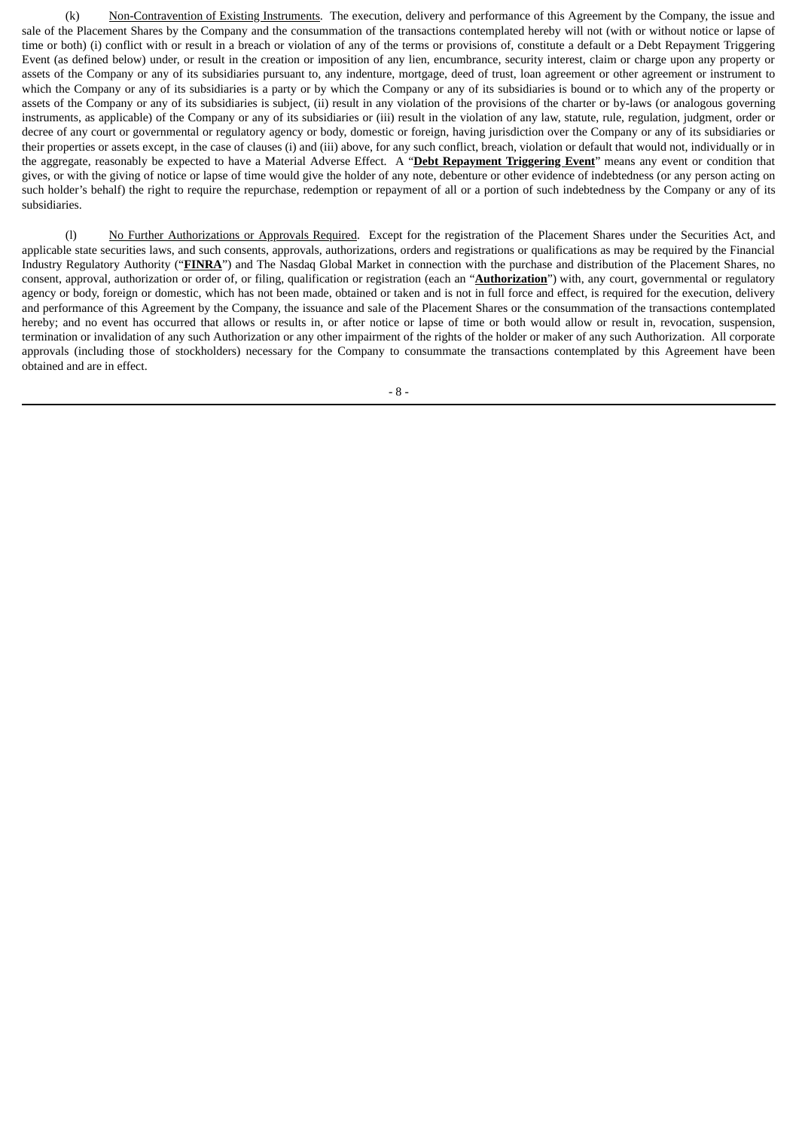(k) Non-Contravention of Existing Instruments. The execution, delivery and performance of this Agreement by the Company, the issue and sale of the Placement Shares by the Company and the consummation of the transactions contemplated hereby will not (with or without notice or lapse of time or both) (i) conflict with or result in a breach or violation of any of the terms or provisions of, constitute a default or a Debt Repayment Triggering Event (as defined below) under, or result in the creation or imposition of any lien, encumbrance, security interest, claim or charge upon any property or assets of the Company or any of its subsidiaries pursuant to, any indenture, mortgage, deed of trust, loan agreement or other agreement or instrument to which the Company or any of its subsidiaries is a party or by which the Company or any of its subsidiaries is bound or to which any of the property or assets of the Company or any of its subsidiaries is subject, (ii) result in any violation of the provisions of the charter or by-laws (or analogous governing instruments, as applicable) of the Company or any of its subsidiaries or (iii) result in the violation of any law, statute, rule, regulation, judgment, order or decree of any court or governmental or regulatory agency or body, domestic or foreign, having jurisdiction over the Company or any of its subsidiaries or their properties or assets except, in the case of clauses (i) and (iii) above, for any such conflict, breach, violation or default that would not, individually or in the aggregate, reasonably be expected to have a Material Adverse Effect. A "**Debt Repayment Triggering Event**" means any event or condition that gives, or with the giving of notice or lapse of time would give the holder of any note, debenture or other evidence of indebtedness (or any person acting on such holder's behalf) the right to require the repurchase, redemption or repayment of all or a portion of such indebtedness by the Company or any of its subsidiaries.

(l) No Further Authorizations or Approvals Required. Except for the registration of the Placement Shares under the Securities Act, and applicable state securities laws, and such consents, approvals, authorizations, orders and registrations or qualifications as may be required by the Financial Industry Regulatory Authority ("**FINRA**") and The Nasdaq Global Market in connection with the purchase and distribution of the Placement Shares, no consent, approval, authorization or order of, or filing, qualification or registration (each an "**Authorization**") with, any court, governmental or regulatory agency or body, foreign or domestic, which has not been made, obtained or taken and is not in full force and effect, is required for the execution, delivery and performance of this Agreement by the Company, the issuance and sale of the Placement Shares or the consummation of the transactions contemplated hereby; and no event has occurred that allows or results in, or after notice or lapse of time or both would allow or result in, revocation, suspension, termination or invalidation of any such Authorization or any other impairment of the rights of the holder or maker of any such Authorization. All corporate approvals (including those of stockholders) necessary for the Company to consummate the transactions contemplated by this Agreement have been obtained and are in effect.

- 8 -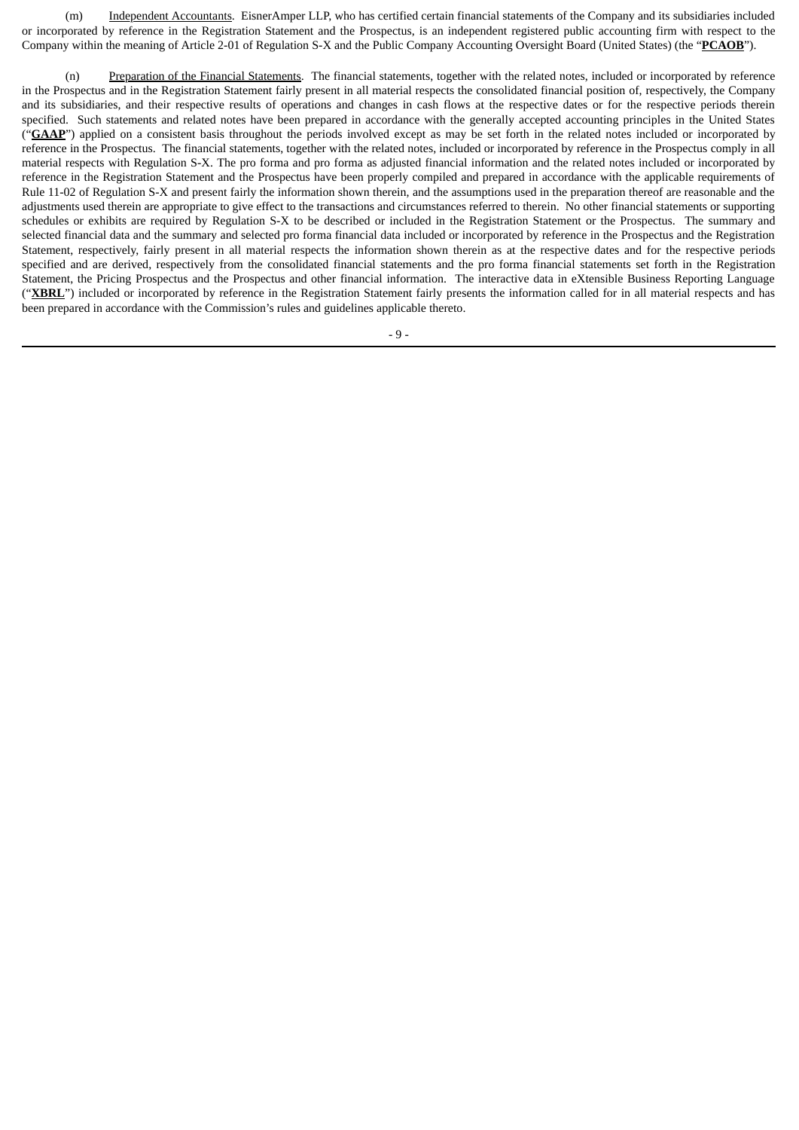(m) Independent Accountants. EisnerAmper LLP, who has certified certain financial statements of the Company and its subsidiaries included or incorporated by reference in the Registration Statement and the Prospectus, is an independent registered public accounting firm with respect to the Company within the meaning of Article 2‑01 of Regulation S‑X and the Public Company Accounting Oversight Board (United States) (the "**PCAOB**").

(n) Preparation of the Financial Statements. The financial statements, together with the related notes, included or incorporated by reference in the Prospectus and in the Registration Statement fairly present in all material respects the consolidated financial position of, respectively, the Company and its subsidiaries, and their respective results of operations and changes in cash flows at the respective dates or for the respective periods therein specified. Such statements and related notes have been prepared in accordance with the generally accepted accounting principles in the United States ("GAAP") applied on a consistent basis throughout the periods involved except as may be set forth in the related notes included or incorporated by reference in the Prospectus. The financial statements, together with the related notes, included or incorporated by reference in the Prospectus comply in all material respects with Regulation S‑X. The pro forma and pro forma as adjusted financial information and the related notes included or incorporated by reference in the Registration Statement and the Prospectus have been properly compiled and prepared in accordance with the applicable requirements of Rule 11-02 of Regulation S-X and present fairly the information shown therein, and the assumptions used in the preparation thereof are reasonable and the adjustments used therein are appropriate to give effect to the transactions and circumstances referred to therein. No other financial statements or supporting schedules or exhibits are required by Regulation S-X to be described or included in the Registration Statement or the Prospectus. The summary and selected financial data and the summary and selected pro forma financial data included or incorporated by reference in the Prospectus and the Registration Statement, respectively, fairly present in all material respects the information shown therein as at the respective dates and for the respective periods specified and are derived, respectively from the consolidated financial statements and the pro forma financial statements set forth in the Registration Statement, the Pricing Prospectus and the Prospectus and other financial information. The interactive data in eXtensible Business Reporting Language ("**XBRL**") included or incorporated by reference in the Registration Statement fairly presents the information called for in all material respects and has been prepared in accordance with the Commission's rules and guidelines applicable thereto.

- 9 -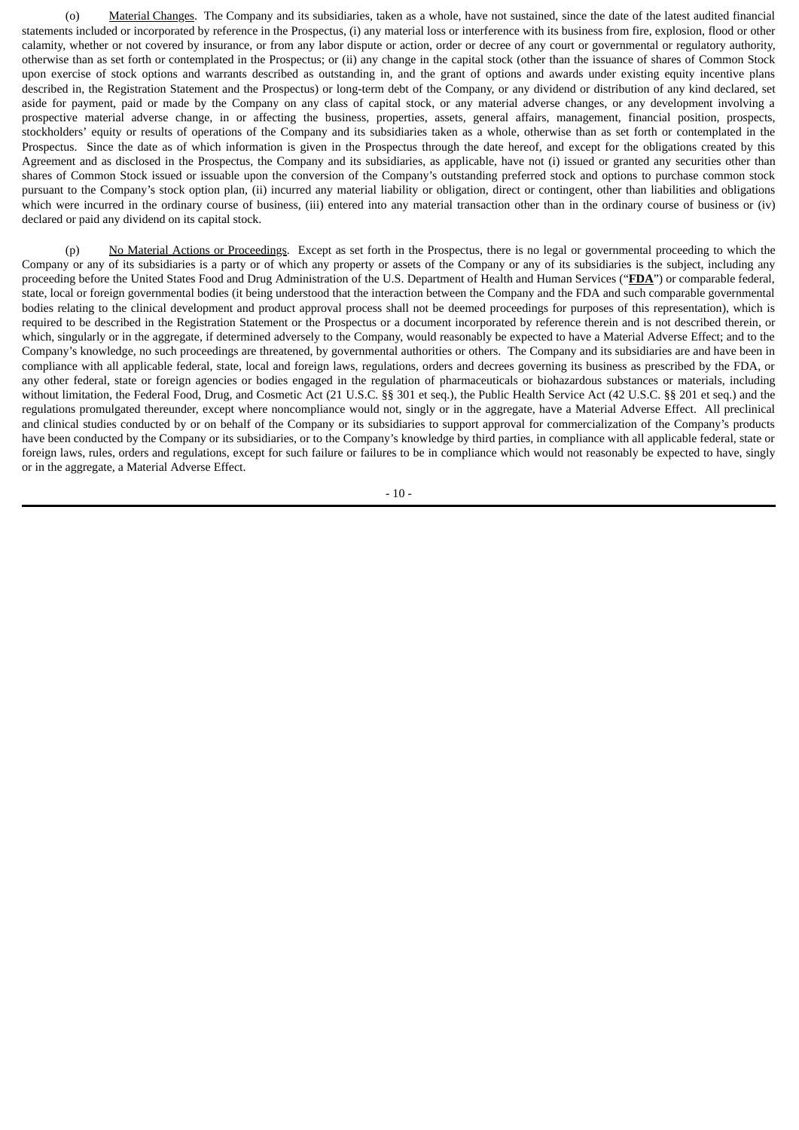(o) Material Changes. The Company and its subsidiaries, taken as a whole, have not sustained, since the date of the latest audited financial statements included or incorporated by reference in the Prospectus, (i) any material loss or interference with its business from fire, explosion, flood or other calamity, whether or not covered by insurance, or from any labor dispute or action, order or decree of any court or governmental or regulatory authority, otherwise than as set forth or contemplated in the Prospectus; or (ii) any change in the capital stock (other than the issuance of shares of Common Stock upon exercise of stock options and warrants described as outstanding in, and the grant of options and awards under existing equity incentive plans described in, the Registration Statement and the Prospectus) or long-term debt of the Company, or any dividend or distribution of any kind declared, set aside for payment, paid or made by the Company on any class of capital stock, or any material adverse changes, or any development involving a prospective material adverse change, in or affecting the business, properties, assets, general affairs, management, financial position, prospects, stockholders' equity or results of operations of the Company and its subsidiaries taken as a whole, otherwise than as set forth or contemplated in the Prospectus. Since the date as of which information is given in the Prospectus through the date hereof, and except for the obligations created by this Agreement and as disclosed in the Prospectus, the Company and its subsidiaries, as applicable, have not (i) issued or granted any securities other than shares of Common Stock issued or issuable upon the conversion of the Company's outstanding preferred stock and options to purchase common stock pursuant to the Company's stock option plan, (ii) incurred any material liability or obligation, direct or contingent, other than liabilities and obligations which were incurred in the ordinary course of business, (iii) entered into any material transaction other than in the ordinary course of business or (iv) declared or paid any dividend on its capital stock.

(p) No Material Actions or Proceedings. Except as set forth in the Prospectus, there is no legal or governmental proceeding to which the Company or any of its subsidiaries is a party or of which any property or assets of the Company or any of its subsidiaries is the subject, including any proceeding before the United States Food and Drug Administration of the U.S. Department of Health and Human Services ("**FDA**") or comparable federal, state, local or foreign governmental bodies (it being understood that the interaction between the Company and the FDA and such comparable governmental bodies relating to the clinical development and product approval process shall not be deemed proceedings for purposes of this representation), which is required to be described in the Registration Statement or the Prospectus or a document incorporated by reference therein and is not described therein, or which, singularly or in the aggregate, if determined adversely to the Company, would reasonably be expected to have a Material Adverse Effect; and to the Company's knowledge, no such proceedings are threatened, by governmental authorities or others. The Company and its subsidiaries are and have been in compliance with all applicable federal, state, local and foreign laws, regulations, orders and decrees governing its business as prescribed by the FDA, or any other federal, state or foreign agencies or bodies engaged in the regulation of pharmaceuticals or biohazardous substances or materials, including without limitation, the Federal Food, Drug, and Cosmetic Act (21 U.S.C. §§ 301 et seq.), the Public Health Service Act (42 U.S.C. §§ 201 et seq.) and the regulations promulgated thereunder, except where noncompliance would not, singly or in the aggregate, have a Material Adverse Effect. All preclinical and clinical studies conducted by or on behalf of the Company or its subsidiaries to support approval for commercialization of the Company's products have been conducted by the Company or its subsidiaries, or to the Company's knowledge by third parties, in compliance with all applicable federal, state or foreign laws, rules, orders and regulations, except for such failure or failures to be in compliance which would not reasonably be expected to have, singly or in the aggregate, a Material Adverse Effect.

 $-10-$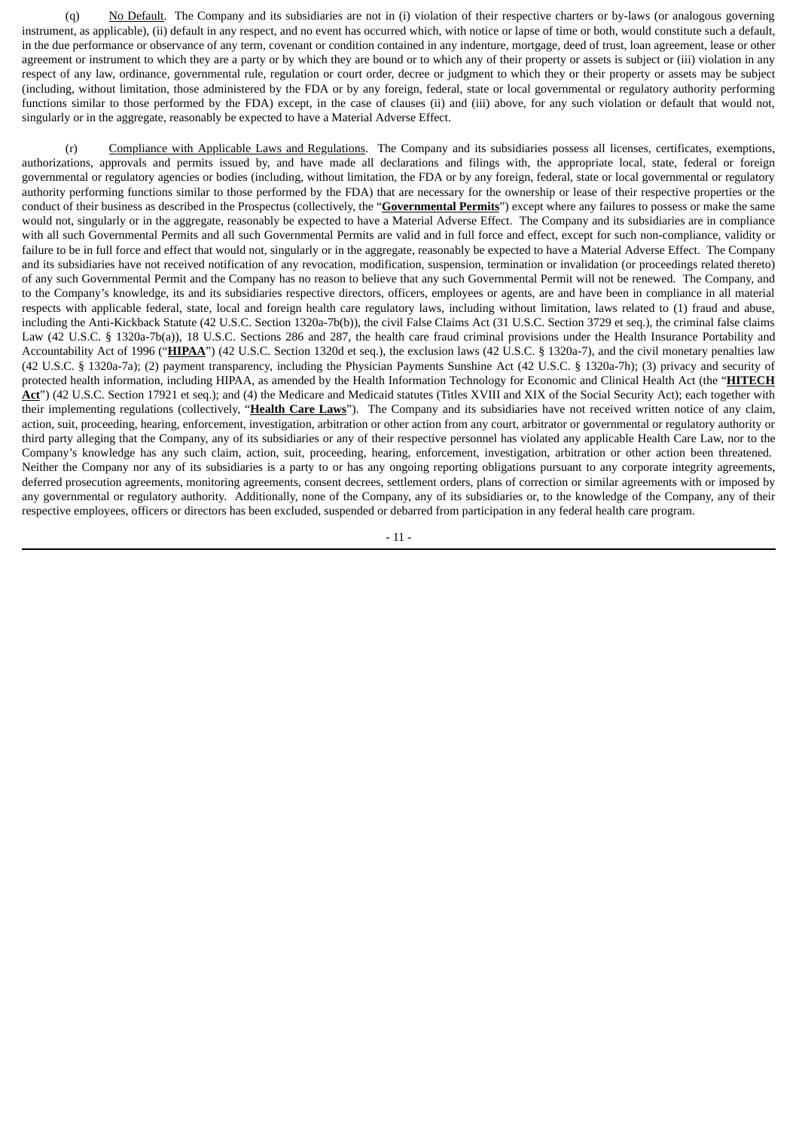(q) No Default. The Company and its subsidiaries are not in (i) violation of their respective charters or by-laws (or analogous governing instrument, as applicable), (ii) default in any respect, and no event has occurred which, with notice or lapse of time or both, would constitute such a default, in the due performance or observance of any term, covenant or condition contained in any indenture, mortgage, deed of trust, loan agreement, lease or other agreement or instrument to which they are a party or by which they are bound or to which any of their property or assets is subject or (iii) violation in any respect of any law, ordinance, governmental rule, regulation or court order, decree or judgment to which they or their property or assets may be subject (including, without limitation, those administered by the FDA or by any foreign, federal, state or local governmental or regulatory authority performing functions similar to those performed by the FDA) except, in the case of clauses (ii) and (iii) above, for any such violation or default that would not, singularly or in the aggregate, reasonably be expected to have a Material Adverse Effect.

(r) Compliance with Applicable Laws and Regulations. The Company and its subsidiaries possess all licenses, certificates, exemptions, authorizations, approvals and permits issued by, and have made all declarations and filings with, the appropriate local, state, federal or foreign governmental or regulatory agencies or bodies (including, without limitation, the FDA or by any foreign, federal, state or local governmental or regulatory authority performing functions similar to those performed by the FDA) that are necessary for the ownership or lease of their respective properties or the conduct of their business as described in the Prospectus (collectively, the "**Governmental Permits**") except where any failures to possess or make the same would not, singularly or in the aggregate, reasonably be expected to have a Material Adverse Effect. The Company and its subsidiaries are in compliance with all such Governmental Permits and all such Governmental Permits are valid and in full force and effect, except for such non-compliance, validity or failure to be in full force and effect that would not, singularly or in the aggregate, reasonably be expected to have a Material Adverse Effect. The Company and its subsidiaries have not received notification of any revocation, modification, suspension, termination or invalidation (or proceedings related thereto) of any such Governmental Permit and the Company has no reason to believe that any such Governmental Permit will not be renewed. The Company, and to the Company's knowledge, its and its subsidiaries respective directors, officers, employees or agents, are and have been in compliance in all material respects with applicable federal, state, local and foreign health care regulatory laws, including without limitation, laws related to (1) fraud and abuse, including the Anti-Kickback Statute (42 U.S.C. Section 1320a-7b(b)), the civil False Claims Act (31 U.S.C. Section 3729 et seq.), the criminal false claims Law (42 U.S.C. § 1320a-7b(a)), 18 U.S.C. Sections 286 and 287, the health care fraud criminal provisions under the Health Insurance Portability and Accountability Act of 1996 ("**HIPAA**") (42 U.S.C. Section 1320d et seq.), the exclusion laws (42 U.S.C. § 1320a-7), and the civil monetary penalties law (42 U.S.C. § 1320a-7a); (2) payment transparency, including the Physician Payments Sunshine Act (42 U.S.C. § 1320a-7h); (3) privacy and security of protected health information, including HIPAA, as amended by the Health Information Technology for Economic and Clinical Health Act (the "**HITECH Act**") (42 U.S.C. Section 17921 et seq.); and (4) the Medicare and Medicaid statutes (Titles XVIII and XIX of the Social Security Act); each together with their implementing regulations (collectively, "**Health Care Laws**"). The Company and its subsidiaries have not received written notice of any claim, action, suit, proceeding, hearing, enforcement, investigation, arbitration or other action from any court, arbitrator or governmental or regulatory authority or third party alleging that the Company, any of its subsidiaries or any of their respective personnel has violated any applicable Health Care Law, nor to the Company's knowledge has any such claim, action, suit, proceeding, hearing, enforcement, investigation, arbitration or other action been threatened. Neither the Company nor any of its subsidiaries is a party to or has any ongoing reporting obligations pursuant to any corporate integrity agreements, deferred prosecution agreements, monitoring agreements, consent decrees, settlement orders, plans of correction or similar agreements with or imposed by any governmental or regulatory authority. Additionally, none of the Company, any of its subsidiaries or, to the knowledge of the Company, any of their respective employees, officers or directors has been excluded, suspended or debarred from participation in any federal health care program.

- 11 -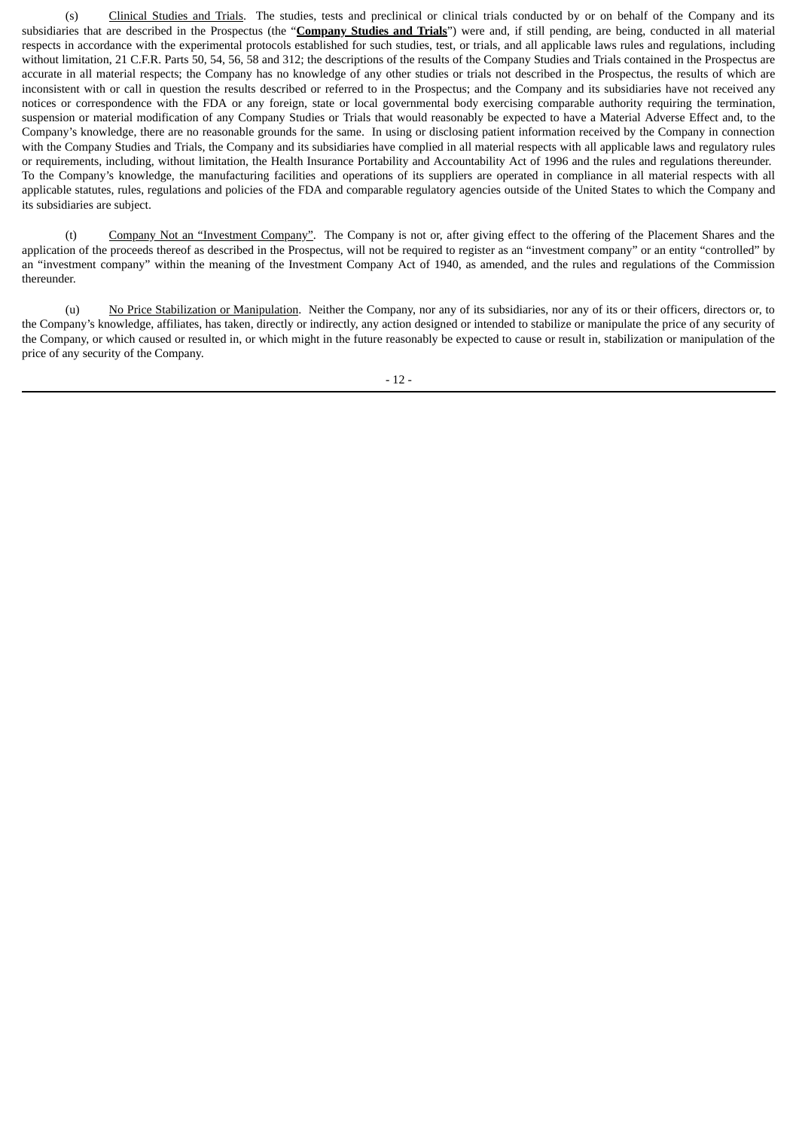(s) Clinical Studies and Trials. The studies, tests and preclinical or clinical trials conducted by or on behalf of the Company and its subsidiaries that are described in the Prospectus (the "**Company Studies and Trials**") were and, if still pending, are being, conducted in all material respects in accordance with the experimental protocols established for such studies, test, or trials, and all applicable laws rules and regulations, including without limitation, 21 C.F.R. Parts 50, 54, 56, 58 and 312; the descriptions of the results of the Company Studies and Trials contained in the Prospectus are accurate in all material respects; the Company has no knowledge of any other studies or trials not described in the Prospectus, the results of which are inconsistent with or call in question the results described or referred to in the Prospectus; and the Company and its subsidiaries have not received any notices or correspondence with the FDA or any foreign, state or local governmental body exercising comparable authority requiring the termination, suspension or material modification of any Company Studies or Trials that would reasonably be expected to have a Material Adverse Effect and, to the Company's knowledge, there are no reasonable grounds for the same. In using or disclosing patient information received by the Company in connection with the Company Studies and Trials, the Company and its subsidiaries have complied in all material respects with all applicable laws and regulatory rules or requirements, including, without limitation, the Health Insurance Portability and Accountability Act of 1996 and the rules and regulations thereunder. To the Company's knowledge, the manufacturing facilities and operations of its suppliers are operated in compliance in all material respects with all applicable statutes, rules, regulations and policies of the FDA and comparable regulatory agencies outside of the United States to which the Company and its subsidiaries are subject.

(t) Company Not an "Investment Company". The Company is not or, after giving effect to the offering of the Placement Shares and the application of the proceeds thereof as described in the Prospectus, will not be required to register as an "investment company" or an entity "controlled" by an "investment company" within the meaning of the Investment Company Act of 1940, as amended, and the rules and regulations of the Commission thereunder.

(u) No Price Stabilization or Manipulation. Neither the Company, nor any of its subsidiaries, nor any of its or their officers, directors or, to the Company's knowledge, affiliates, has taken, directly or indirectly, any action designed or intended to stabilize or manipulate the price of any security of the Company, or which caused or resulted in, or which might in the future reasonably be expected to cause or result in, stabilization or manipulation of the price of any security of the Company.

 $-12-$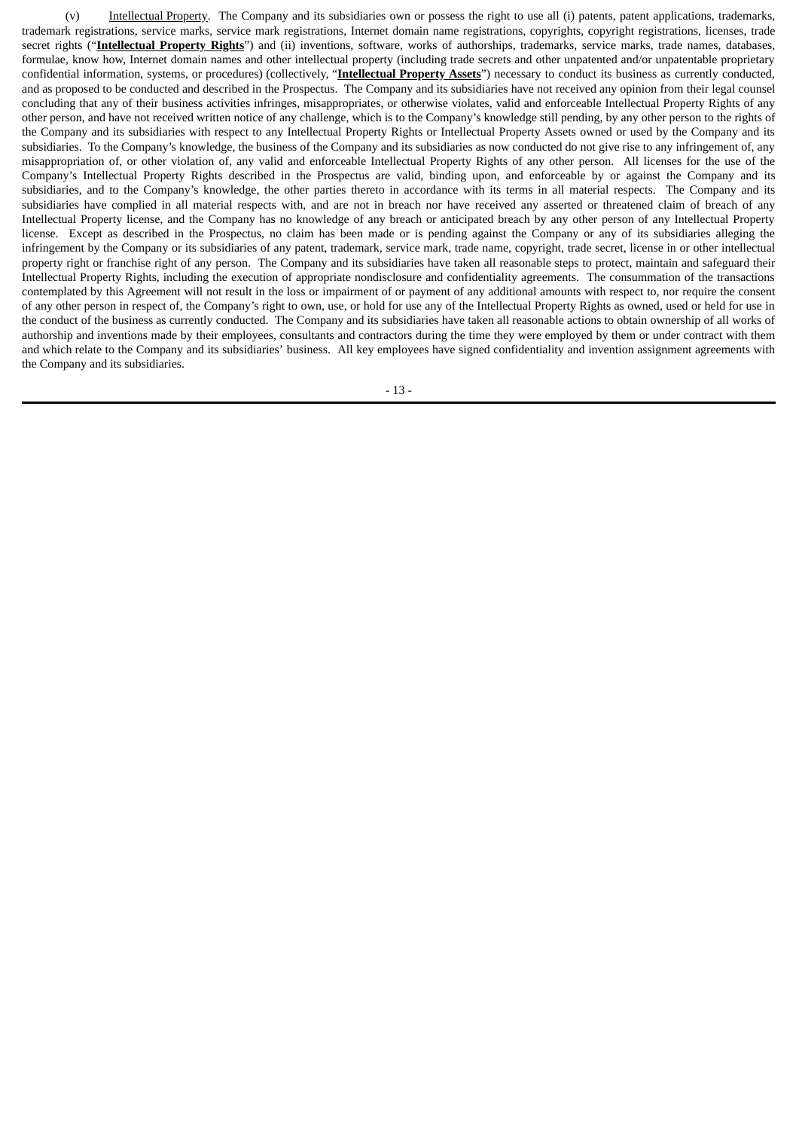(v) Intellectual Property. The Company and its subsidiaries own or possess the right to use all (i) patents, patent applications, trademarks, trademark registrations, service marks, service mark registrations, Internet domain name registrations, copyrights, copyright registrations, licenses, trade secret rights ("**Intellectual Property Rights**") and (ii) inventions, software, works of authorships, trademarks, service marks, trade names, databases, formulae, know how, Internet domain names and other intellectual property (including trade secrets and other unpatented and/or unpatentable proprietary confidential information, systems, or procedures) (collectively, "**Intellectual Property Assets**") necessary to conduct its business as currently conducted, and as proposed to be conducted and described in the Prospectus. The Company and its subsidiaries have not received any opinion from their legal counsel concluding that any of their business activities infringes, misappropriates, or otherwise violates, valid and enforceable Intellectual Property Rights of any other person, and have not received written notice of any challenge, which is to the Company's knowledge still pending, by any other person to the rights of the Company and its subsidiaries with respect to any Intellectual Property Rights or Intellectual Property Assets owned or used by the Company and its subsidiaries. To the Company's knowledge, the business of the Company and its subsidiaries as now conducted do not give rise to any infringement of, any misappropriation of, or other violation of, any valid and enforceable Intellectual Property Rights of any other person. All licenses for the use of the Company's Intellectual Property Rights described in the Prospectus are valid, binding upon, and enforceable by or against the Company and its subsidiaries, and to the Company's knowledge, the other parties thereto in accordance with its terms in all material respects. The Company and its subsidiaries have complied in all material respects with, and are not in breach nor have received any asserted or threatened claim of breach of any Intellectual Property license, and the Company has no knowledge of any breach or anticipated breach by any other person of any Intellectual Property license. Except as described in the Prospectus, no claim has been made or is pending against the Company or any of its subsidiaries alleging the infringement by the Company or its subsidiaries of any patent, trademark, service mark, trade name, copyright, trade secret, license in or other intellectual property right or franchise right of any person. The Company and its subsidiaries have taken all reasonable steps to protect, maintain and safeguard their Intellectual Property Rights, including the execution of appropriate nondisclosure and confidentiality agreements. The consummation of the transactions contemplated by this Agreement will not result in the loss or impairment of or payment of any additional amounts with respect to, nor require the consent of any other person in respect of, the Company's right to own, use, or hold for use any of the Intellectual Property Rights as owned, used or held for use in the conduct of the business as currently conducted. The Company and its subsidiaries have taken all reasonable actions to obtain ownership of all works of authorship and inventions made by their employees, consultants and contractors during the time they were employed by them or under contract with them and which relate to the Company and its subsidiaries' business. All key employees have signed confidentiality and invention assignment agreements with the Company and its subsidiaries.

- 13 -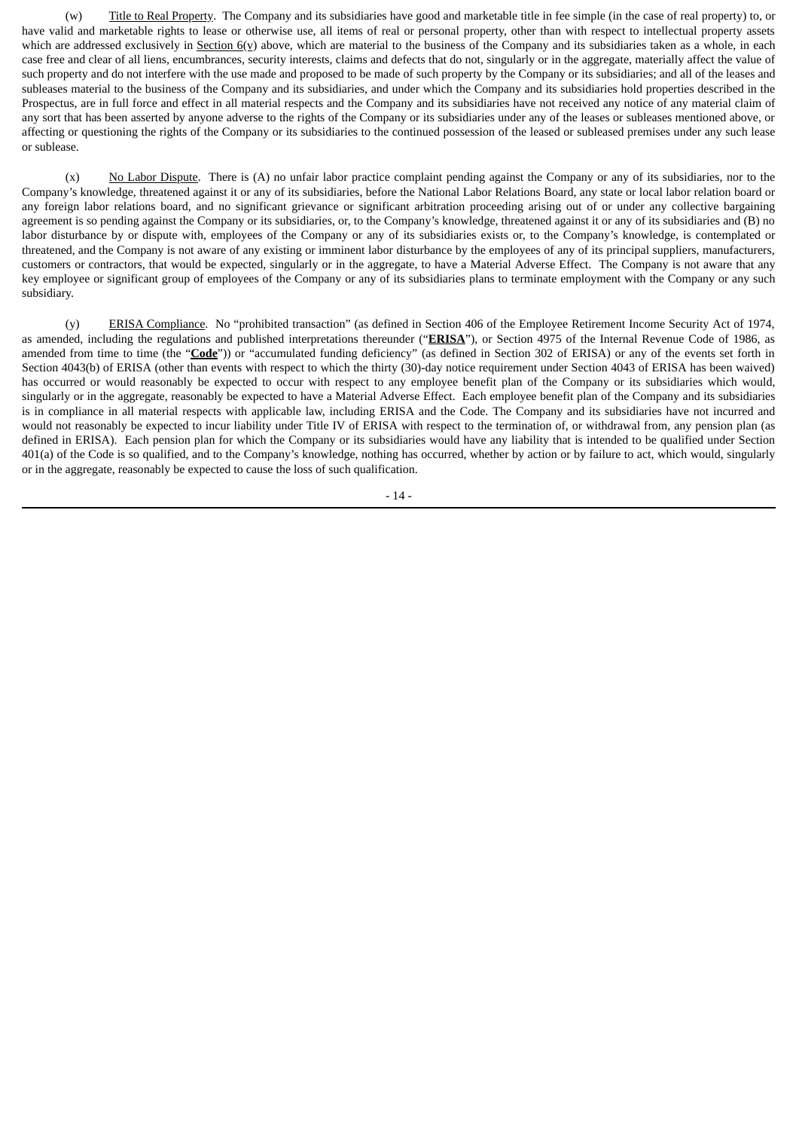(w) Title to Real Property. The Company and its subsidiaries have good and marketable title in fee simple (in the case of real property) to, or have valid and marketable rights to lease or otherwise use, all items of real or personal property, other than with respect to intellectual property assets which are addressed exclusively in Section 6(v) above, which are material to the business of the Company and its subsidiaries taken as a whole, in each case free and clear of all liens, encumbrances, security interests, claims and defects that do not, singularly or in the aggregate, materially affect the value of such property and do not interfere with the use made and proposed to be made of such property by the Company or its subsidiaries; and all of the leases and subleases material to the business of the Company and its subsidiaries, and under which the Company and its subsidiaries hold properties described in the Prospectus, are in full force and effect in all material respects and the Company and its subsidiaries have not received any notice of any material claim of any sort that has been asserted by anyone adverse to the rights of the Company or its subsidiaries under any of the leases or subleases mentioned above, or affecting or questioning the rights of the Company or its subsidiaries to the continued possession of the leased or subleased premises under any such lease or sublease.

(x) No Labor Dispute. There is (A) no unfair labor practice complaint pending against the Company or any of its subsidiaries, nor to the Company's knowledge, threatened against it or any of its subsidiaries, before the National Labor Relations Board, any state or local labor relation board or any foreign labor relations board, and no significant grievance or significant arbitration proceeding arising out of or under any collective bargaining agreement is so pending against the Company or its subsidiaries, or, to the Company's knowledge, threatened against it or any of its subsidiaries and (B) no labor disturbance by or dispute with, employees of the Company or any of its subsidiaries exists or, to the Company's knowledge, is contemplated or threatened, and the Company is not aware of any existing or imminent labor disturbance by the employees of any of its principal suppliers, manufacturers, customers or contractors, that would be expected, singularly or in the aggregate, to have a Material Adverse Effect. The Company is not aware that any key employee or significant group of employees of the Company or any of its subsidiaries plans to terminate employment with the Company or any such subsidiary.

(y) ERISA Compliance. No "prohibited transaction" (as defined in Section 406 of the Employee Retirement Income Security Act of 1974, as amended, including the regulations and published interpretations thereunder ("**ERISA**"), or Section 4975 of the Internal Revenue Code of 1986, as amended from time to time (the "**Code**")) or "accumulated funding deficiency" (as defined in Section 302 of ERISA) or any of the events set forth in Section 4043(b) of ERISA (other than events with respect to which the thirty (30)-day notice requirement under Section 4043 of ERISA has been waived) has occurred or would reasonably be expected to occur with respect to any employee benefit plan of the Company or its subsidiaries which would, singularly or in the aggregate, reasonably be expected to have a Material Adverse Effect. Each employee benefit plan of the Company and its subsidiaries is in compliance in all material respects with applicable law, including ERISA and the Code. The Company and its subsidiaries have not incurred and would not reasonably be expected to incur liability under Title IV of ERISA with respect to the termination of, or withdrawal from, any pension plan (as defined in ERISA). Each pension plan for which the Company or its subsidiaries would have any liability that is intended to be qualified under Section 401(a) of the Code is so qualified, and to the Company's knowledge, nothing has occurred, whether by action or by failure to act, which would, singularly or in the aggregate, reasonably be expected to cause the loss of such qualification.

- 14 -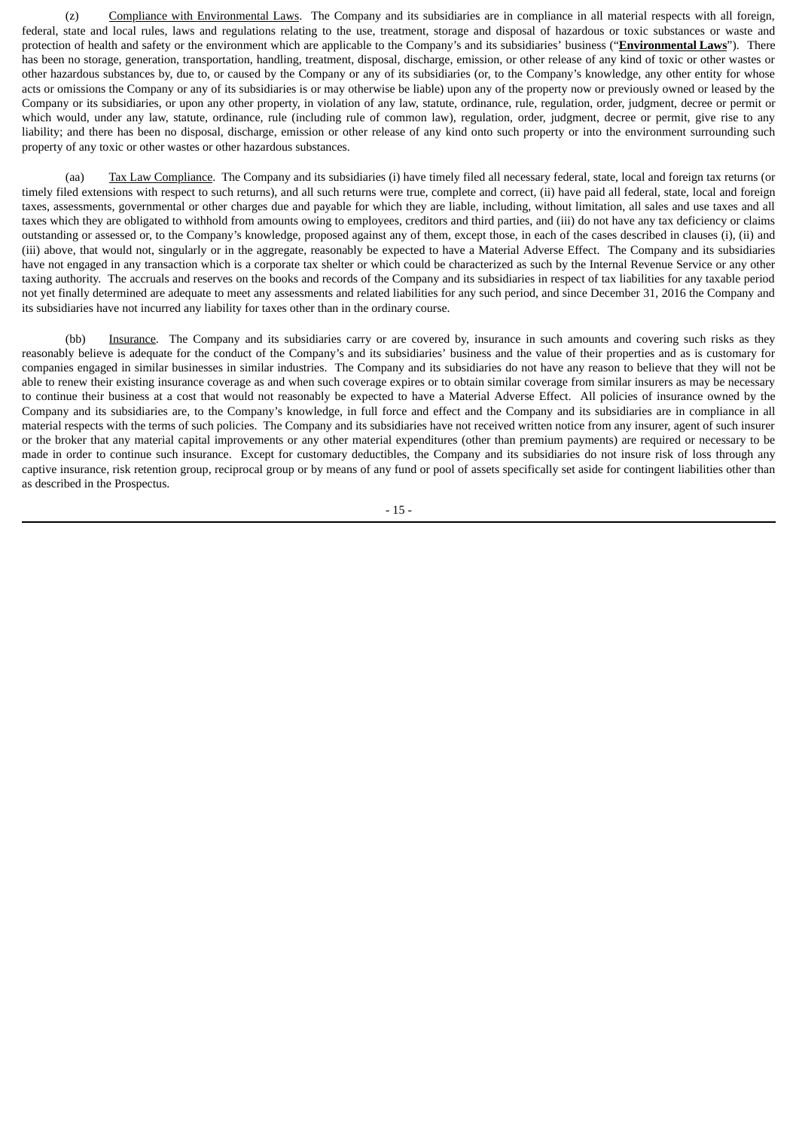(z) Compliance with Environmental Laws. The Company and its subsidiaries are in compliance in all material respects with all foreign, federal, state and local rules, laws and regulations relating to the use, treatment, storage and disposal of hazardous or toxic substances or waste and protection of health and safety or the environment which are applicable to the Company's and its subsidiaries' business ("**Environmental Laws**"). There has been no storage, generation, transportation, handling, treatment, disposal, discharge, emission, or other release of any kind of toxic or other wastes or other hazardous substances by, due to, or caused by the Company or any of its subsidiaries (or, to the Company's knowledge, any other entity for whose acts or omissions the Company or any of its subsidiaries is or may otherwise be liable) upon any of the property now or previously owned or leased by the Company or its subsidiaries, or upon any other property, in violation of any law, statute, ordinance, rule, regulation, order, judgment, decree or permit or which would, under any law, statute, ordinance, rule (including rule of common law), regulation, order, judgment, decree or permit, give rise to any liability; and there has been no disposal, discharge, emission or other release of any kind onto such property or into the environment surrounding such property of any toxic or other wastes or other hazardous substances.

(aa) Tax Law Compliance. The Company and its subsidiaries (i) have timely filed all necessary federal, state, local and foreign tax returns (or timely filed extensions with respect to such returns), and all such returns were true, complete and correct, (ii) have paid all federal, state, local and foreign taxes, assessments, governmental or other charges due and payable for which they are liable, including, without limitation, all sales and use taxes and all taxes which they are obligated to withhold from amounts owing to employees, creditors and third parties, and (iii) do not have any tax deficiency or claims outstanding or assessed or, to the Company's knowledge, proposed against any of them, except those, in each of the cases described in clauses (i), (ii) and (iii) above, that would not, singularly or in the aggregate, reasonably be expected to have a Material Adverse Effect. The Company and its subsidiaries have not engaged in any transaction which is a corporate tax shelter or which could be characterized as such by the Internal Revenue Service or any other taxing authority. The accruals and reserves on the books and records of the Company and its subsidiaries in respect of tax liabilities for any taxable period not yet finally determined are adequate to meet any assessments and related liabilities for any such period, and since December 31, 2016 the Company and its subsidiaries have not incurred any liability for taxes other than in the ordinary course.

(bb) Insurance. The Company and its subsidiaries carry or are covered by, insurance in such amounts and covering such risks as they reasonably believe is adequate for the conduct of the Company's and its subsidiaries' business and the value of their properties and as is customary for companies engaged in similar businesses in similar industries. The Company and its subsidiaries do not have any reason to believe that they will not be able to renew their existing insurance coverage as and when such coverage expires or to obtain similar coverage from similar insurers as may be necessary to continue their business at a cost that would not reasonably be expected to have a Material Adverse Effect. All policies of insurance owned by the Company and its subsidiaries are, to the Company's knowledge, in full force and effect and the Company and its subsidiaries are in compliance in all material respects with the terms of such policies. The Company and its subsidiaries have not received written notice from any insurer, agent of such insurer or the broker that any material capital improvements or any other material expenditures (other than premium payments) are required or necessary to be made in order to continue such insurance. Except for customary deductibles, the Company and its subsidiaries do not insure risk of loss through any captive insurance, risk retention group, reciprocal group or by means of any fund or pool of assets specifically set aside for contingent liabilities other than as described in the Prospectus.

- 15 -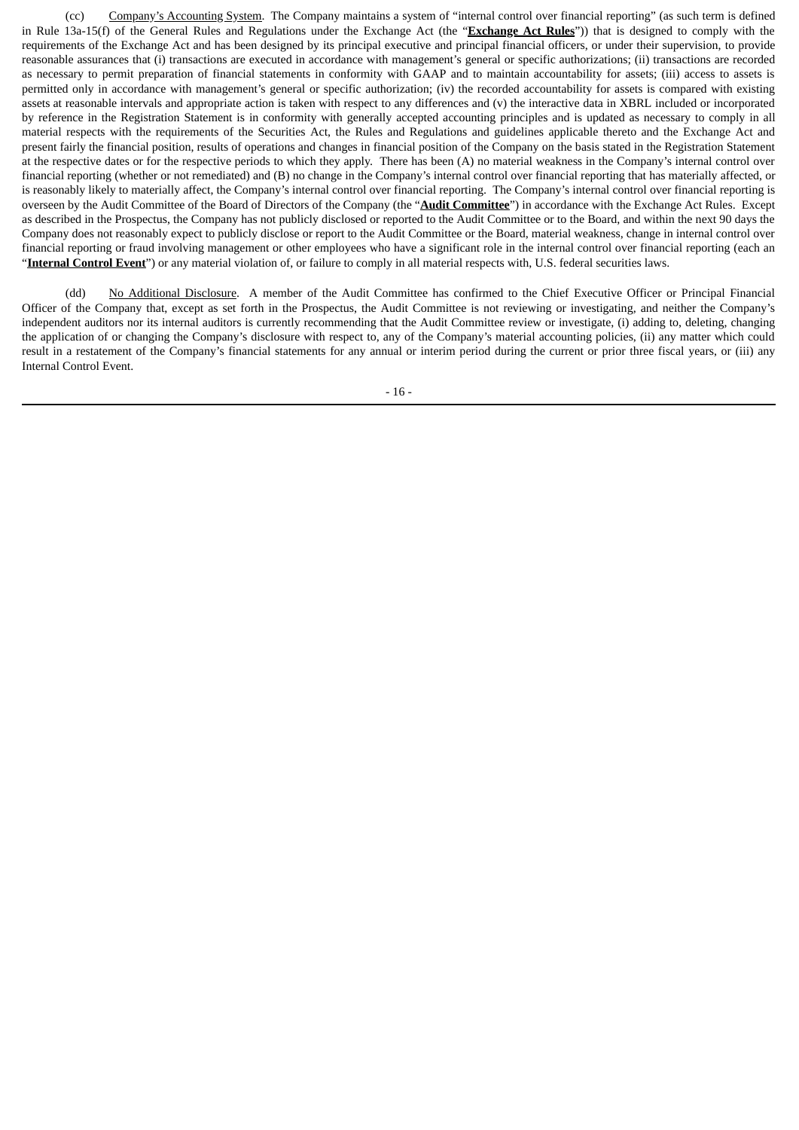(cc) Company's Accounting System. The Company maintains a system of "internal control over financial reporting" (as such term is defined in Rule 13a‑15(f) of the General Rules and Regulations under the Exchange Act (the "**Exchange Act Rules**")) that is designed to comply with the requirements of the Exchange Act and has been designed by its principal executive and principal financial officers, or under their supervision, to provide reasonable assurances that (i) transactions are executed in accordance with management's general or specific authorizations; (ii) transactions are recorded as necessary to permit preparation of financial statements in conformity with GAAP and to maintain accountability for assets; (iii) access to assets is permitted only in accordance with management's general or specific authorization; (iv) the recorded accountability for assets is compared with existing assets at reasonable intervals and appropriate action is taken with respect to any differences and (v) the interactive data in XBRL included or incorporated by reference in the Registration Statement is in conformity with generally accepted accounting principles and is updated as necessary to comply in all material respects with the requirements of the Securities Act, the Rules and Regulations and guidelines applicable thereto and the Exchange Act and present fairly the financial position, results of operations and changes in financial position of the Company on the basis stated in the Registration Statement at the respective dates or for the respective periods to which they apply. There has been (A) no material weakness in the Company's internal control over financial reporting (whether or not remediated) and (B) no change in the Company's internal control over financial reporting that has materially affected, or is reasonably likely to materially affect, the Company's internal control over financial reporting. The Company's internal control over financial reporting is overseen by the Audit Committee of the Board of Directors of the Company (the "**Audit Committee**") in accordance with the Exchange Act Rules. Except as described in the Prospectus, the Company has not publicly disclosed or reported to the Audit Committee or to the Board, and within the next 90 days the Company does not reasonably expect to publicly disclose or report to the Audit Committee or the Board, material weakness, change in internal control over financial reporting or fraud involving management or other employees who have a significant role in the internal control over financial reporting (each an "**Internal Control Event**") or any material violation of, or failure to comply in all material respects with, U.S. federal securities laws.

(dd) No Additional Disclosure. A member of the Audit Committee has confirmed to the Chief Executive Officer or Principal Financial Officer of the Company that, except as set forth in the Prospectus, the Audit Committee is not reviewing or investigating, and neither the Company's independent auditors nor its internal auditors is currently recommending that the Audit Committee review or investigate, (i) adding to, deleting, changing the application of or changing the Company's disclosure with respect to, any of the Company's material accounting policies, (ii) any matter which could result in a restatement of the Company's financial statements for any annual or interim period during the current or prior three fiscal years, or (iii) any Internal Control Event.

- 16 -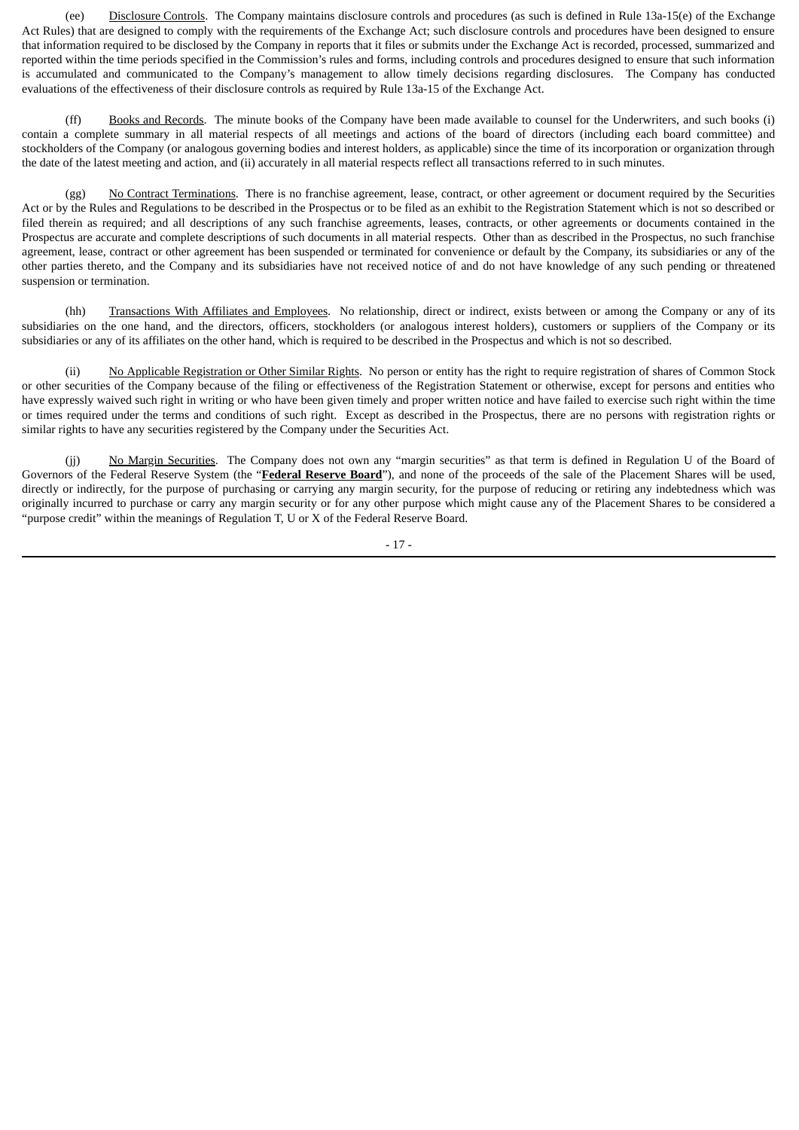(ee) Disclosure Controls. The Company maintains disclosure controls and procedures (as such is defined in Rule 13a-15(e) of the Exchange Act Rules) that are designed to comply with the requirements of the Exchange Act; such disclosure controls and procedures have been designed to ensure that information required to be disclosed by the Company in reports that it files or submits under the Exchange Act is recorded, processed, summarized and reported within the time periods specified in the Commission's rules and forms, including controls and procedures designed to ensure that such information is accumulated and communicated to the Company's management to allow timely decisions regarding disclosures. The Company has conducted evaluations of the effectiveness of their disclosure controls as required by Rule 13a-15 of the Exchange Act.

(ff) Books and Records. The minute books of the Company have been made available to counsel for the Underwriters, and such books (i) contain a complete summary in all material respects of all meetings and actions of the board of directors (including each board committee) and stockholders of the Company (or analogous governing bodies and interest holders, as applicable) since the time of its incorporation or organization through the date of the latest meeting and action, and (ii) accurately in all material respects reflect all transactions referred to in such minutes.

(gg) No Contract Terminations. There is no franchise agreement, lease, contract, or other agreement or document required by the Securities Act or by the Rules and Regulations to be described in the Prospectus or to be filed as an exhibit to the Registration Statement which is not so described or filed therein as required; and all descriptions of any such franchise agreements, leases, contracts, or other agreements or documents contained in the Prospectus are accurate and complete descriptions of such documents in all material respects. Other than as described in the Prospectus, no such franchise agreement, lease, contract or other agreement has been suspended or terminated for convenience or default by the Company, its subsidiaries or any of the other parties thereto, and the Company and its subsidiaries have not received notice of and do not have knowledge of any such pending or threatened suspension or termination.

(hh) Transactions With Affiliates and Employees. No relationship, direct or indirect, exists between or among the Company or any of its subsidiaries on the one hand, and the directors, officers, stockholders (or analogous interest holders), customers or suppliers of the Company or its subsidiaries or any of its affiliates on the other hand, which is required to be described in the Prospectus and which is not so described.

(ii) No Applicable Registration or Other Similar Rights. No person or entity has the right to require registration of shares of Common Stock or other securities of the Company because of the filing or effectiveness of the Registration Statement or otherwise, except for persons and entities who have expressly waived such right in writing or who have been given timely and proper written notice and have failed to exercise such right within the time or times required under the terms and conditions of such right. Except as described in the Prospectus, there are no persons with registration rights or similar rights to have any securities registered by the Company under the Securities Act.

(jj) No Margin Securities. The Company does not own any "margin securities" as that term is defined in Regulation U of the Board of Governors of the Federal Reserve System (the "**Federal Reserve Board**"), and none of the proceeds of the sale of the Placement Shares will be used, directly or indirectly, for the purpose of purchasing or carrying any margin security, for the purpose of reducing or retiring any indebtedness which was originally incurred to purchase or carry any margin security or for any other purpose which might cause any of the Placement Shares to be considered a "purpose credit" within the meanings of Regulation T, U or X of the Federal Reserve Board.

- 17 -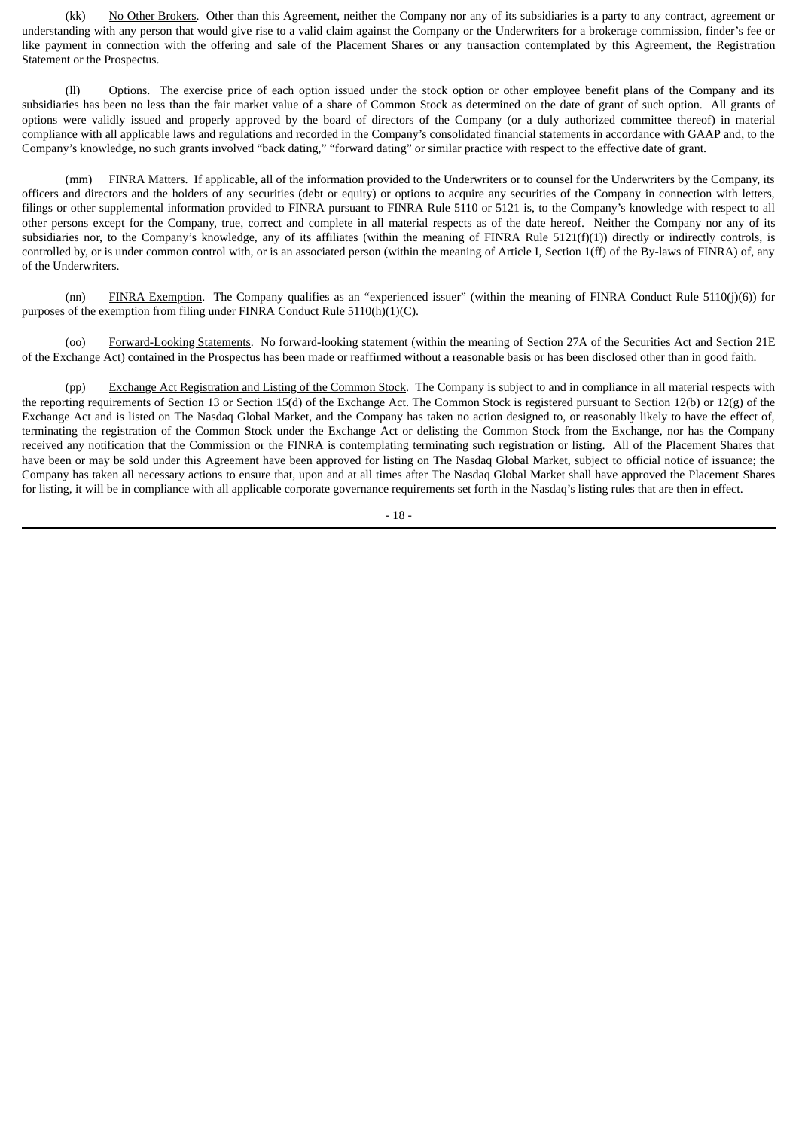(kk) No Other Brokers. Other than this Agreement, neither the Company nor any of its subsidiaries is a party to any contract, agreement or understanding with any person that would give rise to a valid claim against the Company or the Underwriters for a brokerage commission, finder's fee or like payment in connection with the offering and sale of the Placement Shares or any transaction contemplated by this Agreement, the Registration Statement or the Prospectus.

(ll) Options. The exercise price of each option issued under the stock option or other employee benefit plans of the Company and its subsidiaries has been no less than the fair market value of a share of Common Stock as determined on the date of grant of such option. All grants of options were validly issued and properly approved by the board of directors of the Company (or a duly authorized committee thereof) in material compliance with all applicable laws and regulations and recorded in the Company's consolidated financial statements in accordance with GAAP and, to the Company's knowledge, no such grants involved "back dating," "forward dating" or similar practice with respect to the effective date of grant.

(mm) FINRA Matters. If applicable, all of the information provided to the Underwriters or to counsel for the Underwriters by the Company, its officers and directors and the holders of any securities (debt or equity) or options to acquire any securities of the Company in connection with letters, filings or other supplemental information provided to FINRA pursuant to FINRA Rule 5110 or 5121 is, to the Company's knowledge with respect to all other persons except for the Company, true, correct and complete in all material respects as of the date hereof. Neither the Company nor any of its subsidiaries nor, to the Company's knowledge, any of its affiliates (within the meaning of FINRA Rule 5121(f)(1)) directly or indirectly controls, is controlled by, or is under common control with, or is an associated person (within the meaning of Article I, Section 1(ff) of the By-laws of FINRA) of, any of the Underwriters.

(nn) FINRA Exemption. The Company qualifies as an "experienced issuer" (within the meaning of FINRA Conduct Rule 5110(j)(6)) for purposes of the exemption from filing under FINRA Conduct Rule 5110(h)(1)(C).

(oo) Forward-Looking Statements. No forward-looking statement (within the meaning of Section 27A of the Securities Act and Section 21E of the Exchange Act) contained in the Prospectus has been made or reaffirmed without a reasonable basis or has been disclosed other than in good faith.

(pp) Exchange Act Registration and Listing of the Common Stock. The Company is subject to and in compliance in all material respects with the reporting requirements of Section 13 or Section 15(d) of the Exchange Act. The Common Stock is registered pursuant to Section 12(b) or 12(g) of the Exchange Act and is listed on The Nasdaq Global Market, and the Company has taken no action designed to, or reasonably likely to have the effect of, terminating the registration of the Common Stock under the Exchange Act or delisting the Common Stock from the Exchange, nor has the Company received any notification that the Commission or the FINRA is contemplating terminating such registration or listing. All of the Placement Shares that have been or may be sold under this Agreement have been approved for listing on The Nasdaq Global Market, subject to official notice of issuance; the Company has taken all necessary actions to ensure that, upon and at all times after The Nasdaq Global Market shall have approved the Placement Shares for listing, it will be in compliance with all applicable corporate governance requirements set forth in the Nasdaq's listing rules that are then in effect.

- 18 -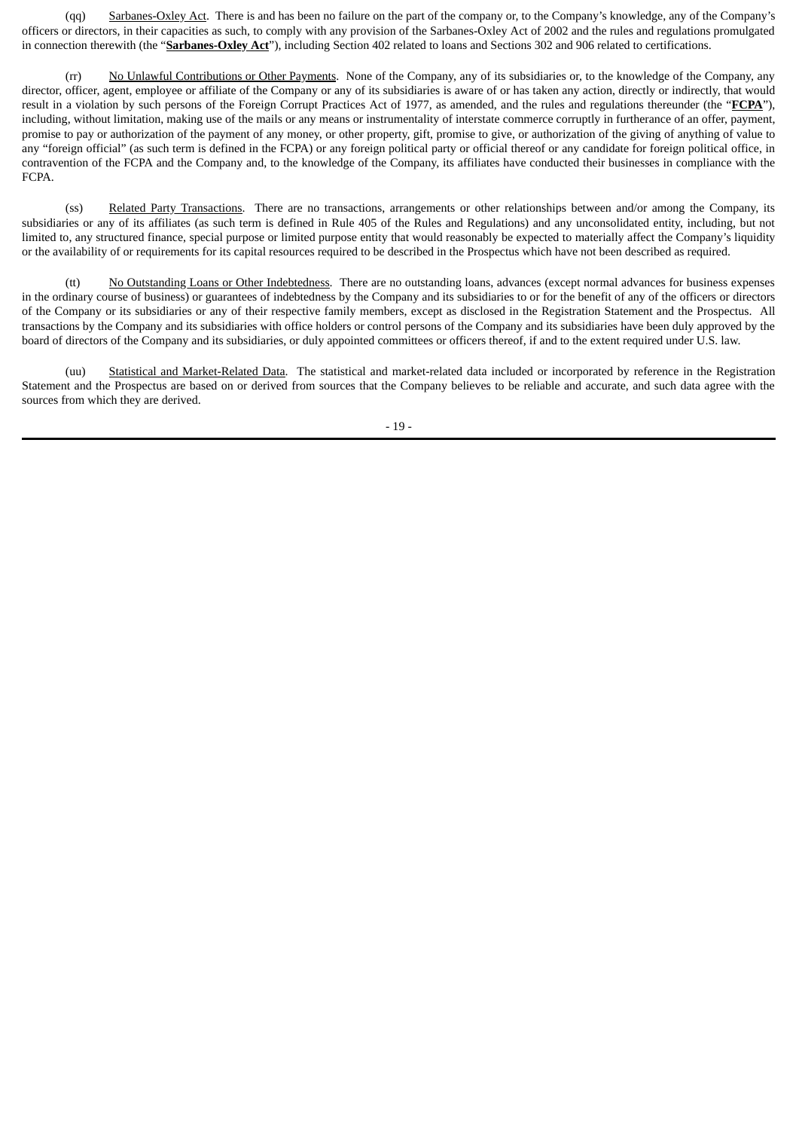(qq) Sarbanes-Oxley Act. There is and has been no failure on the part of the company or, to the Company's knowledge, any of the Company's officers or directors, in their capacities as such, to comply with any provision of the Sarbanes‑Oxley Act of 2002 and the rules and regulations promulgated in connection therewith (the "**Sarbanes‑Oxley Act**"), including Section 402 related to loans and Sections 302 and 906 related to certifications.

(rr) No Unlawful Contributions or Other Payments. None of the Company, any of its subsidiaries or, to the knowledge of the Company, any director, officer, agent, employee or affiliate of the Company or any of its subsidiaries is aware of or has taken any action, directly or indirectly, that would result in a violation by such persons of the Foreign Corrupt Practices Act of 1977, as amended, and the rules and regulations thereunder (the "**FCPA**"), including, without limitation, making use of the mails or any means or instrumentality of interstate commerce corruptly in furtherance of an offer, payment, promise to pay or authorization of the payment of any money, or other property, gift, promise to give, or authorization of the giving of anything of value to any "foreign official" (as such term is defined in the FCPA) or any foreign political party or official thereof or any candidate for foreign political office, in contravention of the FCPA and the Company and, to the knowledge of the Company, its affiliates have conducted their businesses in compliance with the FCPA.

(ss) Related Party Transactions. There are no transactions, arrangements or other relationships between and/or among the Company, its subsidiaries or any of its affiliates (as such term is defined in Rule 405 of the Rules and Regulations) and any unconsolidated entity, including, but not limited to, any structured finance, special purpose or limited purpose entity that would reasonably be expected to materially affect the Company's liquidity or the availability of or requirements for its capital resources required to be described in the Prospectus which have not been described as required.

(tt) No Outstanding Loans or Other Indebtedness. There are no outstanding loans, advances (except normal advances for business expenses in the ordinary course of business) or guarantees of indebtedness by the Company and its subsidiaries to or for the benefit of any of the officers or directors of the Company or its subsidiaries or any of their respective family members, except as disclosed in the Registration Statement and the Prospectus. All transactions by the Company and its subsidiaries with office holders or control persons of the Company and its subsidiaries have been duly approved by the board of directors of the Company and its subsidiaries, or duly appointed committees or officers thereof, if and to the extent required under U.S. law.

(uu) Statistical and Market-Related Data. The statistical and market-related data included or incorporated by reference in the Registration Statement and the Prospectus are based on or derived from sources that the Company believes to be reliable and accurate, and such data agree with the sources from which they are derived.

- 19 -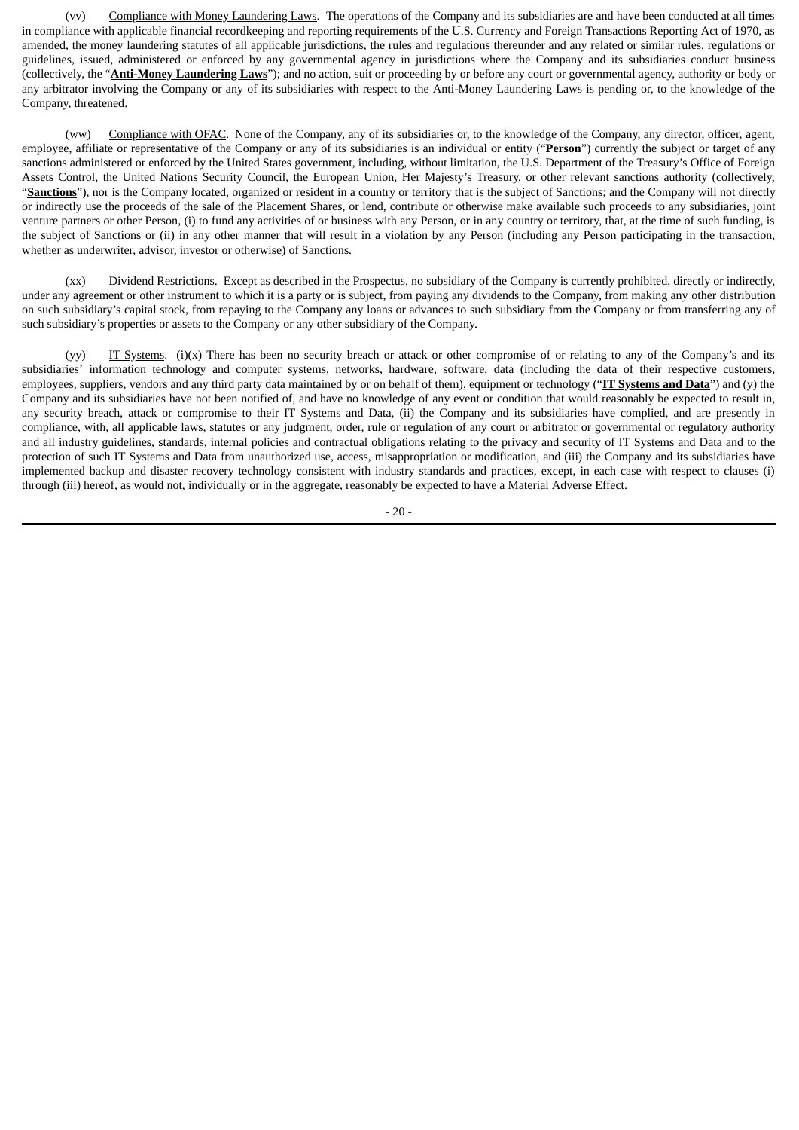(vv) Compliance with Money Laundering Laws. The operations of the Company and its subsidiaries are and have been conducted at all times in compliance with applicable financial recordkeeping and reporting requirements of the U.S. Currency and Foreign Transactions Reporting Act of 1970, as amended, the money laundering statutes of all applicable jurisdictions, the rules and regulations thereunder and any related or similar rules, regulations or guidelines, issued, administered or enforced by any governmental agency in jurisdictions where the Company and its subsidiaries conduct business (collectively, the "**Anti-Money Laundering Laws**"); and no action, suit or proceeding by or before any court or governmental agency, authority or body or any arbitrator involving the Company or any of its subsidiaries with respect to the Anti-Money Laundering Laws is pending or, to the knowledge of the Company, threatened.

(ww) Compliance with OFAC. None of the Company, any of its subsidiaries or, to the knowledge of the Company, any director, officer, agent, employee, affiliate or representative of the Company or any of its subsidiaries is an individual or entity ("Person") currently the subject or target of any sanctions administered or enforced by the United States government, including, without limitation, the U.S. Department of the Treasury's Office of Foreign Assets Control, the United Nations Security Council, the European Union, Her Majesty's Treasury, or other relevant sanctions authority (collectively, "**Sanctions**"), nor is the Company located, organized or resident in a country or territory that is the subject of Sanctions; and the Company will not directly or indirectly use the proceeds of the sale of the Placement Shares, or lend, contribute or otherwise make available such proceeds to any subsidiaries, joint venture partners or other Person, (i) to fund any activities of or business with any Person, or in any country or territory, that, at the time of such funding, is the subject of Sanctions or (ii) in any other manner that will result in a violation by any Person (including any Person participating in the transaction, whether as underwriter, advisor, investor or otherwise) of Sanctions.

(xx) Dividend Restrictions. Except as described in the Prospectus, no subsidiary of the Company is currently prohibited, directly or indirectly, under any agreement or other instrument to which it is a party or is subject, from paying any dividends to the Company, from making any other distribution on such subsidiary's capital stock, from repaying to the Company any loans or advances to such subsidiary from the Company or from transferring any of such subsidiary's properties or assets to the Company or any other subsidiary of the Company.

(yy) IT Systems. (i)(x) There has been no security breach or attack or other compromise of or relating to any of the Company's and its subsidiaries' information technology and computer systems, networks, hardware, software, data (including the data of their respective customers, employees, suppliers, vendors and any third party data maintained by or on behalf of them), equipment or technology ("**IT Systems and Data**") and (y) the Company and its subsidiaries have not been notified of, and have no knowledge of any event or condition that would reasonably be expected to result in, any security breach, attack or compromise to their IT Systems and Data, (ii) the Company and its subsidiaries have complied, and are presently in compliance, with, all applicable laws, statutes or any judgment, order, rule or regulation of any court or arbitrator or governmental or regulatory authority and all industry guidelines, standards, internal policies and contractual obligations relating to the privacy and security of IT Systems and Data and to the protection of such IT Systems and Data from unauthorized use, access, misappropriation or modification, and (iii) the Company and its subsidiaries have implemented backup and disaster recovery technology consistent with industry standards and practices, except, in each case with respect to clauses (i) through (iii) hereof, as would not, individually or in the aggregate, reasonably be expected to have a Material Adverse Effect.

- 20 -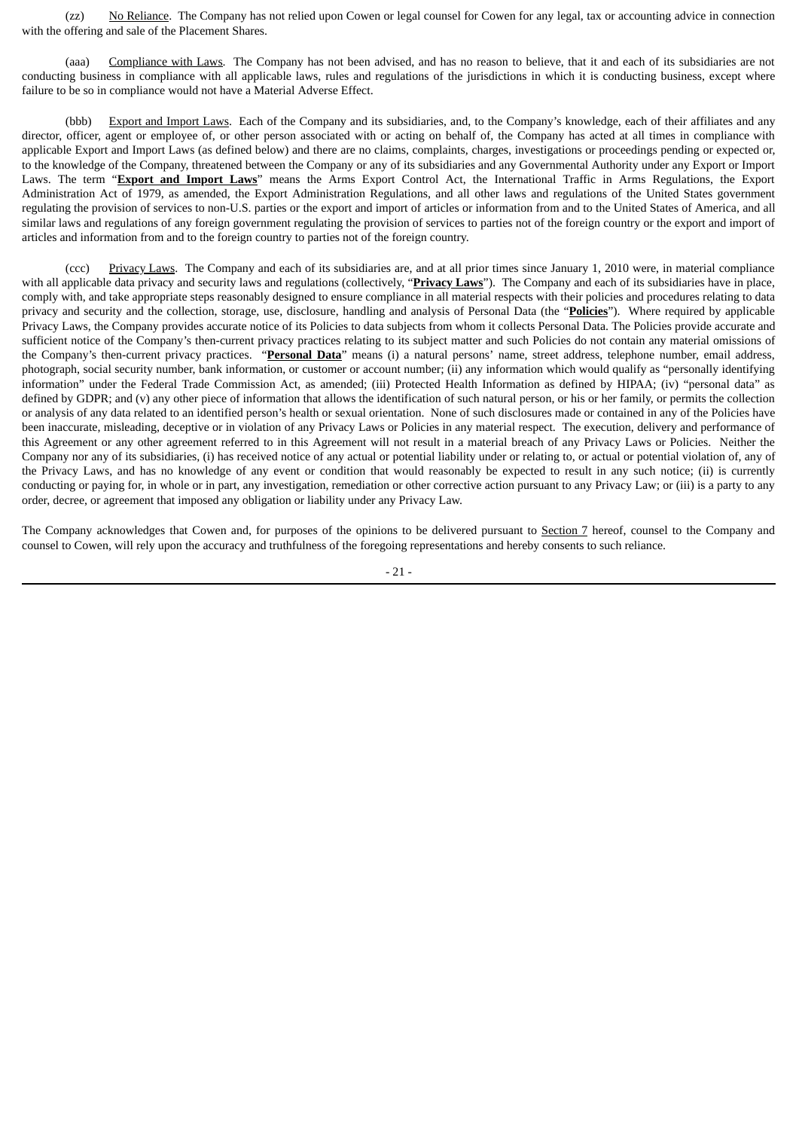(zz) No Reliance. The Company has not relied upon Cowen or legal counsel for Cowen for any legal, tax or accounting advice in connection with the offering and sale of the Placement Shares.

(aaa) Compliance with Laws. The Company has not been advised, and has no reason to believe, that it and each of its subsidiaries are not conducting business in compliance with all applicable laws, rules and regulations of the jurisdictions in which it is conducting business, except where failure to be so in compliance would not have a Material Adverse Effect.

(bbb) Export and Import Laws. Each of the Company and its subsidiaries, and, to the Company's knowledge, each of their affiliates and any director, officer, agent or employee of, or other person associated with or acting on behalf of, the Company has acted at all times in compliance with applicable Export and Import Laws (as defined below) and there are no claims, complaints, charges, investigations or proceedings pending or expected or, to the knowledge of the Company, threatened between the Company or any of its subsidiaries and any Governmental Authority under any Export or Import Laws. The term "**Export and Import Laws**" means the Arms Export Control Act, the International Traffic in Arms Regulations, the Export Administration Act of 1979, as amended, the Export Administration Regulations, and all other laws and regulations of the United States government regulating the provision of services to non-U.S. parties or the export and import of articles or information from and to the United States of America, and all similar laws and regulations of any foreign government regulating the provision of services to parties not of the foreign country or the export and import of articles and information from and to the foreign country to parties not of the foreign country.

(ccc) Privacy Laws. The Company and each of its subsidiaries are, and at all prior times since January 1, 2010 were, in material compliance with all applicable data privacy and security laws and regulations (collectively, "**Privacy Laws**"). The Company and each of its subsidiaries have in place, comply with, and take appropriate steps reasonably designed to ensure compliance in all material respects with their policies and procedures relating to data privacy and security and the collection, storage, use, disclosure, handling and analysis of Personal Data (the "**Policies**"). Where required by applicable Privacy Laws, the Company provides accurate notice of its Policies to data subjects from whom it collects Personal Data. The Policies provide accurate and sufficient notice of the Company's then-current privacy practices relating to its subject matter and such Policies do not contain any material omissions of the Company's then-current privacy practices. "**Personal Data**" means (i) a natural persons' name, street address, telephone number, email address, photograph, social security number, bank information, or customer or account number; (ii) any information which would qualify as "personally identifying information" under the Federal Trade Commission Act, as amended; (iii) Protected Health Information as defined by HIPAA; (iv) "personal data" as defined by GDPR; and (v) any other piece of information that allows the identification of such natural person, or his or her family, or permits the collection or analysis of any data related to an identified person's health or sexual orientation. None of such disclosures made or contained in any of the Policies have been inaccurate, misleading, deceptive or in violation of any Privacy Laws or Policies in any material respect. The execution, delivery and performance of this Agreement or any other agreement referred to in this Agreement will not result in a material breach of any Privacy Laws or Policies. Neither the Company nor any of its subsidiaries, (i) has received notice of any actual or potential liability under or relating to, or actual or potential violation of, any of the Privacy Laws, and has no knowledge of any event or condition that would reasonably be expected to result in any such notice; (ii) is currently conducting or paying for, in whole or in part, any investigation, remediation or other corrective action pursuant to any Privacy Law; or (iii) is a party to any order, decree, or agreement that imposed any obligation or liability under any Privacy Law.

The Company acknowledges that Cowen and, for purposes of the opinions to be delivered pursuant to Section 7 hereof, counsel to the Company and counsel to Cowen, will rely upon the accuracy and truthfulness of the foregoing representations and hereby consents to such reliance.

- 21 -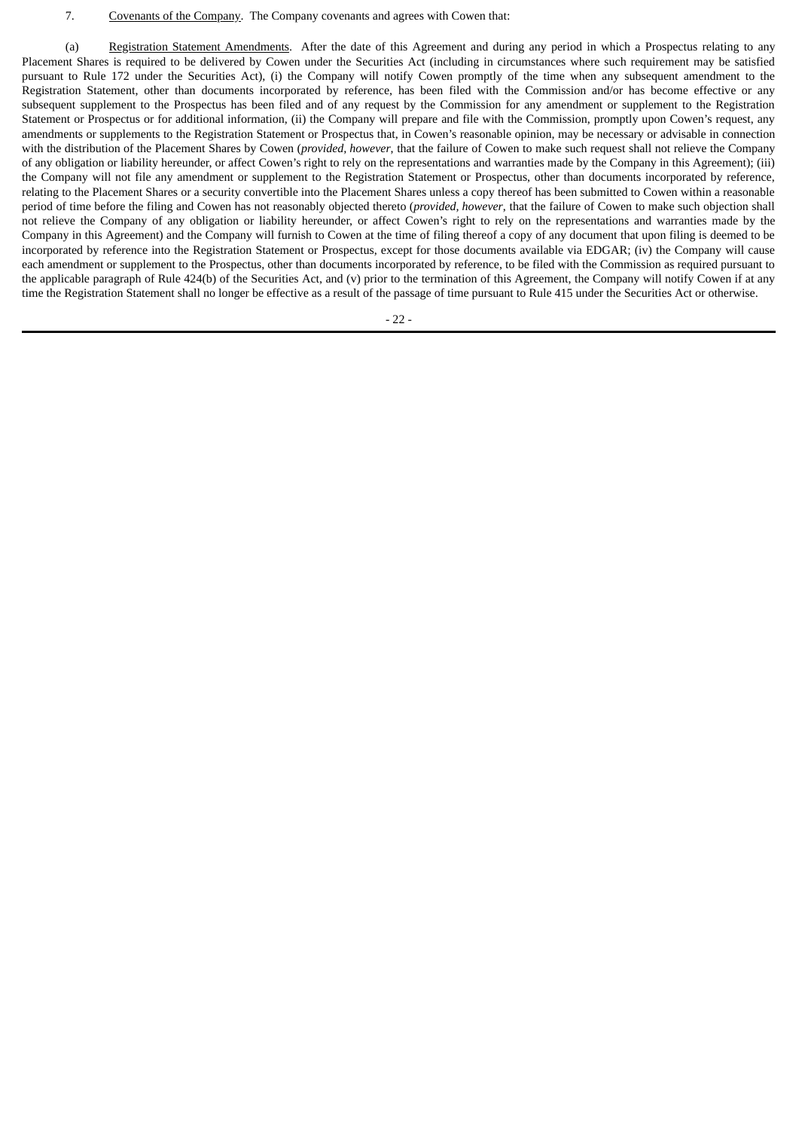#### 7. Covenants of the Company. The Company covenants and agrees with Cowen that:

(a) Registration Statement Amendments. After the date of this Agreement and during any period in which a Prospectus relating to any Placement Shares is required to be delivered by Cowen under the Securities Act (including in circumstances where such requirement may be satisfied pursuant to Rule 172 under the Securities Act), (i) the Company will notify Cowen promptly of the time when any subsequent amendment to the Registration Statement, other than documents incorporated by reference, has been filed with the Commission and/or has become effective or any subsequent supplement to the Prospectus has been filed and of any request by the Commission for any amendment or supplement to the Registration Statement or Prospectus or for additional information, (ii) the Company will prepare and file with the Commission, promptly upon Cowen's request, any amendments or supplements to the Registration Statement or Prospectus that, in Cowen's reasonable opinion, may be necessary or advisable in connection with the distribution of the Placement Shares by Cowen (*provided, however*, that the failure of Cowen to make such request shall not relieve the Company of any obligation or liability hereunder, or affect Cowen's right to rely on the representations and warranties made by the Company in this Agreement); (iii) the Company will not file any amendment or supplement to the Registration Statement or Prospectus, other than documents incorporated by reference, relating to the Placement Shares or a security convertible into the Placement Shares unless a copy thereof has been submitted to Cowen within a reasonable period of time before the filing and Cowen has not reasonably objected thereto (*provided, however*, that the failure of Cowen to make such objection shall not relieve the Company of any obligation or liability hereunder, or affect Cowen's right to rely on the representations and warranties made by the Company in this Agreement) and the Company will furnish to Cowen at the time of filing thereof a copy of any document that upon filing is deemed to be incorporated by reference into the Registration Statement or Prospectus, except for those documents available via EDGAR; (iv) the Company will cause each amendment or supplement to the Prospectus, other than documents incorporated by reference, to be filed with the Commission as required pursuant to the applicable paragraph of Rule 424(b) of the Securities Act, and (v) prior to the termination of this Agreement, the Company will notify Cowen if at any time the Registration Statement shall no longer be effective as a result of the passage of time pursuant to Rule 415 under the Securities Act or otherwise.

- 22 -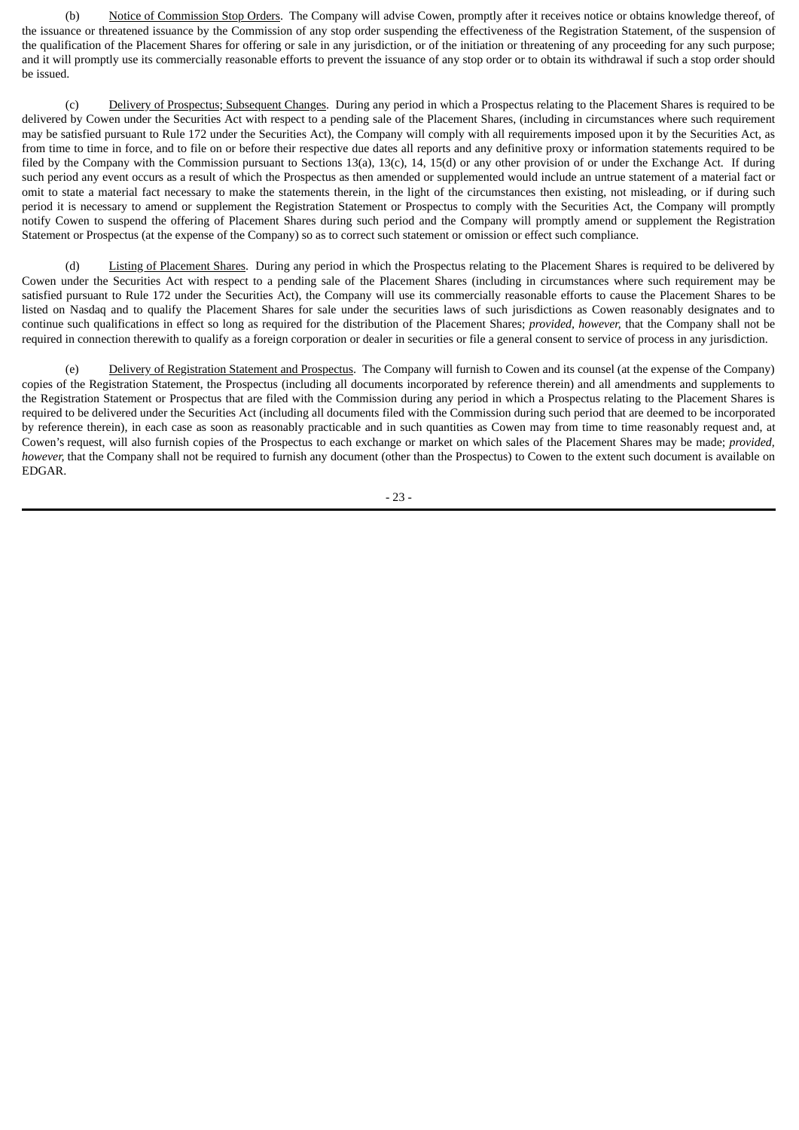(b) Notice of Commission Stop Orders. The Company will advise Cowen, promptly after it receives notice or obtains knowledge thereof, of the issuance or threatened issuance by the Commission of any stop order suspending the effectiveness of the Registration Statement, of the suspension of the qualification of the Placement Shares for offering or sale in any jurisdiction, or of the initiation or threatening of any proceeding for any such purpose; and it will promptly use its commercially reasonable efforts to prevent the issuance of any stop order or to obtain its withdrawal if such a stop order should be issued.

(c) Delivery of Prospectus; Subsequent Changes. During any period in which a Prospectus relating to the Placement Shares is required to be delivered by Cowen under the Securities Act with respect to a pending sale of the Placement Shares, (including in circumstances where such requirement may be satisfied pursuant to Rule 172 under the Securities Act), the Company will comply with all requirements imposed upon it by the Securities Act, as from time to time in force, and to file on or before their respective due dates all reports and any definitive proxy or information statements required to be filed by the Company with the Commission pursuant to Sections 13(a), 13(c), 14, 15(d) or any other provision of or under the Exchange Act. If during such period any event occurs as a result of which the Prospectus as then amended or supplemented would include an untrue statement of a material fact or omit to state a material fact necessary to make the statements therein, in the light of the circumstances then existing, not misleading, or if during such period it is necessary to amend or supplement the Registration Statement or Prospectus to comply with the Securities Act, the Company will promptly notify Cowen to suspend the offering of Placement Shares during such period and the Company will promptly amend or supplement the Registration Statement or Prospectus (at the expense of the Company) so as to correct such statement or omission or effect such compliance.

(d) Listing of Placement Shares. During any period in which the Prospectus relating to the Placement Shares is required to be delivered by Cowen under the Securities Act with respect to a pending sale of the Placement Shares (including in circumstances where such requirement may be satisfied pursuant to Rule 172 under the Securities Act), the Company will use its commercially reasonable efforts to cause the Placement Shares to be listed on Nasdaq and to qualify the Placement Shares for sale under the securities laws of such jurisdictions as Cowen reasonably designates and to continue such qualifications in effect so long as required for the distribution of the Placement Shares; *provided, however,* that the Company shall not be required in connection therewith to qualify as a foreign corporation or dealer in securities or file a general consent to service of process in any jurisdiction.

(e) Delivery of Registration Statement and Prospectus. The Company will furnish to Cowen and its counsel (at the expense of the Company) copies of the Registration Statement, the Prospectus (including all documents incorporated by reference therein) and all amendments and supplements to the Registration Statement or Prospectus that are filed with the Commission during any period in which a Prospectus relating to the Placement Shares is required to be delivered under the Securities Act (including all documents filed with the Commission during such period that are deemed to be incorporated by reference therein), in each case as soon as reasonably practicable and in such quantities as Cowen may from time to time reasonably request and, at Cowen's request, will also furnish copies of the Prospectus to each exchange or market on which sales of the Placement Shares may be made; *provided, however,* that the Company shall not be required to furnish any document (other than the Prospectus) to Cowen to the extent such document is available on EDGAR.

- 23 -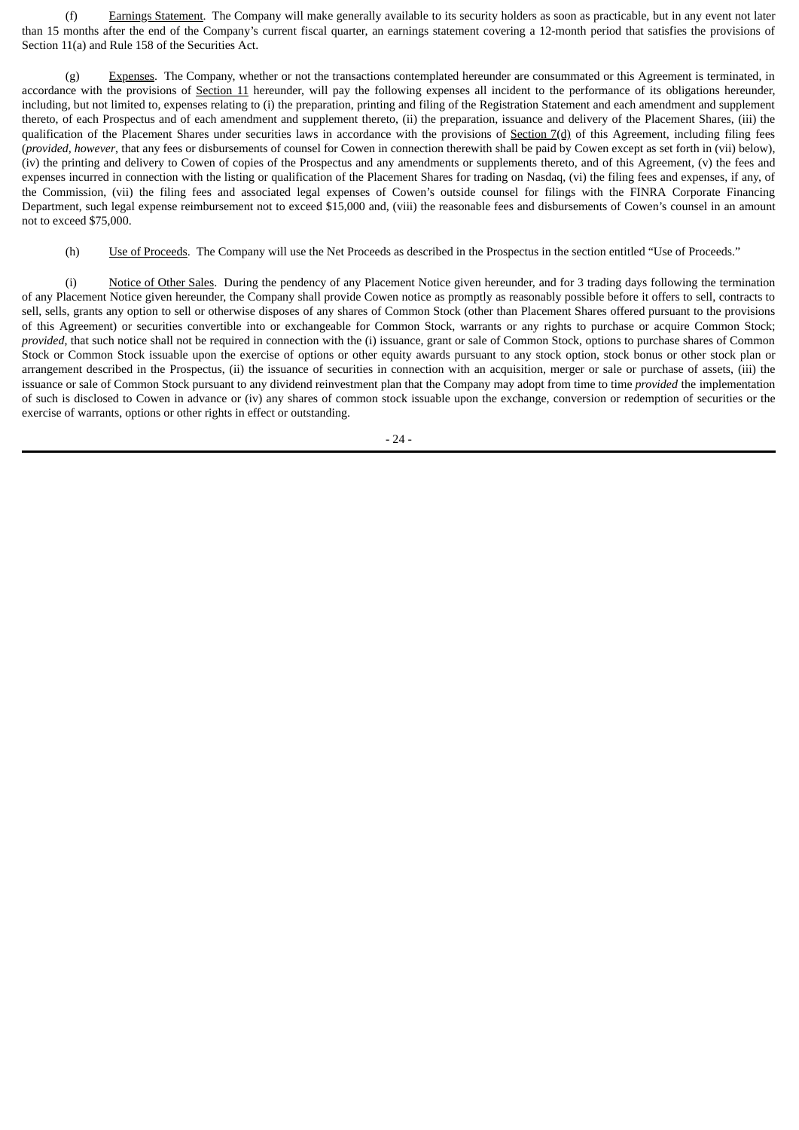(f) Earnings Statement. The Company will make generally available to its security holders as soon as practicable, but in any event not later than 15 months after the end of the Company's current fiscal quarter, an earnings statement covering a 12-month period that satisfies the provisions of Section 11(a) and Rule 158 of the Securities Act.

(g) Expenses. The Company, whether or not the transactions contemplated hereunder are consummated or this Agreement is terminated, in accordance with the provisions of Section 11 hereunder, will pay the following expenses all incident to the performance of its obligations hereunder, including, but not limited to, expenses relating to (i) the preparation, printing and filing of the Registration Statement and each amendment and supplement thereto, of each Prospectus and of each amendment and supplement thereto, (ii) the preparation, issuance and delivery of the Placement Shares, (iii) the qualification of the Placement Shares under securities laws in accordance with the provisions of  $Section 7(d)$  of this Agreement, including filing fees (*provided, however*, that any fees or disbursements of counsel for Cowen in connection therewith shall be paid by Cowen except as set forth in (vii) below), (iv) the printing and delivery to Cowen of copies of the Prospectus and any amendments or supplements thereto, and of this Agreement, (v) the fees and expenses incurred in connection with the listing or qualification of the Placement Shares for trading on Nasdaq, (vi) the filing fees and expenses, if any, of the Commission, (vii) the filing fees and associated legal expenses of Cowen's outside counsel for filings with the FINRA Corporate Financing Department, such legal expense reimbursement not to exceed \$15,000 and, (viii) the reasonable fees and disbursements of Cowen's counsel in an amount not to exceed \$75,000.

(h) Use of Proceeds. The Company will use the Net Proceeds as described in the Prospectus in the section entitled "Use of Proceeds."

(i) Notice of Other Sales. During the pendency of any Placement Notice given hereunder, and for 3 trading days following the termination of any Placement Notice given hereunder, the Company shall provide Cowen notice as promptly as reasonably possible before it offers to sell, contracts to sell, sells, grants any option to sell or otherwise disposes of any shares of Common Stock (other than Placement Shares offered pursuant to the provisions of this Agreement) or securities convertible into or exchangeable for Common Stock, warrants or any rights to purchase or acquire Common Stock; *provided*, that such notice shall not be required in connection with the (i) issuance, grant or sale of Common Stock, options to purchase shares of Common Stock or Common Stock issuable upon the exercise of options or other equity awards pursuant to any stock option, stock bonus or other stock plan or arrangement described in the Prospectus, (ii) the issuance of securities in connection with an acquisition, merger or sale or purchase of assets, (iii) the issuance or sale of Common Stock pursuant to any dividend reinvestment plan that the Company may adopt from time to time *provided* the implementation of such is disclosed to Cowen in advance or (iv) any shares of common stock issuable upon the exchange, conversion or redemption of securities or the exercise of warrants, options or other rights in effect or outstanding.

- 24 -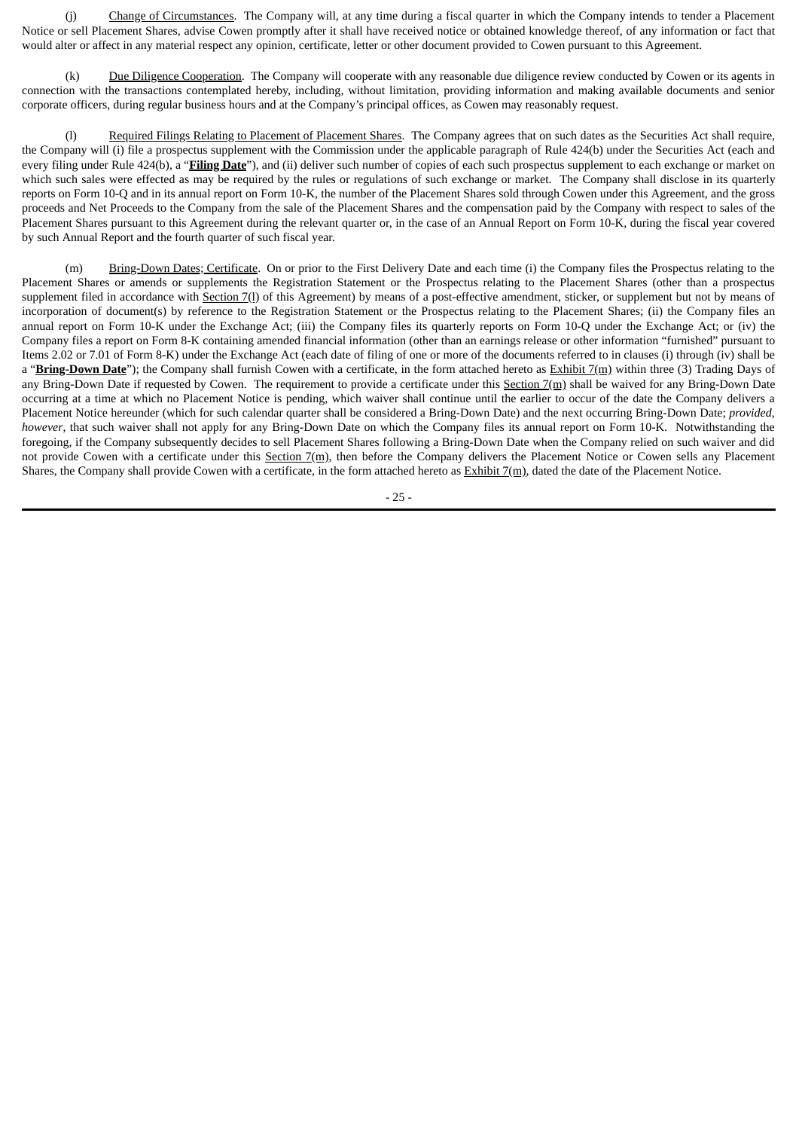(j) Change of Circumstances. The Company will, at any time during a fiscal quarter in which the Company intends to tender a Placement Notice or sell Placement Shares, advise Cowen promptly after it shall have received notice or obtained knowledge thereof, of any information or fact that would alter or affect in any material respect any opinion, certificate, letter or other document provided to Cowen pursuant to this Agreement.

(k) Due Diligence Cooperation. The Company will cooperate with any reasonable due diligence review conducted by Cowen or its agents in connection with the transactions contemplated hereby, including, without limitation, providing information and making available documents and senior corporate officers, during regular business hours and at the Company's principal offices, as Cowen may reasonably request.

(l) Required Filings Relating to Placement of Placement Shares. The Company agrees that on such dates as the Securities Act shall require, the Company will (i) file a prospectus supplement with the Commission under the applicable paragraph of Rule 424(b) under the Securities Act (each and every filing under Rule 424(b), a "**Filing Date**"), and (ii) deliver such number of copies of each such prospectus supplement to each exchange or market on which such sales were effected as may be required by the rules or regulations of such exchange or market. The Company shall disclose in its quarterly reports on Form 10-Q and in its annual report on Form 10-K, the number of the Placement Shares sold through Cowen under this Agreement, and the gross proceeds and Net Proceeds to the Company from the sale of the Placement Shares and the compensation paid by the Company with respect to sales of the Placement Shares pursuant to this Agreement during the relevant quarter or, in the case of an Annual Report on Form 10-K, during the fiscal year covered by such Annual Report and the fourth quarter of such fiscal year.

(m) Bring-Down Dates; Certificate. On or prior to the First Delivery Date and each time (i) the Company files the Prospectus relating to the Placement Shares or amends or supplements the Registration Statement or the Prospectus relating to the Placement Shares (other than a prospectus supplement filed in accordance with Section 7(1) of this Agreement) by means of a post-effective amendment, sticker, or supplement but not by means of incorporation of document(s) by reference to the Registration Statement or the Prospectus relating to the Placement Shares; (ii) the Company files an annual report on Form 10-K under the Exchange Act; (iii) the Company files its quarterly reports on Form 10-Q under the Exchange Act; or (iv) the Company files a report on Form 8-K containing amended financial information (other than an earnings release or other information "furnished" pursuant to Items 2.02 or 7.01 of Form 8-K) under the Exchange Act (each date of filing of one or more of the documents referred to in clauses (i) through (iv) shall be a "**Bring-Down Date**"); the Company shall furnish Cowen with a certificate, in the form attached hereto as **Exhibit 7(m)** within three (3) Trading Days of any Bring-Down Date if requested by Cowen. The requirement to provide a certificate under this Section 7(m) shall be waived for any Bring-Down Date occurring at a time at which no Placement Notice is pending, which waiver shall continue until the earlier to occur of the date the Company delivers a Placement Notice hereunder (which for such calendar quarter shall be considered a Bring-Down Date) and the next occurring Bring-Down Date; *provided*, *however*, that such waiver shall not apply for any Bring-Down Date on which the Company files its annual report on Form 10-K. Notwithstanding the foregoing, if the Company subsequently decides to sell Placement Shares following a Bring-Down Date when the Company relied on such waiver and did not provide Cowen with a certificate under this Section 7(m), then before the Company delivers the Placement Notice or Cowen sells any Placement Shares, the Company shall provide Cowen with a certificate, in the form attached hereto as Exhibit 7(m), dated the date of the Placement Notice.

- 25 -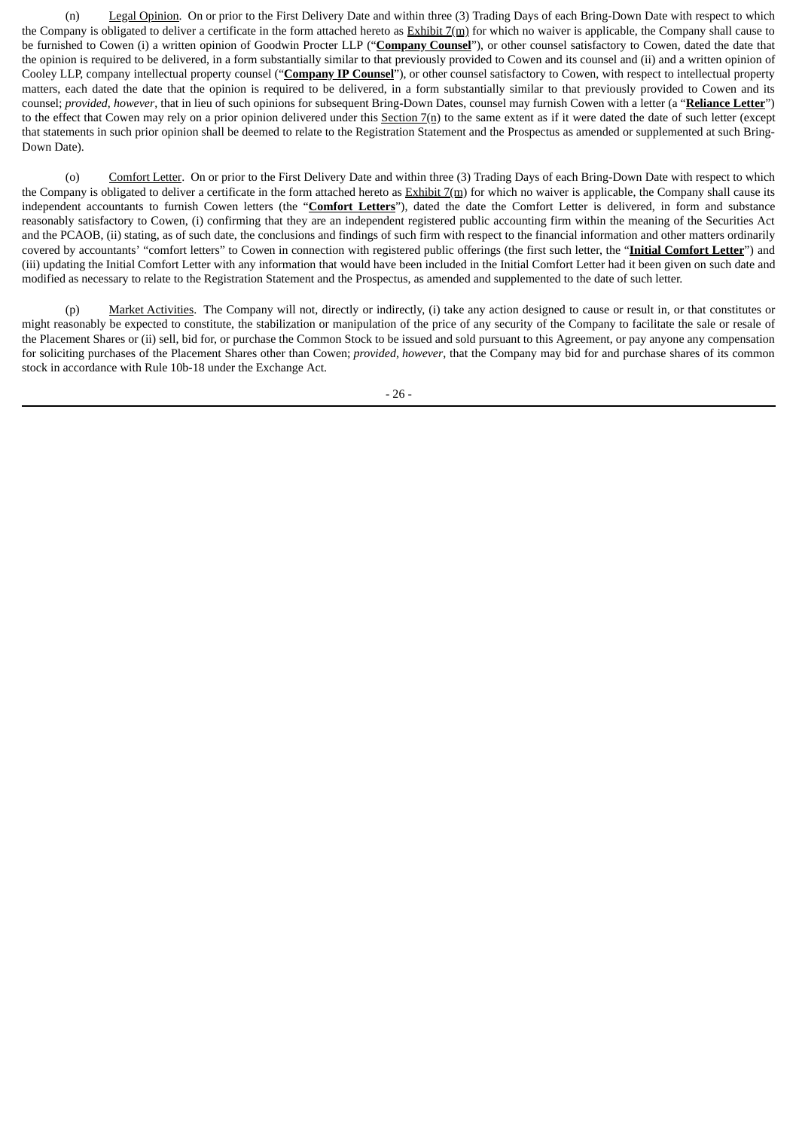(n) Legal Opinion. On or prior to the First Delivery Date and within three (3) Trading Days of each Bring-Down Date with respect to which the Company is obligated to deliver a certificate in the form attached hereto as  $\frac{Exhibit}{m}$  for which no waiver is applicable, the Company shall cause to be furnished to Cowen (i) a written opinion of Goodwin Procter LLP ("**Company Counsel**"), or other counsel satisfactory to Cowen, dated the date that the opinion is required to be delivered, in a form substantially similar to that previously provided to Cowen and its counsel and (ii) and a written opinion of Cooley LLP, company intellectual property counsel ("**Company IP Counsel**"), or other counsel satisfactory to Cowen, with respect to intellectual property matters, each dated the date that the opinion is required to be delivered, in a form substantially similar to that previously provided to Cowen and its counsel; *provided*, *however*, that in lieu of such opinions for subsequent Bring-Down Dates, counsel may furnish Cowen with a letter (a "**Reliance Letter**") to the effect that Cowen may rely on a prior opinion delivered under this Section  $7(n)$  to the same extent as if it were dated the date of such letter (except that statements in such prior opinion shall be deemed to relate to the Registration Statement and the Prospectus as amended or supplemented at such Bring-Down Date).

(o) Comfort Letter. On or prior to the First Delivery Date and within three (3) Trading Days of each Bring-Down Date with respect to which the Company is obligated to deliver a certificate in the form attached hereto as  $Exhibit 7(m)$  for which no waiver is applicable, the Company shall cause its independent accountants to furnish Cowen letters (the "**Comfort Letters**"), dated the date the Comfort Letter is delivered, in form and substance reasonably satisfactory to Cowen, (i) confirming that they are an independent registered public accounting firm within the meaning of the Securities Act and the PCAOB, (ii) stating, as of such date, the conclusions and findings of such firm with respect to the financial information and other matters ordinarily covered by accountants' "comfort letters" to Cowen in connection with registered public offerings (the first such letter, the "**Initial Comfort Letter**") and (iii) updating the Initial Comfort Letter with any information that would have been included in the Initial Comfort Letter had it been given on such date and modified as necessary to relate to the Registration Statement and the Prospectus, as amended and supplemented to the date of such letter.

(p) Market Activities. The Company will not, directly or indirectly, (i) take any action designed to cause or result in, or that constitutes or might reasonably be expected to constitute, the stabilization or manipulation of the price of any security of the Company to facilitate the sale or resale of the Placement Shares or (ii) sell, bid for, or purchase the Common Stock to be issued and sold pursuant to this Agreement, or pay anyone any compensation for soliciting purchases of the Placement Shares other than Cowen; *provided, however*, that the Company may bid for and purchase shares of its common stock in accordance with Rule 10b-18 under the Exchange Act.

- 26 -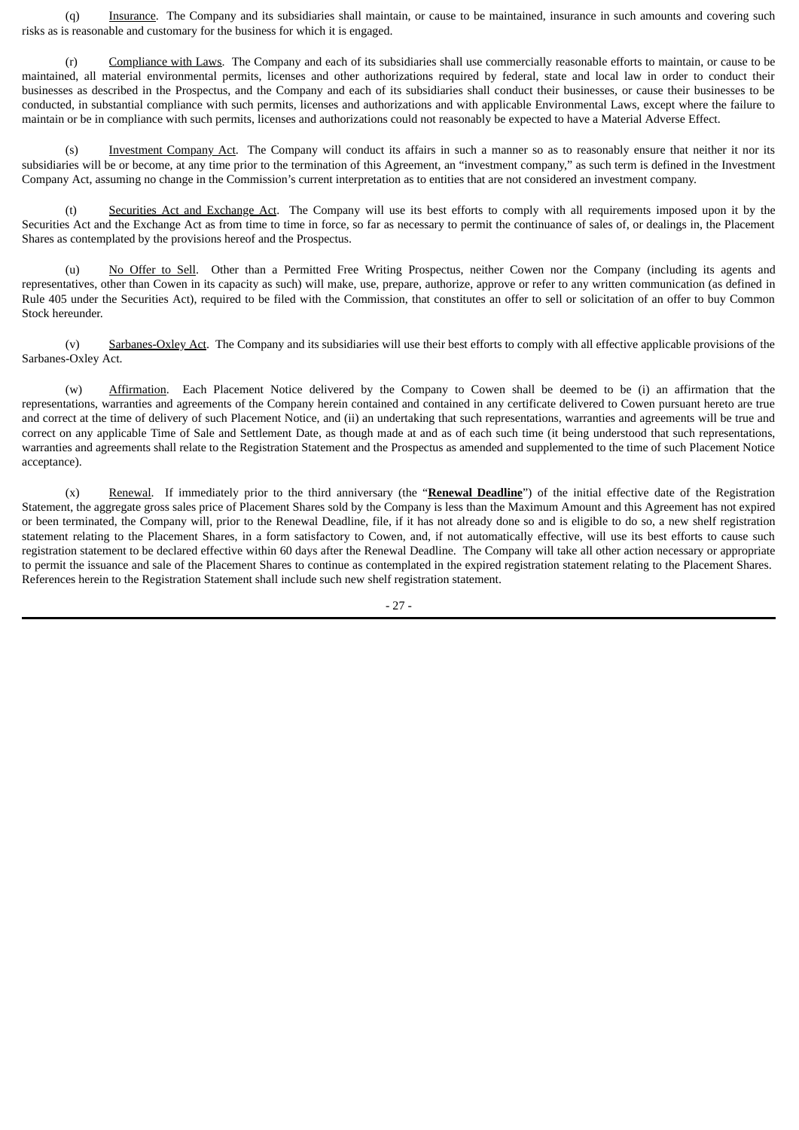(q) Insurance. The Company and its subsidiaries shall maintain, or cause to be maintained, insurance in such amounts and covering such risks as is reasonable and customary for the business for which it is engaged.

(r) Compliance with Laws. The Company and each of its subsidiaries shall use commercially reasonable efforts to maintain, or cause to be maintained, all material environmental permits, licenses and other authorizations required by federal, state and local law in order to conduct their businesses as described in the Prospectus, and the Company and each of its subsidiaries shall conduct their businesses, or cause their businesses to be conducted, in substantial compliance with such permits, licenses and authorizations and with applicable Environmental Laws, except where the failure to maintain or be in compliance with such permits, licenses and authorizations could not reasonably be expected to have a Material Adverse Effect.

(s) Investment Company Act. The Company will conduct its affairs in such a manner so as to reasonably ensure that neither it nor its subsidiaries will be or become, at any time prior to the termination of this Agreement, an "investment company," as such term is defined in the Investment Company Act, assuming no change in the Commission's current interpretation as to entities that are not considered an investment company.

(t) Securities Act and Exchange Act. The Company will use its best efforts to comply with all requirements imposed upon it by the Securities Act and the Exchange Act as from time to time in force, so far as necessary to permit the continuance of sales of, or dealings in, the Placement Shares as contemplated by the provisions hereof and the Prospectus.

No Offer to Sell. Other than a Permitted Free Writing Prospectus, neither Cowen nor the Company (including its agents and representatives, other than Cowen in its capacity as such) will make, use, prepare, authorize, approve or refer to any written communication (as defined in Rule 405 under the Securities Act), required to be filed with the Commission, that constitutes an offer to sell or solicitation of an offer to buy Common Stock hereunder.

(v) Sarbanes-Oxley Act. The Company and its subsidiaries will use their best efforts to comply with all effective applicable provisions of the Sarbanes-Oxley Act.

(w) Affirmation. Each Placement Notice delivered by the Company to Cowen shall be deemed to be (i) an affirmation that the representations, warranties and agreements of the Company herein contained and contained in any certificate delivered to Cowen pursuant hereto are true and correct at the time of delivery of such Placement Notice, and (ii) an undertaking that such representations, warranties and agreements will be true and correct on any applicable Time of Sale and Settlement Date, as though made at and as of each such time (it being understood that such representations, warranties and agreements shall relate to the Registration Statement and the Prospectus as amended and supplemented to the time of such Placement Notice acceptance).

(x) Renewal. If immediately prior to the third anniversary (the "**Renewal Deadline**") of the initial effective date of the Registration Statement, the aggregate gross sales price of Placement Shares sold by the Company is less than the Maximum Amount and this Agreement has not expired or been terminated, the Company will, prior to the Renewal Deadline, file, if it has not already done so and is eligible to do so, a new shelf registration statement relating to the Placement Shares, in a form satisfactory to Cowen, and, if not automatically effective, will use its best efforts to cause such registration statement to be declared effective within 60 days after the Renewal Deadline. The Company will take all other action necessary or appropriate to permit the issuance and sale of the Placement Shares to continue as contemplated in the expired registration statement relating to the Placement Shares. References herein to the Registration Statement shall include such new shelf registration statement.

- 27 -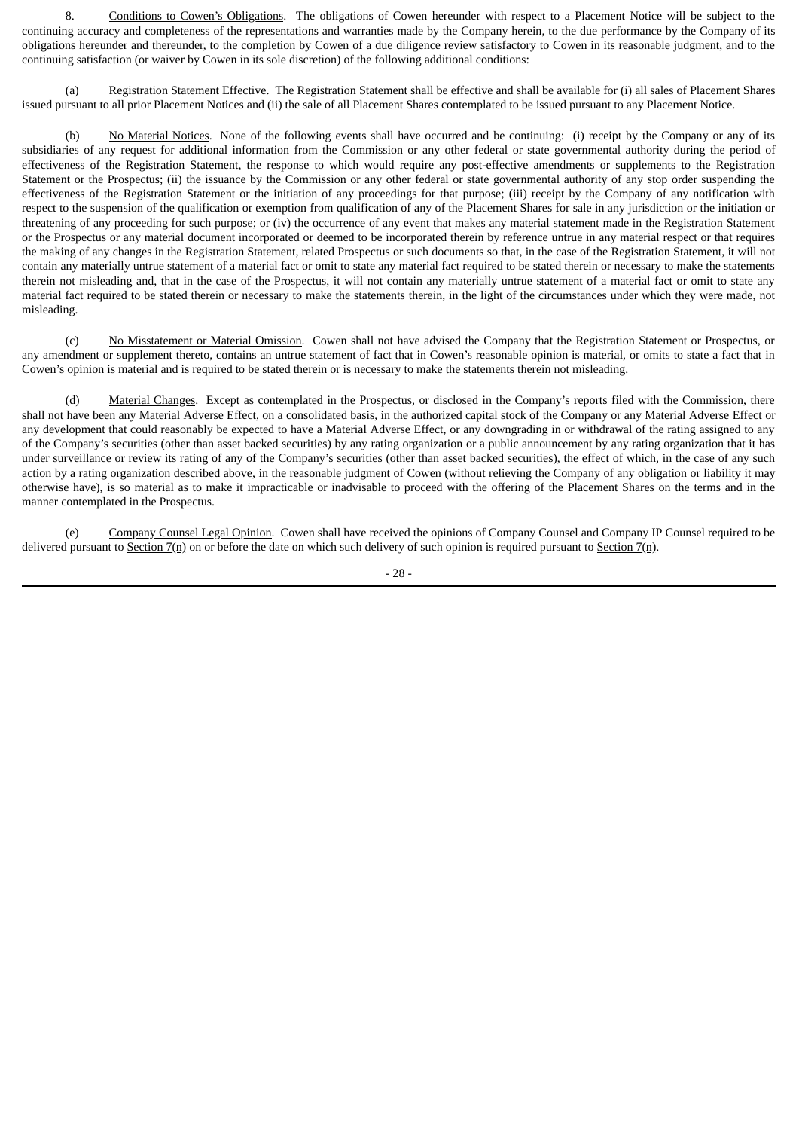8. Conditions to Cowen's Obligations. The obligations of Cowen hereunder with respect to a Placement Notice will be subject to the continuing accuracy and completeness of the representations and warranties made by the Company herein, to the due performance by the Company of its obligations hereunder and thereunder, to the completion by Cowen of a due diligence review satisfactory to Cowen in its reasonable judgment, and to the continuing satisfaction (or waiver by Cowen in its sole discretion) of the following additional conditions:

(a) Registration Statement Effective. The Registration Statement shall be effective and shall be available for (i) all sales of Placement Shares issued pursuant to all prior Placement Notices and (ii) the sale of all Placement Shares contemplated to be issued pursuant to any Placement Notice.

(b) No Material Notices. None of the following events shall have occurred and be continuing: (i) receipt by the Company or any of its subsidiaries of any request for additional information from the Commission or any other federal or state governmental authority during the period of effectiveness of the Registration Statement, the response to which would require any post-effective amendments or supplements to the Registration Statement or the Prospectus; (ii) the issuance by the Commission or any other federal or state governmental authority of any stop order suspending the effectiveness of the Registration Statement or the initiation of any proceedings for that purpose; (iii) receipt by the Company of any notification with respect to the suspension of the qualification or exemption from qualification of any of the Placement Shares for sale in any jurisdiction or the initiation or threatening of any proceeding for such purpose; or (iv) the occurrence of any event that makes any material statement made in the Registration Statement or the Prospectus or any material document incorporated or deemed to be incorporated therein by reference untrue in any material respect or that requires the making of any changes in the Registration Statement, related Prospectus or such documents so that, in the case of the Registration Statement, it will not contain any materially untrue statement of a material fact or omit to state any material fact required to be stated therein or necessary to make the statements therein not misleading and, that in the case of the Prospectus, it will not contain any materially untrue statement of a material fact or omit to state any material fact required to be stated therein or necessary to make the statements therein, in the light of the circumstances under which they were made, not misleading.

(c) No Misstatement or Material Omission. Cowen shall not have advised the Company that the Registration Statement or Prospectus, or any amendment or supplement thereto, contains an untrue statement of fact that in Cowen's reasonable opinion is material, or omits to state a fact that in Cowen's opinion is material and is required to be stated therein or is necessary to make the statements therein not misleading.

(d) Material Changes. Except as contemplated in the Prospectus, or disclosed in the Company's reports filed with the Commission, there shall not have been any Material Adverse Effect, on a consolidated basis, in the authorized capital stock of the Company or any Material Adverse Effect or any development that could reasonably be expected to have a Material Adverse Effect, or any downgrading in or withdrawal of the rating assigned to any of the Company's securities (other than asset backed securities) by any rating organization or a public announcement by any rating organization that it has under surveillance or review its rating of any of the Company's securities (other than asset backed securities), the effect of which, in the case of any such action by a rating organization described above, in the reasonable judgment of Cowen (without relieving the Company of any obligation or liability it may otherwise have), is so material as to make it impracticable or inadvisable to proceed with the offering of the Placement Shares on the terms and in the manner contemplated in the Prospectus.

(e) Company Counsel Legal Opinion. Cowen shall have received the opinions of Company Counsel and Company IP Counsel required to be delivered pursuant to Section  $7(n)$  on or before the date on which such delivery of such opinion is required pursuant to Section  $7(n)$ .

- 28 -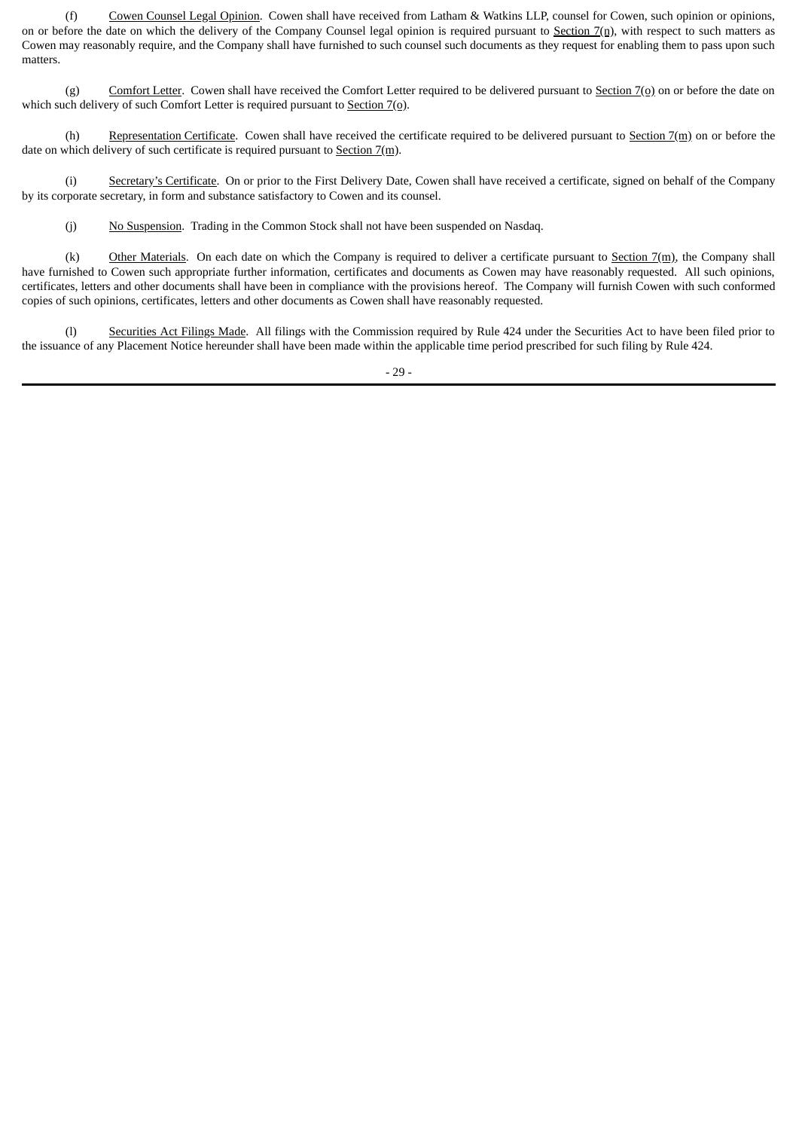(f) Cowen Counsel Legal Opinion. Cowen shall have received from Latham & Watkins LLP, counsel for Cowen, such opinion or opinions, on or before the date on which the delivery of the Company Counsel legal opinion is required pursuant to Section  $7(n)$ , with respect to such matters as Cowen may reasonably require, and the Company shall have furnished to such counsel such documents as they request for enabling them to pass upon such matters.

(g) Comfort Letter. Cowen shall have received the Comfort Letter required to be delivered pursuant to Section  $7(0)$  on or before the date on which such delivery of such Comfort Letter is required pursuant to Section  $7(\rho)$ .

(h) Representation Certificate. Cowen shall have received the certificate required to be delivered pursuant to  $Section 7(m)$  on or before the date on which delivery of such certificate is required pursuant to  $Section 7(m)$ .

(i) Secretary's Certificate. On or prior to the First Delivery Date, Cowen shall have received a certificate, signed on behalf of the Company by its corporate secretary, in form and substance satisfactory to Cowen and its counsel.

(j) No Suspension. Trading in the Common Stock shall not have been suspended on Nasdaq.

(k) Other Materials. On each date on which the Company is required to deliver a certificate pursuant to Section  $7(m)$ , the Company shall have furnished to Cowen such appropriate further information, certificates and documents as Cowen may have reasonably requested. All such opinions, certificates, letters and other documents shall have been in compliance with the provisions hereof. The Company will furnish Cowen with such conformed copies of such opinions, certificates, letters and other documents as Cowen shall have reasonably requested.

(l) Securities Act Filings Made. All filings with the Commission required by Rule 424 under the Securities Act to have been filed prior to the issuance of any Placement Notice hereunder shall have been made within the applicable time period prescribed for such filing by Rule 424.

- 29 -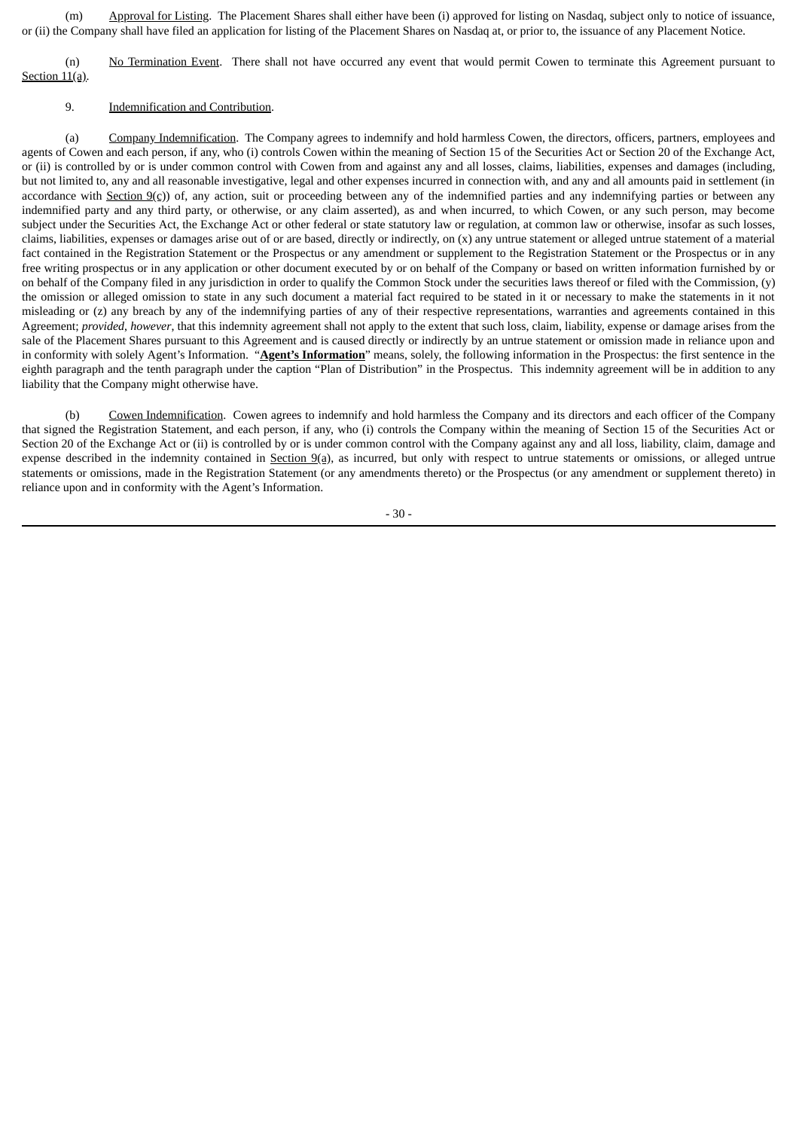(m) Approval for Listing. The Placement Shares shall either have been (i) approved for listing on Nasdaq, subject only to notice of issuance, or (ii) the Company shall have filed an application for listing of the Placement Shares on Nasdaq at, or prior to, the issuance of any Placement Notice.

(n) No Termination Event. There shall not have occurred any event that would permit Cowen to terminate this Agreement pursuant to Section 11(a).

#### 9. Indemnification and Contribution.

(a) Company Indemnification. The Company agrees to indemnify and hold harmless Cowen, the directors, officers, partners, employees and agents of Cowen and each person, if any, who (i) controls Cowen within the meaning of Section 15 of the Securities Act or Section 20 of the Exchange Act, or (ii) is controlled by or is under common control with Cowen from and against any and all losses, claims, liabilities, expenses and damages (including, but not limited to, any and all reasonable investigative, legal and other expenses incurred in connection with, and any and all amounts paid in settlement (in accordance with Section  $9(c)$ ) of, any action, suit or proceeding between any of the indemnified parties and any indemnifying parties or between any indemnified party and any third party, or otherwise, or any claim asserted), as and when incurred, to which Cowen, or any such person, may become subject under the Securities Act, the Exchange Act or other federal or state statutory law or regulation, at common law or otherwise, insofar as such losses, claims, liabilities, expenses or damages arise out of or are based, directly or indirectly, on (x) any untrue statement or alleged untrue statement of a material fact contained in the Registration Statement or the Prospectus or any amendment or supplement to the Registration Statement or the Prospectus or in any free writing prospectus or in any application or other document executed by or on behalf of the Company or based on written information furnished by or on behalf of the Company filed in any jurisdiction in order to qualify the Common Stock under the securities laws thereof or filed with the Commission,  $(y)$ the omission or alleged omission to state in any such document a material fact required to be stated in it or necessary to make the statements in it not misleading or (z) any breach by any of the indemnifying parties of any of their respective representations, warranties and agreements contained in this Agreement; *provided*, *however*, that this indemnity agreement shall not apply to the extent that such loss, claim, liability, expense or damage arises from the sale of the Placement Shares pursuant to this Agreement and is caused directly or indirectly by an untrue statement or omission made in reliance upon and in conformity with solely Agent's Information. "**Agent's Information**" means, solely, the following information in the Prospectus: the first sentence in the eighth paragraph and the tenth paragraph under the caption "Plan of Distribution" in the Prospectus. This indemnity agreement will be in addition to any liability that the Company might otherwise have.

(b) Cowen Indemnification. Cowen agrees to indemnify and hold harmless the Company and its directors and each officer of the Company that signed the Registration Statement, and each person, if any, who (i) controls the Company within the meaning of Section 15 of the Securities Act or Section 20 of the Exchange Act or (ii) is controlled by or is under common control with the Company against any and all loss, liability, claim, damage and expense described in the indemnity contained in  $Section 9(a)$ , as incurred, but only with respect to untrue statements or omissions, or alleged untrue</u> statements or omissions, made in the Registration Statement (or any amendments thereto) or the Prospectus (or any amendment or supplement thereto) in reliance upon and in conformity with the Agent's Information.

- 30 -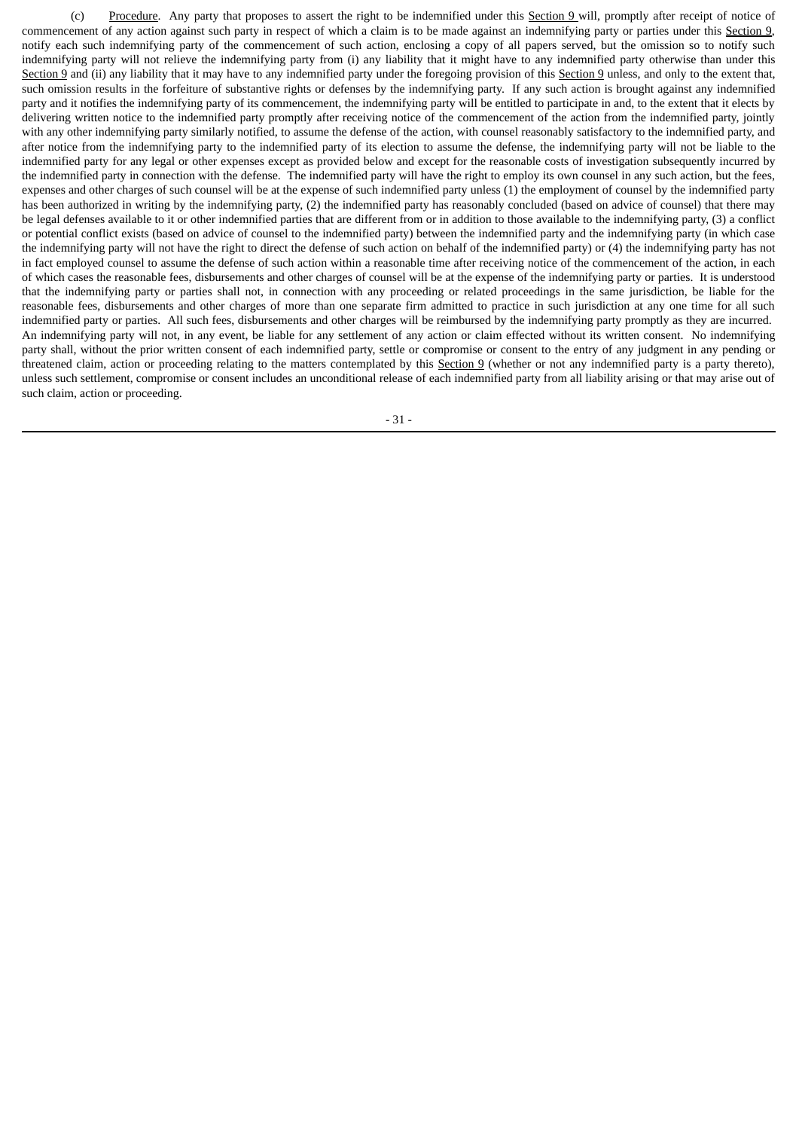(c) Procedure. Any party that proposes to assert the right to be indemnified under this Section 9 will, promptly after receipt of notice of commencement of any action against such party in respect of which a claim is to be made against an indemnifying party or parties under this Section 9, notify each such indemnifying party of the commencement of such action, enclosing a copy of all papers served, but the omission so to notify such indemnifying party will not relieve the indemnifying party from (i) any liability that it might have to any indemnified party otherwise than under this Section 9 and (ii) any liability that it may have to any indemnified party under the foregoing provision of this Section 9 unless, and only to the extent that, such omission results in the forfeiture of substantive rights or defenses by the indemnifying party. If any such action is brought against any indemnified party and it notifies the indemnifying party of its commencement, the indemnifying party will be entitled to participate in and, to the extent that it elects by delivering written notice to the indemnified party promptly after receiving notice of the commencement of the action from the indemnified party, jointly with any other indemnifying party similarly notified, to assume the defense of the action, with counsel reasonably satisfactory to the indemnified party, and after notice from the indemnifying party to the indemnified party of its election to assume the defense, the indemnifying party will not be liable to the indemnified party for any legal or other expenses except as provided below and except for the reasonable costs of investigation subsequently incurred by the indemnified party in connection with the defense. The indemnified party will have the right to employ its own counsel in any such action, but the fees, expenses and other charges of such counsel will be at the expense of such indemnified party unless (1) the employment of counsel by the indemnified party has been authorized in writing by the indemnifying party, (2) the indemnified party has reasonably concluded (based on advice of counsel) that there may be legal defenses available to it or other indemnified parties that are different from or in addition to those available to the indemnifying party, (3) a conflict or potential conflict exists (based on advice of counsel to the indemnified party) between the indemnified party and the indemnifying party (in which case the indemnifying party will not have the right to direct the defense of such action on behalf of the indemnified party) or (4) the indemnifying party has not in fact employed counsel to assume the defense of such action within a reasonable time after receiving notice of the commencement of the action, in each of which cases the reasonable fees, disbursements and other charges of counsel will be at the expense of the indemnifying party or parties. It is understood that the indemnifying party or parties shall not, in connection with any proceeding or related proceedings in the same jurisdiction, be liable for the reasonable fees, disbursements and other charges of more than one separate firm admitted to practice in such jurisdiction at any one time for all such indemnified party or parties. All such fees, disbursements and other charges will be reimbursed by the indemnifying party promptly as they are incurred. An indemnifying party will not, in any event, be liable for any settlement of any action or claim effected without its written consent. No indemnifying party shall, without the prior written consent of each indemnified party, settle or compromise or consent to the entry of any judgment in any pending or threatened claim, action or proceeding relating to the matters contemplated by this Section 9 (whether or not any indemnified party is a party thereto), unless such settlement, compromise or consent includes an unconditional release of each indemnified party from all liability arising or that may arise out of such claim, action or proceeding.

- 31 -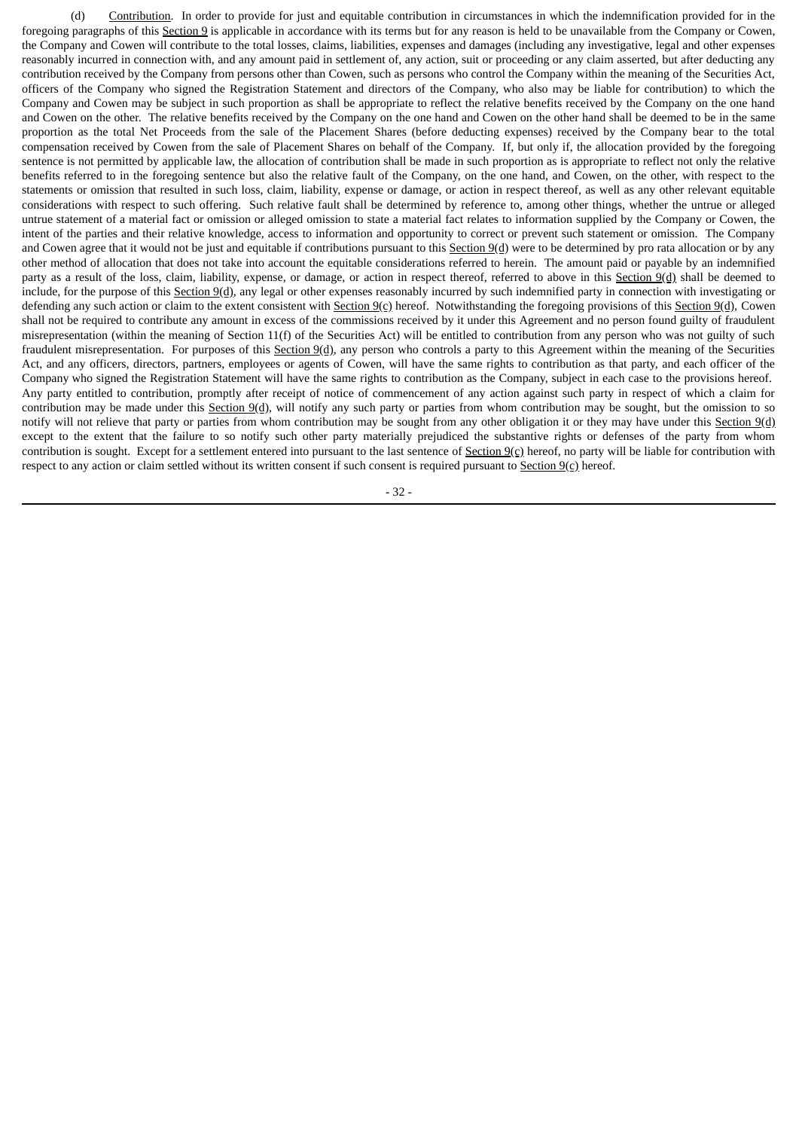(d) Contribution. In order to provide for just and equitable contribution in circumstances in which the indemnification provided for in the foregoing paragraphs of this Section 9 is applicable in accordance with its terms but for any reason is held to be unavailable from the Company or Cowen, the Company and Cowen will contribute to the total losses, claims, liabilities, expenses and damages (including any investigative, legal and other expenses reasonably incurred in connection with, and any amount paid in settlement of, any action, suit or proceeding or any claim asserted, but after deducting any contribution received by the Company from persons other than Cowen, such as persons who control the Company within the meaning of the Securities Act, officers of the Company who signed the Registration Statement and directors of the Company, who also may be liable for contribution) to which the Company and Cowen may be subject in such proportion as shall be appropriate to reflect the relative benefits received by the Company on the one hand and Cowen on the other. The relative benefits received by the Company on the one hand and Cowen on the other hand shall be deemed to be in the same proportion as the total Net Proceeds from the sale of the Placement Shares (before deducting expenses) received by the Company bear to the total compensation received by Cowen from the sale of Placement Shares on behalf of the Company. If, but only if, the allocation provided by the foregoing sentence is not permitted by applicable law, the allocation of contribution shall be made in such proportion as is appropriate to reflect not only the relative benefits referred to in the foregoing sentence but also the relative fault of the Company, on the one hand, and Cowen, on the other, with respect to the statements or omission that resulted in such loss, claim, liability, expense or damage, or action in respect thereof, as well as any other relevant equitable considerations with respect to such offering. Such relative fault shall be determined by reference to, among other things, whether the untrue or alleged untrue statement of a material fact or omission or alleged omission to state a material fact relates to information supplied by the Company or Cowen, the intent of the parties and their relative knowledge, access to information and opportunity to correct or prevent such statement or omission. The Company and Cowen agree that it would not be just and equitable if contributions pursuant to this Section 9(d) were to be determined by pro rata allocation or by any other method of allocation that does not take into account the equitable considerations referred to herein. The amount paid or payable by an indemnified party as a result of the loss, claim, liability, expense, or damage, or action in respect thereof, referred to above in this Section 9(d) shall be deemed to include, for the purpose of this  $Section 9(d)$ , any legal or other expenses reasonably incurred by such indemnified party in connection with investigating or</u> defending any such action or claim to the extent consistent with  $Section 9(c)$  hereof. Notwithstanding the foregoing provisions of this  $Section 9(d)$ , Cowen shall not be required to contribute any amount in excess of the commissions received by it under this Agreement and no person found guilty of fraudulent misrepresentation (within the meaning of Section 11(f) of the Securities Act) will be entitled to contribution from any person who was not guilty of such fraudulent misrepresentation. For purposes of this Section 9(d), any person who controls a party to this Agreement within the meaning of the Securities Act, and any officers, directors, partners, employees or agents of Cowen, will have the same rights to contribution as that party, and each officer of the Company who signed the Registration Statement will have the same rights to contribution as the Company, subject in each case to the provisions hereof. Any party entitled to contribution, promptly after receipt of notice of commencement of any action against such party in respect of which a claim for contribution may be made under this Section 9(d), will notify any such party or parties from whom contribution may be sought, but the omission to so notify will not relieve that party or parties from whom contribution may be sought from any other obligation it or they may have under this Section 9(d) except to the extent that the failure to so notify such other party materially prejudiced the substantive rights or defenses of the party from whom contribution is sought. Except for a settlement entered into pursuant to the last sentence of Section  $9(c)$  hereof, no party will be liable for contribution with respect to any action or claim settled without its written consent if such consent is required pursuant to  $Section 9(c)$  hereof.

- 32 -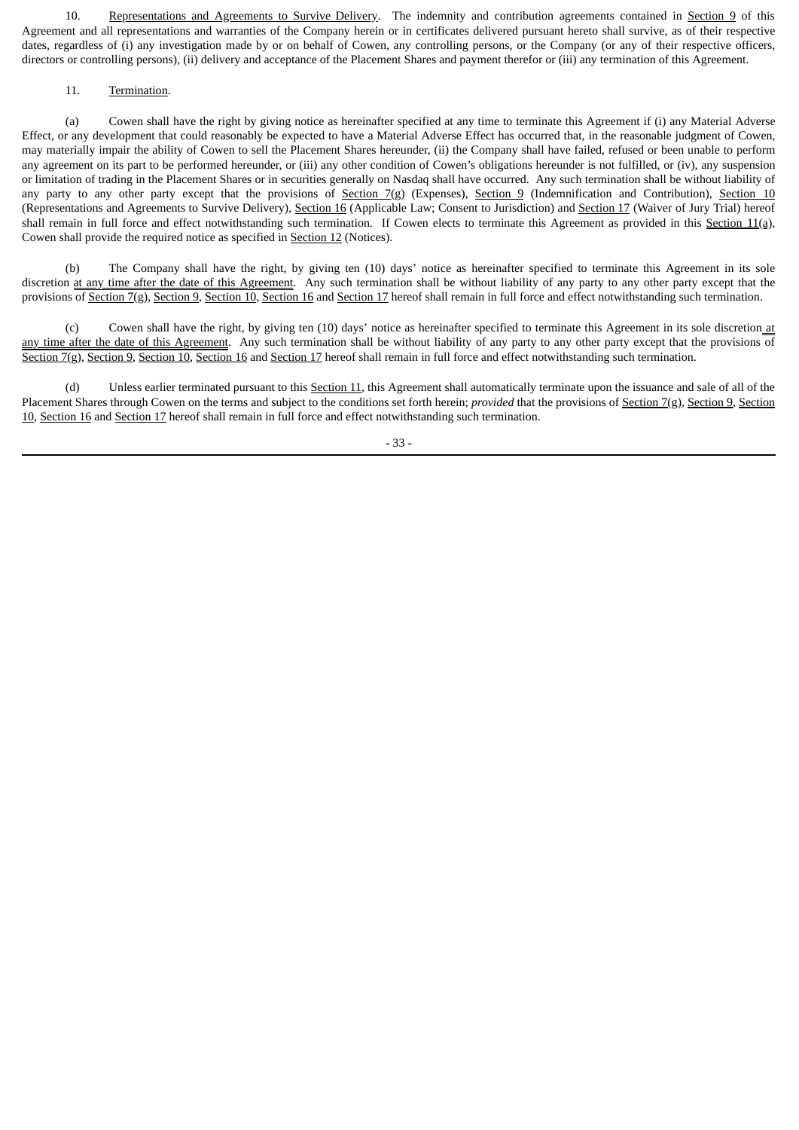10. Representations and Agreements to Survive Delivery. The indemnity and contribution agreements contained in Section 9 of this Agreement and all representations and warranties of the Company herein or in certificates delivered pursuant hereto shall survive, as of their respective dates, regardless of (i) any investigation made by or on behalf of Cowen, any controlling persons, or the Company (or any of their respective officers, directors or controlling persons), (ii) delivery and acceptance of the Placement Shares and payment therefor or (iii) any termination of this Agreement.

#### 11. Termination.

(a) Cowen shall have the right by giving notice as hereinafter specified at any time to terminate this Agreement if (i) any Material Adverse Effect, or any development that could reasonably be expected to have a Material Adverse Effect has occurred that, in the reasonable judgment of Cowen, may materially impair the ability of Cowen to sell the Placement Shares hereunder, (ii) the Company shall have failed, refused or been unable to perform any agreement on its part to be performed hereunder, or (iii) any other condition of Cowen's obligations hereunder is not fulfilled, or (iv), any suspension or limitation of trading in the Placement Shares or in securities generally on Nasdaq shall have occurred. Any such termination shall be without liability of any party to any other party except that the provisions of Section 7(g) (Expenses), Section 9 (Indemnification and Contribution), Section 10 (Representations and Agreements to Survive Delivery), Section 16 (Applicable Law; Consent to Jurisdiction) and Section 17 (Waiver of Jury Trial) hereof shall remain in full force and effect notwithstanding such termination. If Cowen elects to terminate this Agreement as provided in this Section  $11$ (a), Cowen shall provide the required notice as specified in Section 12 (Notices).

(b) The Company shall have the right, by giving ten (10) days' notice as hereinafter specified to terminate this Agreement in its sole discretion at any time after the date of this Agreement. Any such termination shall be without liability of any party to any other party except that the provisions of Section 7(g), Section 9, Section 10, Section 16 and Section 17 hereof shall remain in full force and effect notwithstanding such termination.

(c) Cowen shall have the right, by giving ten (10) days' notice as hereinafter specified to terminate this Agreement in its sole discretion at any time after the date of this Agreement. Any such termination shall be without liability of any party to any other party except that the provisions of Section 7(g), Section 9, Section 10, Section 16 and Section 17 hereof shall remain in full force and effect notwithstanding such termination.

Unless earlier terminated pursuant to this Section 11, this Agreement shall automatically terminate upon the issuance and sale of all of the Placement Shares through Cowen on the terms and subject to the conditions set forth herein; *provided* that the provisions of Section 7(g), Section 9, Section 10, Section 16 and Section 17 hereof shall remain in full force and effect notwithstanding such termination.

- 33 -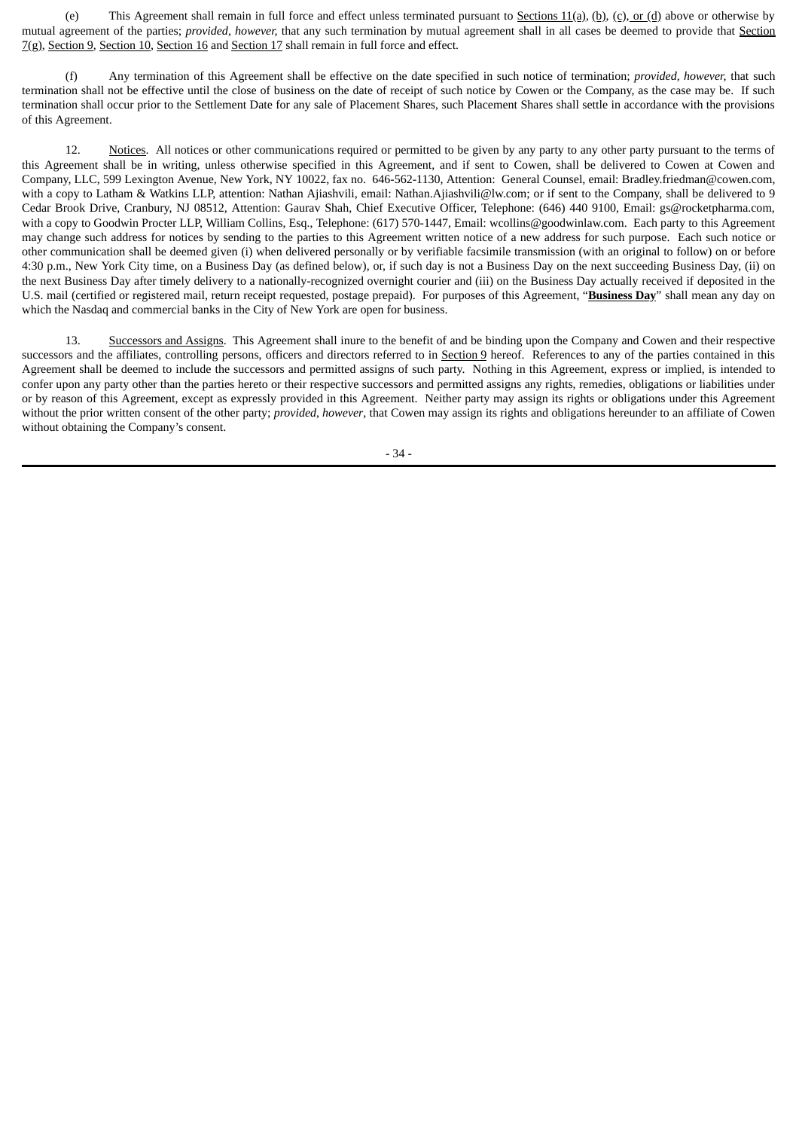(e) This Agreement shall remain in full force and effect unless terminated pursuant to Sections  $11(a)$ ,  $(b)$ ,  $(c)$ , or  $(d)$  above or otherwise by mutual agreement of the parties; *provided, however,* that any such termination by mutual agreement shall in all cases be deemed to provide that Section 7(g), Section 9, Section 10, Section 16 and Section 17 shall remain in full force and effect.

(f) Any termination of this Agreement shall be effective on the date specified in such notice of termination; *provided, however,* that such termination shall not be effective until the close of business on the date of receipt of such notice by Cowen or the Company, as the case may be. If such termination shall occur prior to the Settlement Date for any sale of Placement Shares, such Placement Shares shall settle in accordance with the provisions of this Agreement.

12. Notices. All notices or other communications required or permitted to be given by any party to any other party pursuant to the terms of this Agreement shall be in writing, unless otherwise specified in this Agreement, and if sent to Cowen, shall be delivered to Cowen at Cowen and Company, LLC, 599 Lexington Avenue, New York, NY 10022, fax no. 646-562-1130, Attention: General Counsel, email: Bradley.friedman@cowen.com, with a copy to Latham & Watkins LLP, attention: Nathan Ajiashvili, email: Nathan.Ajiashvili@lw.com; or if sent to the Company, shall be delivered to 9 Cedar Brook Drive, Cranbury, NJ 08512, Attention: Gaurav Shah, Chief Executive Officer, Telephone: (646) 440 9100, Email: gs@rocketpharma.com, with a copy to Goodwin Procter LLP, William Collins, Esq., Telephone: (617) 570-1447, Email: wcollins@goodwinlaw.com. Each party to this Agreement may change such address for notices by sending to the parties to this Agreement written notice of a new address for such purpose. Each such notice or other communication shall be deemed given (i) when delivered personally or by verifiable facsimile transmission (with an original to follow) on or before 4:30 p.m., New York City time, on a Business Day (as defined below), or, if such day is not a Business Day on the next succeeding Business Day, (ii) on the next Business Day after timely delivery to a nationally-recognized overnight courier and (iii) on the Business Day actually received if deposited in the U.S. mail (certified or registered mail, return receipt requested, postage prepaid). For purposes of this Agreement, "**Business Day**" shall mean any day on which the Nasdaq and commercial banks in the City of New York are open for business.

13. Successors and Assigns. This Agreement shall inure to the benefit of and be binding upon the Company and Cowen and their respective successors and the affiliates, controlling persons, officers and directors referred to in Section 9 hereof. References to any of the parties contained in this Agreement shall be deemed to include the successors and permitted assigns of such party. Nothing in this Agreement, express or implied, is intended to confer upon any party other than the parties hereto or their respective successors and permitted assigns any rights, remedies, obligations or liabilities under or by reason of this Agreement, except as expressly provided in this Agreement. Neither party may assign its rights or obligations under this Agreement without the prior written consent of the other party; *provided*, *however*, that Cowen may assign its rights and obligations hereunder to an affiliate of Cowen without obtaining the Company's consent.

- 34 -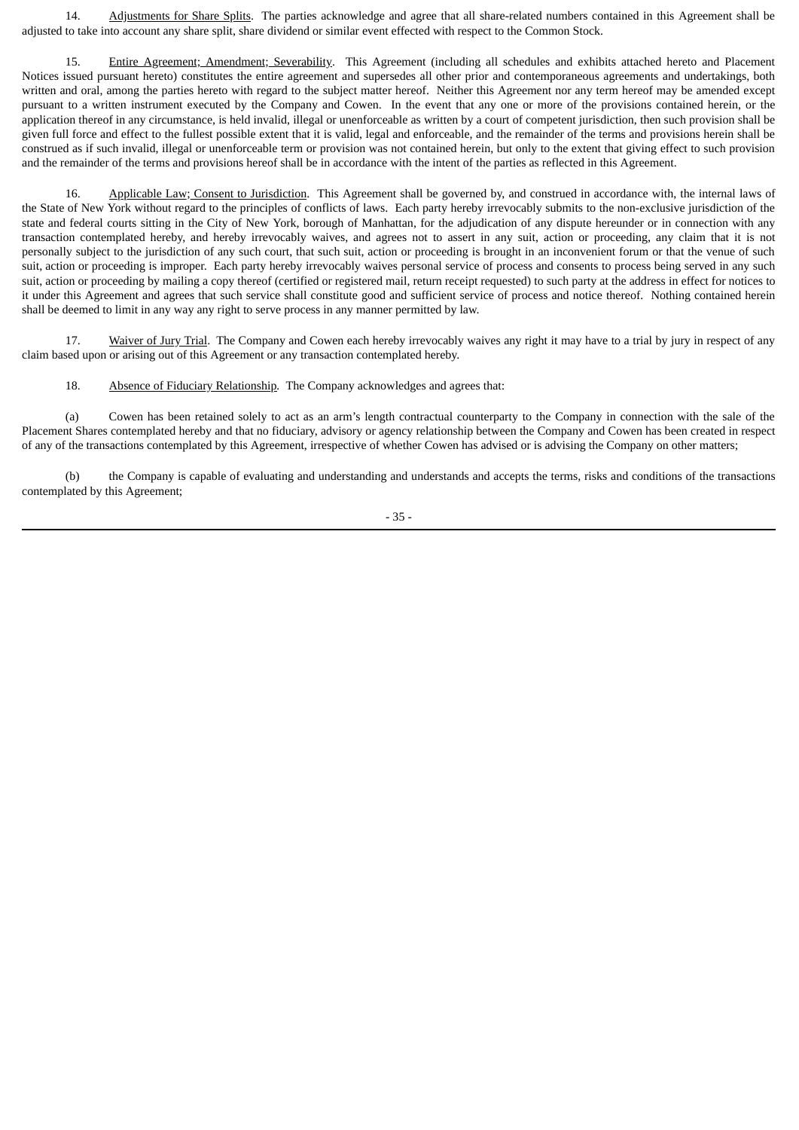14. Adjustments for Share Splits. The parties acknowledge and agree that all share-related numbers contained in this Agreement shall be adjusted to take into account any share split, share dividend or similar event effected with respect to the Common Stock.

15. Entire Agreement; Amendment; Severability. This Agreement (including all schedules and exhibits attached hereto and Placement Notices issued pursuant hereto) constitutes the entire agreement and supersedes all other prior and contemporaneous agreements and undertakings, both written and oral, among the parties hereto with regard to the subject matter hereof. Neither this Agreement nor any term hereof may be amended except pursuant to a written instrument executed by the Company and Cowen. In the event that any one or more of the provisions contained herein, or the application thereof in any circumstance, is held invalid, illegal or unenforceable as written by a court of competent jurisdiction, then such provision shall be given full force and effect to the fullest possible extent that it is valid, legal and enforceable, and the remainder of the terms and provisions herein shall be construed as if such invalid, illegal or unenforceable term or provision was not contained herein, but only to the extent that giving effect to such provision and the remainder of the terms and provisions hereof shall be in accordance with the intent of the parties as reflected in this Agreement.

16. Applicable Law; Consent to Jurisdiction. This Agreement shall be governed by, and construed in accordance with, the internal laws of the State of New York without regard to the principles of conflicts of laws. Each party hereby irrevocably submits to the non-exclusive jurisdiction of the state and federal courts sitting in the City of New York, borough of Manhattan, for the adjudication of any dispute hereunder or in connection with any transaction contemplated hereby, and hereby irrevocably waives, and agrees not to assert in any suit, action or proceeding, any claim that it is not personally subject to the jurisdiction of any such court, that such suit, action or proceeding is brought in an inconvenient forum or that the venue of such suit, action or proceeding is improper. Each party hereby irrevocably waives personal service of process and consents to process being served in any such suit, action or proceeding by mailing a copy thereof (certified or registered mail, return receipt requested) to such party at the address in effect for notices to it under this Agreement and agrees that such service shall constitute good and sufficient service of process and notice thereof. Nothing contained herein shall be deemed to limit in any way any right to serve process in any manner permitted by law.

17. Waiver of Jury Trial. The Company and Cowen each hereby irrevocably waives any right it may have to a trial by jury in respect of any claim based upon or arising out of this Agreement or any transaction contemplated hereby.

18. Absence of Fiduciary Relationship*.* The Company acknowledges and agrees that:

(a) Cowen has been retained solely to act as an arm's length contractual counterparty to the Company in connection with the sale of the Placement Shares contemplated hereby and that no fiduciary, advisory or agency relationship between the Company and Cowen has been created in respect of any of the transactions contemplated by this Agreement, irrespective of whether Cowen has advised or is advising the Company on other matters;

(b) the Company is capable of evaluating and understanding and understands and accepts the terms, risks and conditions of the transactions contemplated by this Agreement;

- 35 -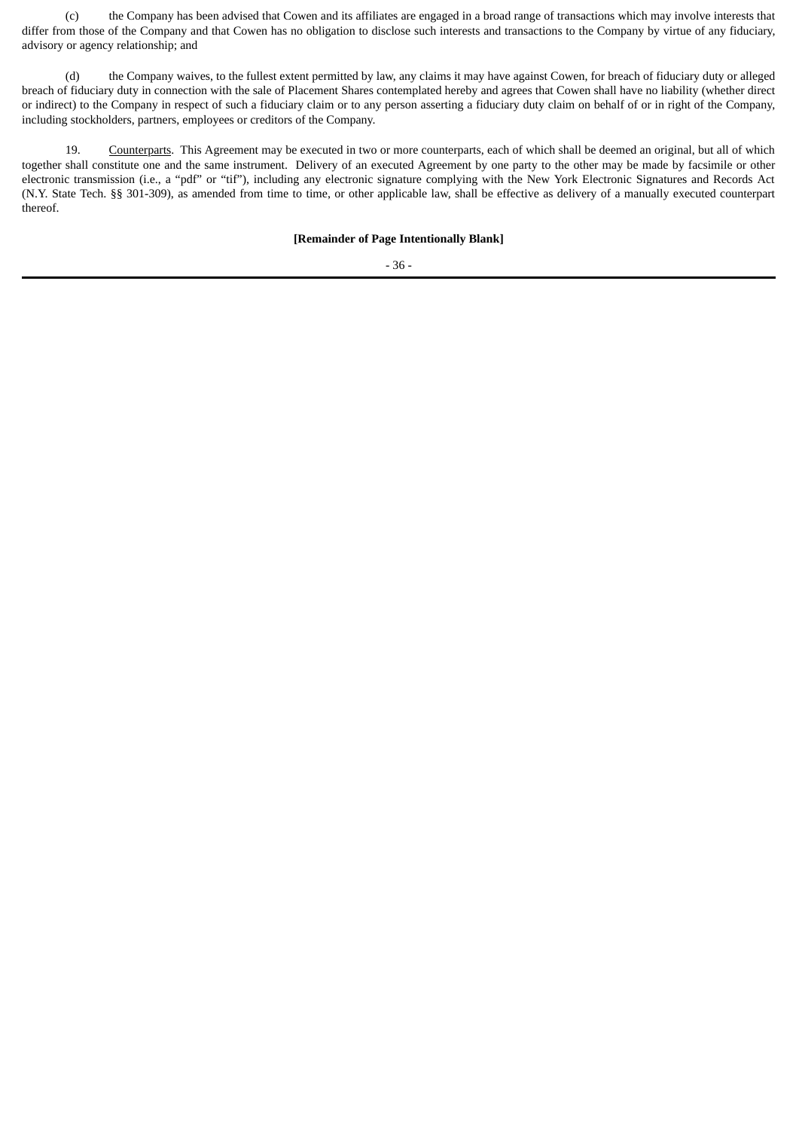(c) the Company has been advised that Cowen and its affiliates are engaged in a broad range of transactions which may involve interests that differ from those of the Company and that Cowen has no obligation to disclose such interests and transactions to the Company by virtue of any fiduciary, advisory or agency relationship; and

(d) the Company waives, to the fullest extent permitted by law, any claims it may have against Cowen, for breach of fiduciary duty or alleged breach of fiduciary duty in connection with the sale of Placement Shares contemplated hereby and agrees that Cowen shall have no liability (whether direct or indirect) to the Company in respect of such a fiduciary claim or to any person asserting a fiduciary duty claim on behalf of or in right of the Company, including stockholders, partners, employees or creditors of the Company.

19. Counterparts. This Agreement may be executed in two or more counterparts, each of which shall be deemed an original, but all of which together shall constitute one and the same instrument. Delivery of an executed Agreement by one party to the other may be made by facsimile or other electronic transmission (i.e., a "pdf" or "tif"), including any electronic signature complying with the New York Electronic Signatures and Records Act (N.Y. State Tech. §§ 301-309), as amended from time to time, or other applicable law, shall be effective as delivery of a manually executed counterpart thereof.

#### **[Remainder of Page Intentionally Blank]**

- 36 -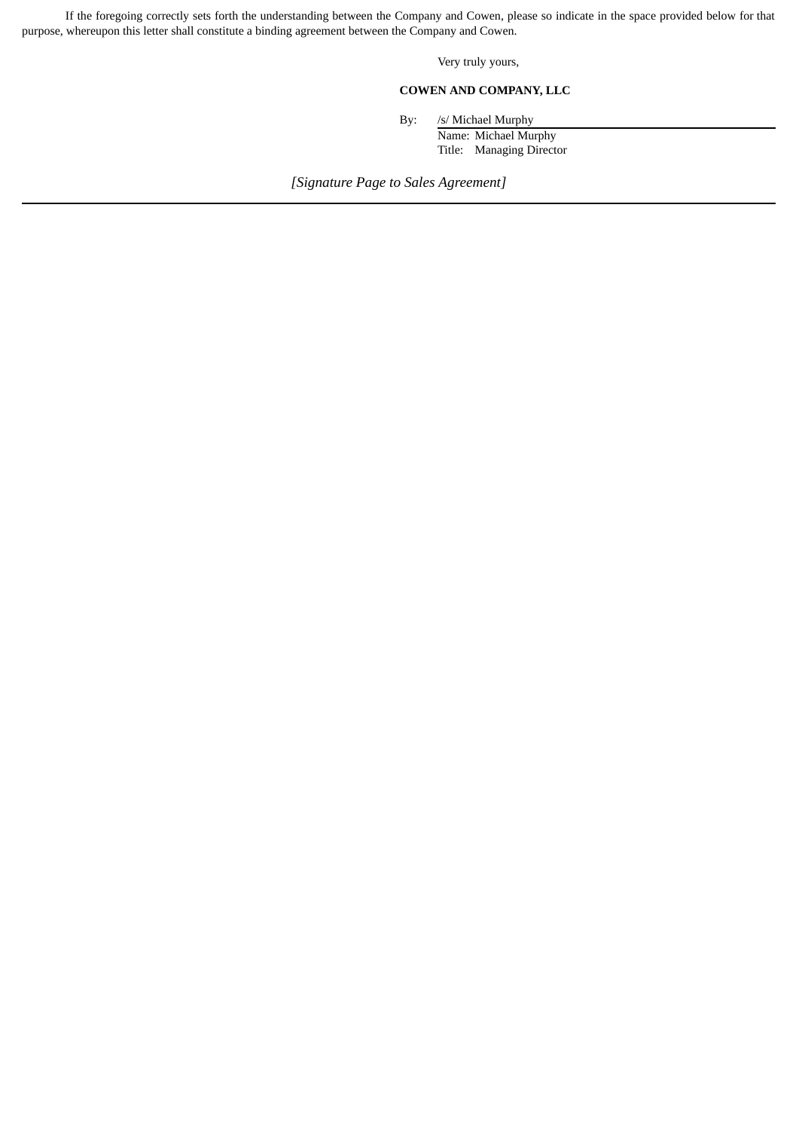If the foregoing correctly sets forth the understanding between the Company and Cowen, please so indicate in the space provided below for that purpose, whereupon this letter shall constitute a binding agreement between the Company and Cowen.

Very truly yours,

# **COWEN AND COMPANY, LLC**

By: /s/ Michael Murphy

Name: Michael Murphy Title: Managing Director

*[Signature Page to Sales Agreement]*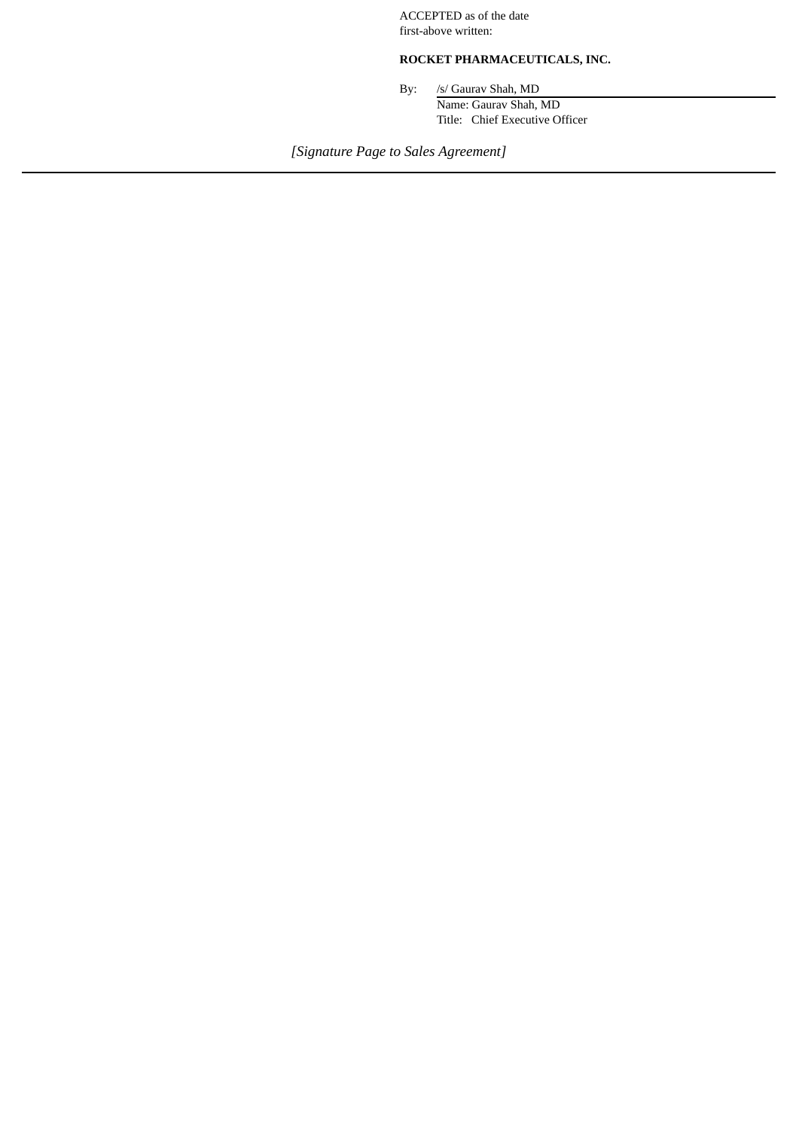ACCEPTED as of the date first-above written:

# **ROCKET PHARMACEUTICALS, INC.**

By: /s/ Gaurav Shah, MD Name: Gaurav Shah, MD Title: Chief Executive Officer

*[Signature Page to Sales Agreement]*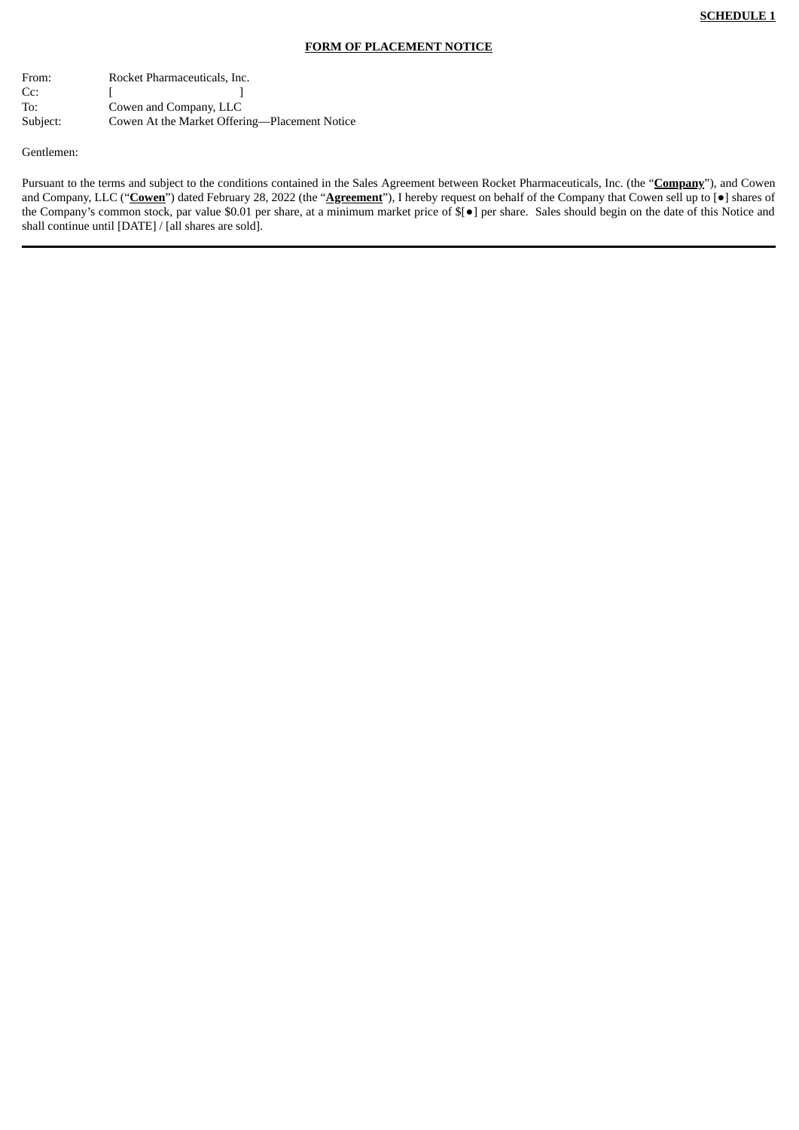#### **FORM OF PLACEMENT NOTICE**

From: Rocket Pharmaceuticals, Inc.  $\mathsf{Cc:}$  [ ] To: Cowen and Company, LLC Subject: Cowen At the Market Offering—Placement Notice

Gentlemen:

Pursuant to the terms and subject to the conditions contained in the Sales Agreement between Rocket Pharmaceuticals, Inc. (the "**Company**"), and Cowen and Company, LLC ("**Cowen**") dated February 28, 2022 (the "**Agreement**"), I hereby request on behalf of the Company that Cowen sell up to [●] shares of the Company's common stock, par value \$0.01 per share, at a minimum market price of \$[●] per share. Sales should begin on the date of this Notice and shall continue until [DATE] / [all shares are sold].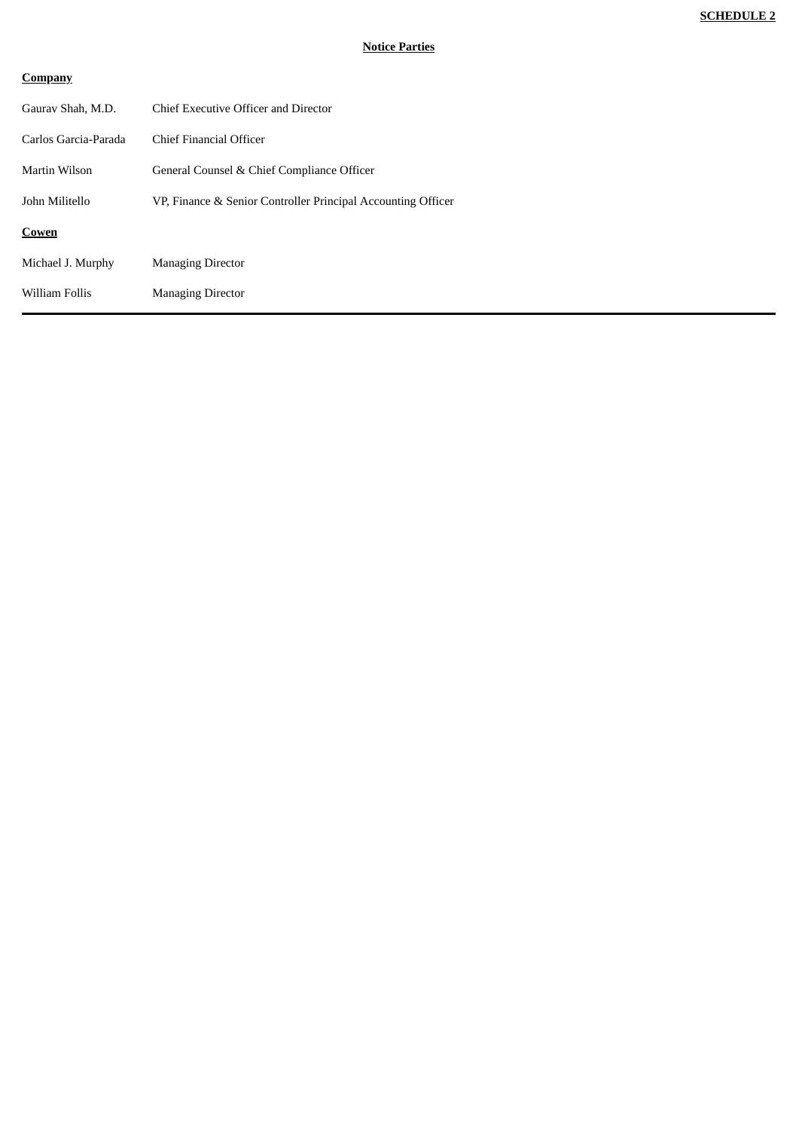# **Company**

| Chief Executive Officer and Director                         |
|--------------------------------------------------------------|
| Chief Financial Officer                                      |
| General Counsel & Chief Compliance Officer                   |
| VP, Finance & Senior Controller Principal Accounting Officer |
|                                                              |
| <b>Managing Director</b>                                     |
| <b>Managing Director</b>                                     |
|                                                              |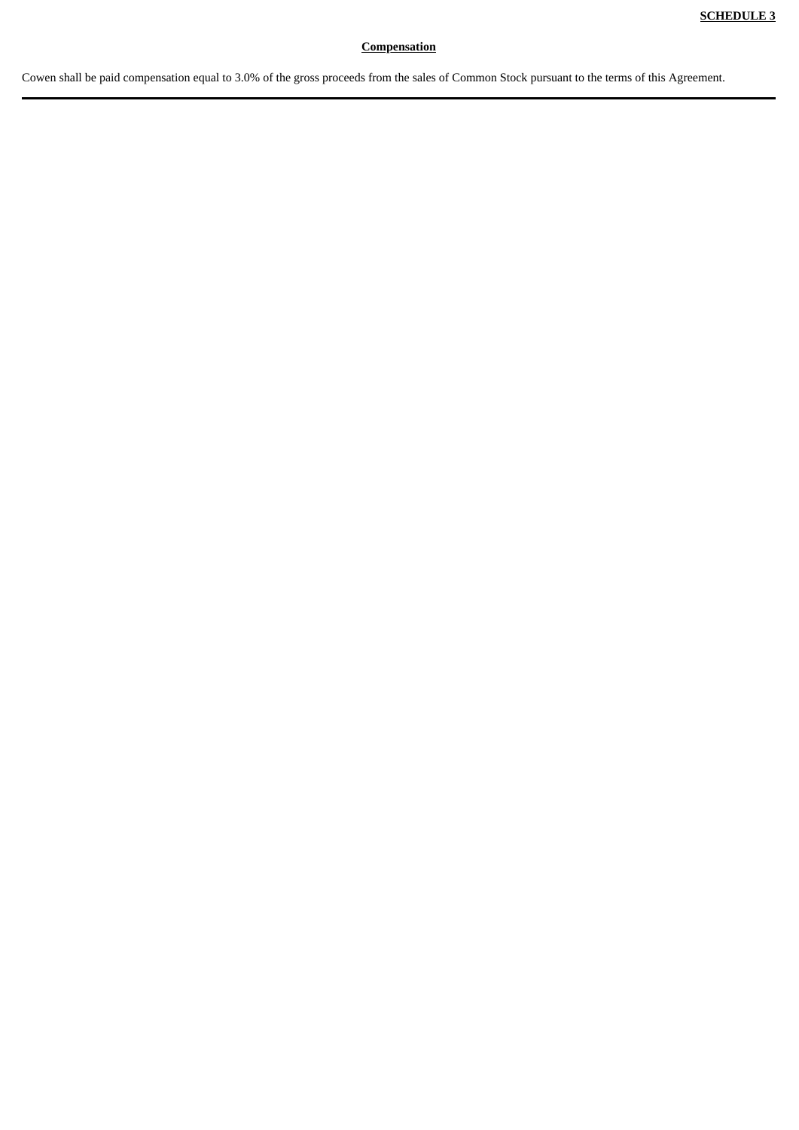# **Compensation**

Cowen shall be paid compensation equal to 3.0% of the gross proceeds from the sales of Common Stock pursuant to the terms of this Agreement.